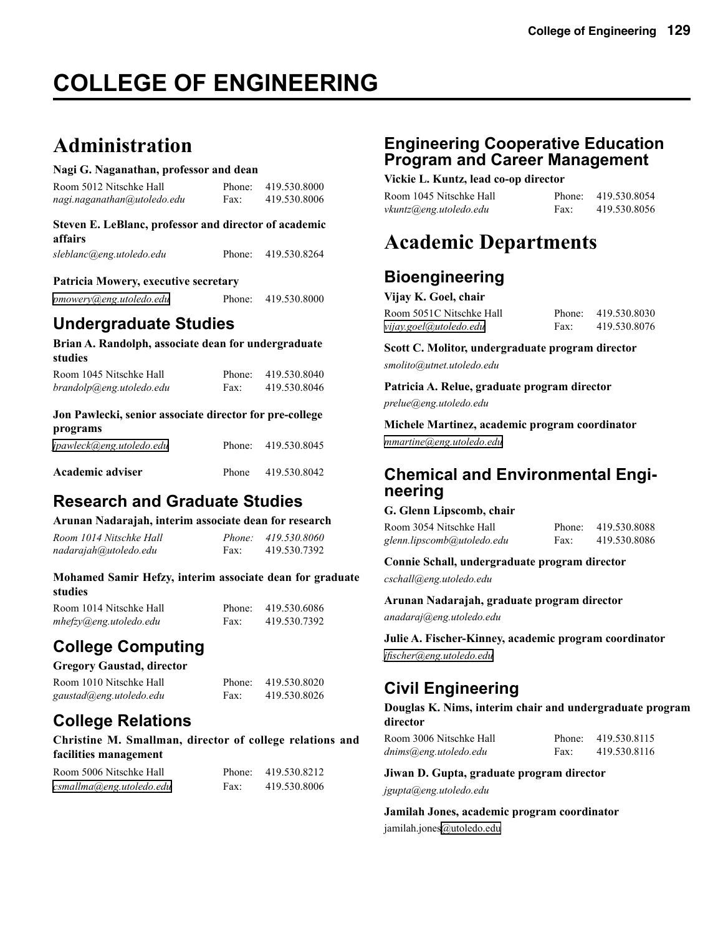# **COLLEGE OF ENGINEERING**

# **Administration**

#### **Nagi G. Naganathan, professor and dean**

| Room 5012 Nitschke Hall     | Phone: | 419.530.8000 |
|-----------------------------|--------|--------------|
| nagi.naganathan@utoledo.edu | Fax:   | 419.530.8006 |

#### **Steven E. LeBlanc, professor and director of academic affairs**

| sleblanc@eng.utoledo.edu | Phone: 419.530.8264 |
|--------------------------|---------------------|
|                          |                     |

#### **Patricia Mowery, executive secretary**

*[pmowery@eng.utoledo.edu](mailto:pmowery@eng.utoledo.edu)* Phone: 419.530.8000

# **Undergraduate Studies**

**Brian A. Randolph, associate dean for undergraduate studies**

| Room 1045 Nitschke Hall  | Phone: | 419.530.8040 |
|--------------------------|--------|--------------|
| brandolp@eng.utoledo.edu | Fax:   | 419.530.8046 |

#### **Jon Pawlecki, senior associate director for pre-college programs**

| programs                 |       |                     |
|--------------------------|-------|---------------------|
| jpawleck@eng.utoledo.edu |       | Phone: 419.530.8045 |
| Academic adviser         | Phone | 419.530.8042        |

# **Research and Graduate Studies**

#### **Arunan Nadarajah, interim associate dean for research**

| Room 1014 Nitschke Hall |      | Phone: 419.530.8060 |
|-------------------------|------|---------------------|
| nadarajah@utoledo.edu   | Fax: | 419.530.7392        |

#### **Mohamed Samir Hefzy, interim associate dean for graduate studies**

| Room 1014 Nitschke Hall |      | Phone: 419.530.6086 |
|-------------------------|------|---------------------|
| mhefzy@eng.utoledo.edu  | Fax: | 419.530.7392        |

# **College Computing**

#### **Gregory Gaustad, director**

| Room 1010 Nitschke Hall | Phone: | 419.530.8020 |
|-------------------------|--------|--------------|
| gaustad@eng.utoledo.edu | Fax:   | 419.530.8026 |

# **College Relations**

#### **Christine M. Smallman, director of college relations and facilities management**

| Room 5006 Nitschke Hall  | Phone: | 419.530.8212 |
|--------------------------|--------|--------------|
| csmallma@eng.utoledo.edu | Fax:   | 419.530.8006 |

# **Engineering Cooperative Education Program and Career Management**

**Vickie L. Kuntz, lead co-op director**

| Room 1045 Nitschke Hall |      | Phone: 419.530.8054 |
|-------------------------|------|---------------------|
| vkuntz@eng.utoledo.edu  | Fax: | 419.530.8056        |

# **Academic Departments**

# **Bioengineering**

| Vijay K. Goel, chair |
|----------------------|
|----------------------|

| Room 5051C Nitschke Hall |      | Phone: 419.530.8030 |
|--------------------------|------|---------------------|
| vijay.goel@utoledo.edu   | Fax: | 419.530.8076        |

**Scott C. Molitor, undergraduate program director**  *smolito@utnet.utoledo.edu*

**Patricia A. Relue, graduate program director** 

*prelue@eng.utoledo.edu* 

**Michele Martinez, academic program coordinator**  *[mmartine@eng.utoledo.edu](mailto:mmartine@eng.utoledo.edu)*

# **Chemical and Environmental Engi- neering**

#### **G. Glenn Lipscomb, chair**

| Room 3054 Nitschke Hall    | Phone: | 419.530.8088 |
|----------------------------|--------|--------------|
| glenn.lipscomb@utoledo.edu | Fax:   | 419.530.8086 |

#### **Connie Schall, undergraduate program director** *cschall@eng.utoledo.edu*

**Arunan Nadarajah, graduate program director**

*anadaraj@eng.utoledo.edu*

**Julie A. Fischer-Kinney, academic program coordinator** *[jfischer@eng.utoledo.edu](mailto:jfischer@eng.utoledo.edu)*

# **Civil Engineering**

**Douglas K. Nims, interim chair and undergraduate program director**

| Room 3006 Nitschke Hall | Phone: | 419.530.8115 |
|-------------------------|--------|--------------|
| dnims@eng.utoledo.edu   | Fax:   | 419.530.8116 |

**Jiwan D. Gupta, graduate program director** *jgupta@eng.utoledo.edu*

**Jamilah Jones, academic program coordinator** jamilah.jones[@utoledo.edu](mailto:@eng.utoledo.edu)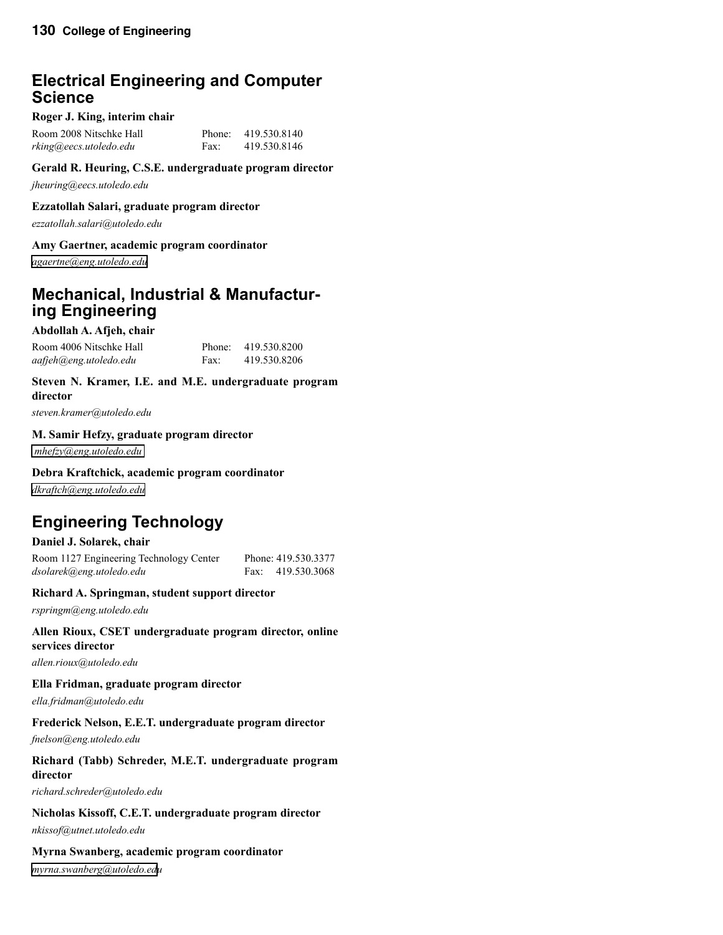# \ **Electrical Engineering and Computer Science**

#### **Roger J. King, interim chair**

| Room 2008 Nitschke Hall | Phone: | 419.530.8140 |
|-------------------------|--------|--------------|
| rking@eecs.utoledo.edu  | Fax:   | 419.530.8146 |

#### **Gerald R. Heuring, C.S.E. undergraduate program director**

*jheuring@eecs.utoledo.edu*

#### **Ezzatollah Salari, graduate program director**

*ezzatollah.salari@utoledo.edu*

#### **Amy Gaertner, academic program coordinator**

*[agaertne@eng.utoledo.edu](mailto:agaertne@eng.utoledo.edu)*

# **Mechanical, Industrial & Manufactur- ing Engineering**

#### **Abdollah A. Afjeh, chair**

Room 4006 Nitschke Hall Phone: 419.530.8200 *aafjeh@eng.utoledo.edu* Fax: 419.530.8206

#### **Steven N. Kramer, I.E. and M.E. undergraduate program director**

*steven.kramer@utoledo.edu*

#### **M. Samir Hefzy, graduate program director**

 *[mhefzy@eng.utoledo.edu](mailto:mhefzy@uoft02.utoledo.edu)*

#### **Debra Kraftchick, academic program coordinator**

*[dkraftch@eng.utoledo.edu](mailto:dkraftch@eng.utoledo.edu)*

# **Engineering Technology**

#### **Daniel J. Solarek, chair**

Room 1127 Engineering Technology Center Phone: 419.530.3377 *dsolarek@eng.utoledo.edu* Fax: 419.530.3068

#### **Richard A. Springman, student support director**

*rspringm@eng.utoledo.edu*

#### **Allen Rioux, CSET undergraduate program director, online services director**

*allen.rioux@utoledo.edu*

#### **Ella Fridman, graduate program director**

*ella.fridman@utoledo.edu*

#### **Frederick Nelson, E.E.T. undergraduate program director**

*fnelson@eng.utoledo.edu*

#### **Richard (Tabb) Schreder, M.E.T. undergraduate program director**

*richard.schreder@utoledo.edu*

#### **Nicholas Kissoff, C.E.T. undergraduate program director**

*nkissof@utnet.utoledo.edu*

#### **Myrna Swanberg, academic program coordinator**

*[myrna.swanberg@utoledo.edu](mailto:myrna.swanberg@utoledo.ed)*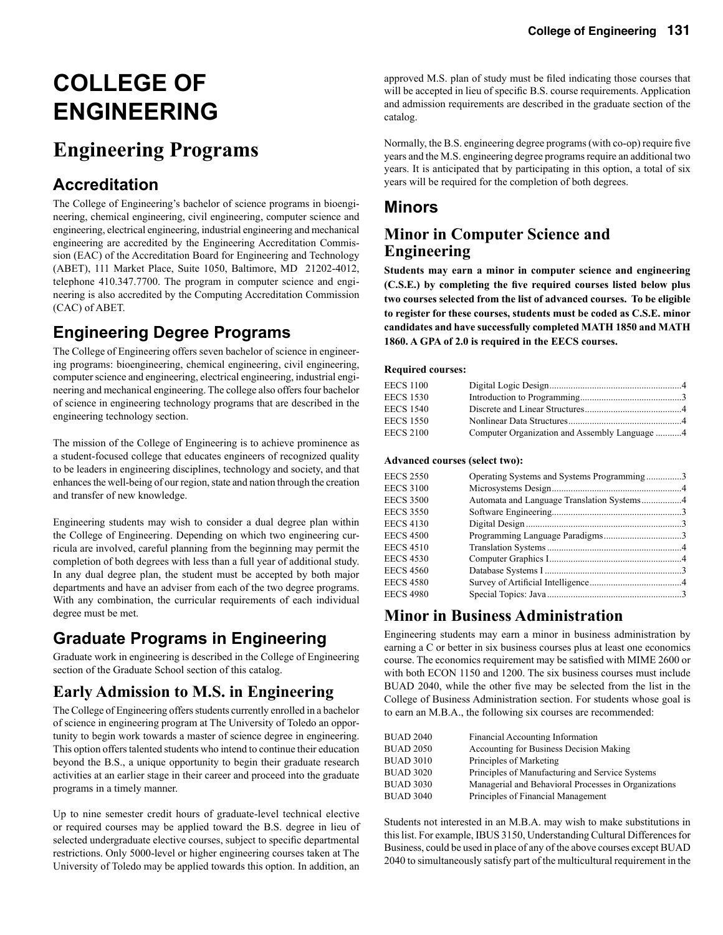# **COLLEGE OF ENGINEERING**

# **Engineering Programs**

# **Accreditation**

The College of Engineering's bachelor of science programs in bioengineering, chemical engineering, civil engineering, computer science and engineering, electrical engineering, industrial engineering and mechanical engineering are accredited by the Engineering Accreditation Commission (EAC) of the Accreditation Board for Engineering and Technology (ABET), 111 Market Place, Suite 1050, Baltimore, MD 21202-4012, telephone 410.347.7700. The program in computer science and engineering is also accredited by the Computing Accreditation Commission (CAC) of ABET.

# **Engineering Degree Programs**

The College of Engineering offers seven bachelor of science in engineering programs: bioengineering, chemical engineering, civil engineering, computer science and engineering, electrical engineering, industrial engineering and mechanical engineering. The college also offers four bachelor of science in engineering technology programs that are described in the engineering technology section.

The mission of the College of Engineering is to achieve prominence as a student-focused college that educates engineers of recognized quality to be leaders in engineering disciplines, technology and society, and that enhances the well-being of our region, state and nation through the creation and transfer of new knowledge.

Engineering students may wish to consider a dual degree plan within the College of Engineering. Depending on which two engineering curricula are involved, careful planning from the beginning may permit the completion of both degrees with less than a full year of additional study. In any dual degree plan, the student must be accepted by both major departments and have an adviser from each of the two degree programs. With any combination, the curricular requirements of each individual degree must be met.

# **Graduate Programs in Engineering**

Graduate work in engineering is described in the College of Engineering section of the Graduate School section of this catalog.

# **Early Admission to M.S. in Engineering**

The College of Engineering offers students currently enrolled in a bachelor of science in engineering program at The University of Toledo an opportunity to begin work towards a master of science degree in engineering. This option offers talented students who intend to continue their education beyond the B.S., a unique opportunity to begin their graduate research activities at an earlier stage in their career and proceed into the graduate programs in a timely manner.

Up to nine semester credit hours of graduate-level technical elective or required courses may be applied toward the B.S. degree in lieu of selected undergraduate elective courses, subject to specific departmental restrictions. Only 5000-level or higher engineering courses taken at The University of Toledo may be applied towards this option. In addition, an

approved M.S. plan of study must be filed indicating those courses that will be accepted in lieu of specific B.S. course requirements. Application and admission requirements are described in the graduate section of the catalog.

Normally, the B.S. engineering degree programs (with co-op) require five years and the M.S. engineering degree programs require an additional two years. It is anticipated that by participating in this option, a total of six years will be required for the completion of both degrees.

# **Minors**

### **Minor in Computer Science and Engineering**

**Students may earn a minor in computer science and engineering (C.S.E.) by completing the five required courses listed below plus two courses selected from the list of advanced courses. To be eligible to register for these courses, students must be coded as C.S.E. minor candidates and have successfully completed MATH 1850 and MATH 1860. A GPA of 2.0 is required in the EECS courses.** 

#### **Required courses:**

| <b>EECS 1100</b> |                                               |  |
|------------------|-----------------------------------------------|--|
| <b>EECS 1530</b> |                                               |  |
| <b>EECS 1540</b> |                                               |  |
| <b>EECS 1550</b> |                                               |  |
| <b>EECS 2100</b> | Computer Organization and Assembly Language 4 |  |

#### **Advanced courses (select two):**

| <b>EECS 2550</b> | Operating Systems and Systems Programming3 |  |
|------------------|--------------------------------------------|--|
| <b>EECS 3100</b> |                                            |  |
| <b>EECS 3500</b> |                                            |  |
| <b>EECS 3550</b> |                                            |  |
| <b>EECS 4130</b> |                                            |  |
| <b>EECS 4500</b> |                                            |  |
| <b>EECS 4510</b> |                                            |  |
| <b>EECS 4530</b> |                                            |  |
| <b>EECS 4560</b> |                                            |  |
| <b>EECS 4580</b> |                                            |  |
| <b>EECS 4980</b> |                                            |  |
|                  |                                            |  |

# **Minor in Business Administration**

Engineering students may earn a minor in business administration by earning a C or better in six business courses plus at least one economics course. The economics requirement may be satisfied with MIME 2600 or with both ECON 1150 and 1200. The six business courses must include BUAD 2040, while the other five may be selected from the list in the College of Business Administration section. For students whose goal is to earn an M.B.A., the following six courses are recommended:

| <b>BUAD 2040</b> | Financial Accounting Information                     |
|------------------|------------------------------------------------------|
| <b>BUAD 2050</b> | Accounting for Business Decision Making              |
| <b>BUAD 3010</b> | Principles of Marketing                              |
| <b>BUAD 3020</b> | Principles of Manufacturing and Service Systems      |
| <b>BUAD 3030</b> | Managerial and Behavioral Processes in Organizations |
| <b>BUAD 3040</b> | Principles of Financial Management                   |
|                  |                                                      |

Students not interested in an M.B.A. may wish to make substitutions in this list. For example, IBUS 3150, Understanding Cultural Differences for Business, could be used in place of any of the above courses except BUAD 2040 to simultaneously satisfy part of the multicultural requirement in the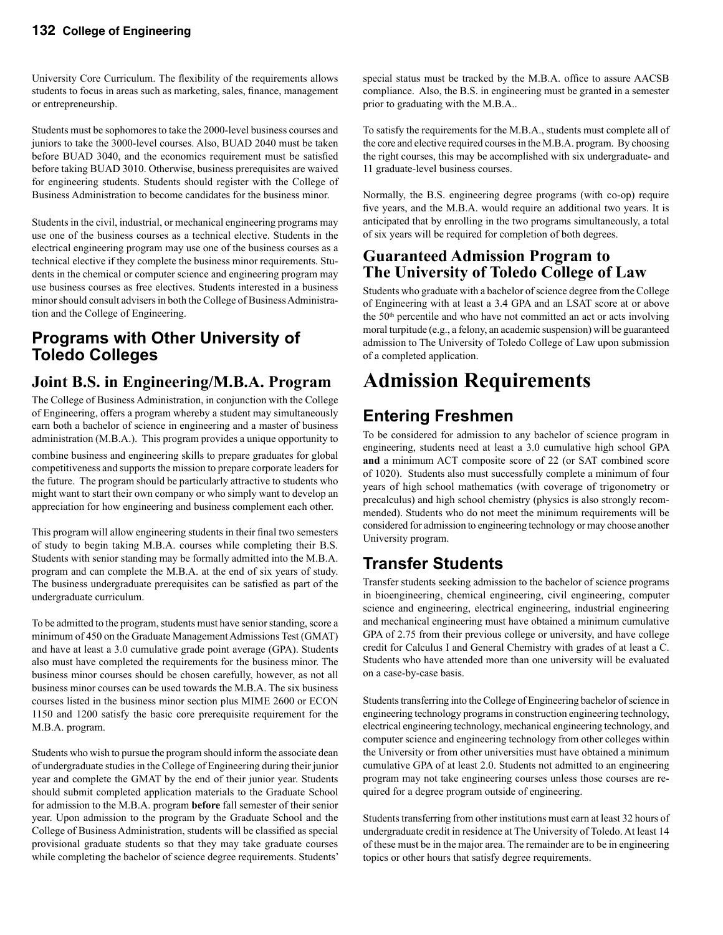University Core Curriculum. The flexibility of the requirements allows students to focus in areas such as marketing, sales, finance, management or entrepreneurship.

Students must be sophomores to take the 2000-level business courses and juniors to take the 3000-level courses. Also, BUAD 2040 must be taken before BUAD 3040, and the economics requirement must be satisfied before taking BUAD 3010. Otherwise, business prerequisites are waived for engineering students. Students should register with the College of Business Administration to become candidates for the business minor.

Students in the civil, industrial, or mechanical engineering programs may use one of the business courses as a technical elective. Students in the electrical engineering program may use one of the business courses as a technical elective if they complete the business minor requirements. Students in the chemical or computer science and engineering program may use business courses as free electives. Students interested in a business minor should consult advisers in both the College of Business Administration and the College of Engineering.

# **Programs with Other University of Toledo Colleges**

# **Joint B.S. in Engineering/M.B.A. Program**

The College of Business Administration, in conjunction with the College of Engineering, offers a program whereby a student may simultaneously earn both a bachelor of science in engineering and a master of business administration (M.B.A.). This program provides a unique opportunity to

combine business and engineering skills to prepare graduates for global competitiveness and supports the mission to prepare corporate leaders for the future. The program should be particularly attractive to students who might want to start their own company or who simply want to develop an appreciation for how engineering and business complement each other.

This program will allow engineering students in their final two semesters of study to begin taking M.B.A. courses while completing their B.S. Students with senior standing may be formally admitted into the M.B.A. program and can complete the M.B.A. at the end of six years of study. The business undergraduate prerequisites can be satisfied as part of the undergraduate curriculum.

To be admitted to the program, students must have senior standing, score a minimum of 450 on the Graduate Management Admissions Test (GMAT) and have at least a 3.0 cumulative grade point average (GPA). Students also must have completed the requirements for the business minor. The business minor courses should be chosen carefully, however, as not all business minor courses can be used towards the M.B.A. The six business courses listed in the business minor section plus MIME 2600 or ECON 1150 and 1200 satisfy the basic core prerequisite requirement for the M.B.A. program.

Students who wish to pursue the program should inform the associate dean of undergraduate studies in the College of Engineering during their junior year and complete the GMAT by the end of their junior year. Students should submit completed application materials to the Graduate School for admission to the M.B.A. program **before** fall semester of their senior year. Upon admission to the program by the Graduate School and the College of Business Administration, students will be classified as special provisional graduate students so that they may take graduate courses while completing the bachelor of science degree requirements. Students'

special status must be tracked by the M.B.A. office to assure AACSB compliance. Also, the B.S. in engineering must be granted in a semester prior to graduating with the M.B.A..

To satisfy the requirements for the M.B.A., students must complete all of the core and elective required courses in the M.B.A. program. By choosing the right courses, this may be accomplished with six undergraduate- and 11 graduate-level business courses.

Normally, the B.S. engineering degree programs (with co-op) require five years, and the M.B.A. would require an additional two years. It is anticipated that by enrolling in the two programs simultaneously, a total of six years will be required for completion of both degrees.

### **Guaranteed Admission Program to The University of Toledo College of Law**

Students who graduate with a bachelor of science degree from the College of Engineering with at least a 3.4 GPA and an LSAT score at or above the 50<sup>th</sup> percentile and who have not committed an act or acts involving moral turpitude (e.g., a felony, an academic suspension) will be guaranteed admission to The University of Toledo College of Law upon submission of a completed application.

# **Admission Requirements**

# **Entering Freshmen**

To be considered for admission to any bachelor of science program in engineering, students need at least a 3.0 cumulative high school GPA **and** a minimum ACT composite score of 22 (or SAT combined score of 1020). Students also must successfully complete a minimum of four years of high school mathematics (with coverage of trigonometry or precalculus) and high school chemistry (physics is also strongly recommended). Students who do not meet the minimum requirements will be considered for admission to engineering technology or may choose another University program.

# **Transfer Students**

Transfer students seeking admission to the bachelor of science programs in bioengineering, chemical engineering, civil engineering, computer science and engineering, electrical engineering, industrial engineering and mechanical engineering must have obtained a minimum cumulative GPA of 2.75 from their previous college or university, and have college credit for Calculus I and General Chemistry with grades of at least a C. Students who have attended more than one university will be evaluated on a case-by-case basis.

Students transferring into the College of Engineering bachelor of science in engineering technology programs in construction engineering technology, electrical engineering technology, mechanical engineering technology, and computer science and engineering technology from other colleges within the University or from other universities must have obtained a minimum cumulative GPA of at least 2.0. Students not admitted to an engineering program may not take engineering courses unless those courses are required for a degree program outside of engineering.

Students transferring from other institutions must earn at least 32 hours of undergraduate credit in residence at The University of Toledo. At least 14 of these must be in the major area. The remainder are to be in engineering topics or other hours that satisfy degree requirements.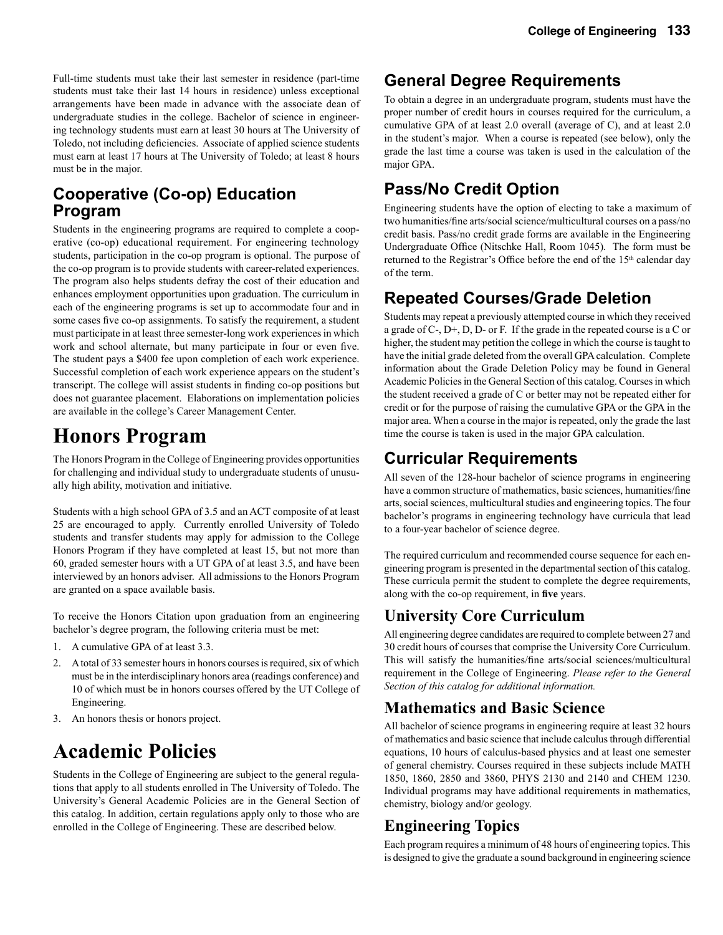Full-time students must take their last semester in residence (part-time students must take their last 14 hours in residence) unless exceptional arrangements have been made in advance with the associate dean of undergraduate studies in the college. Bachelor of science in engineering technology students must earn at least 30 hours at The University of Toledo, not including deficiencies. Associate of applied science students must earn at least 17 hours at The University of Toledo; at least 8 hours must be in the major.

# **Cooperative (Co-op) Education Program**

Students in the engineering programs are required to complete a cooperative (co-op) educational requirement. For engineering technology students, participation in the co-op program is optional. The purpose of the co-op program is to provide students with career-related experiences. The program also helps students defray the cost of their education and enhances employment opportunities upon graduation. The curriculum in each of the engineering programs is set up to accommodate four and in some cases five co-op assignments. To satisfy the requirement, a student must participate in at least three semester-long work experiences in which work and school alternate, but many participate in four or even five. The student pays a \$400 fee upon completion of each work experience. Successful completion of each work experience appears on the student's transcript. The college will assist students in finding co-op positions but does not guarantee placement. Elaborations on implementation policies are available in the college's Career Management Center.

# **Honors Program**

The Honors Program in the College of Engineering provides opportunities for challenging and individual study to undergraduate students of unusually high ability, motivation and initiative.

Students with a high school GPA of 3.5 and an ACT composite of at least 25 are encouraged to apply. Currently enrolled University of Toledo students and transfer students may apply for admission to the College Honors Program if they have completed at least 15, but not more than 60, graded semester hours with a UT GPA of at least 3.5, and have been interviewed by an honors adviser. All admissions to the Honors Program are granted on a space available basis.

To receive the Honors Citation upon graduation from an engineering bachelor's degree program, the following criteria must be met:

- 1. A cumulative GPA of at least 3.3.
- 2. A total of 33 semester hours in honors courses is required, six of which must be in the interdisciplinary honors area (readings conference) and 10 of which must be in honors courses offered by the UT College of Engineering.
- 3. An honors thesis or honors project.

# **Academic Policies**

Students in the College of Engineering are subject to the general regulations that apply to all students enrolled in The University of Toledo. The University's General Academic Policies are in the General Section of this catalog. In addition, certain regulations apply only to those who are enrolled in the College of Engineering. These are described below.

# **General Degree Requirements**

To obtain a degree in an undergraduate program, students must have the proper number of credit hours in courses required for the curriculum, a cumulative GPA of at least 2.0 overall (average of C), and at least 2.0 in the student's major. When a course is repeated (see below), only the grade the last time a course was taken is used in the calculation of the major GPA.

# **Pass/No Credit Option**

Engineering students have the option of electing to take a maximum of two humanities/fine arts/social science/multicultural courses on a pass/no credit basis. Pass/no credit grade forms are available in the Engineering Undergraduate Office (Nitschke Hall, Room 1045). The form must be returned to the Registrar's Office before the end of the 15<sup>th</sup> calendar day of the term.

# **Repeated Courses/Grade Deletion**

Students may repeat a previously attempted course in which they received a grade of C-, D+, D, D- or F. If the grade in the repeated course is a C or higher, the student may petition the college in which the course is taught to have the initial grade deleted from the overall GPA calculation. Complete information about the Grade Deletion Policy may be found in General Academic Policies in the General Section of this catalog. Courses in which the student received a grade of C or better may not be repeated either for credit or for the purpose of raising the cumulative GPA or the GPA in the major area. When a course in the major is repeated, only the grade the last time the course is taken is used in the major GPA calculation.

# **Curricular Requirements**

All seven of the 128-hour bachelor of science programs in engineering have a common structure of mathematics, basic sciences, humanities/fine arts, social sciences, multicultural studies and engineering topics. The four bachelor's programs in engineering technology have curricula that lead to a four-year bachelor of science degree.

The required curriculum and recommended course sequence for each engineering program is presented in the departmental section of this catalog. These curricula permit the student to complete the degree requirements, along with the co-op requirement, in **five** years.

# **University Core Curriculum**

All engineering degree candidates are required to complete between 27 and 30 credit hours of courses that comprise the University Core Curriculum. This will satisfy the humanities/fine arts/social sciences/multicultural requirement in the College of Engineering. *Please refer to the General Section of this catalog for additional information.* 

# **Mathematics and Basic Science**

All bachelor of science programs in engineering require at least 32 hours of mathematics and basic science that include calculus through differential equations, 10 hours of calculus-based physics and at least one semester of general chemistry. Courses required in these subjects include MATH 1850, 1860, 2850 and 3860, PHYS 2130 and 2140 and CHEM 1230. Individual programs may have additional requirements in mathematics, chemistry, biology and/or geology.

# **Engineering Topics**

Each program requires a minimum of 48 hours of engineering topics. This is designed to give the graduate a sound background in engineering science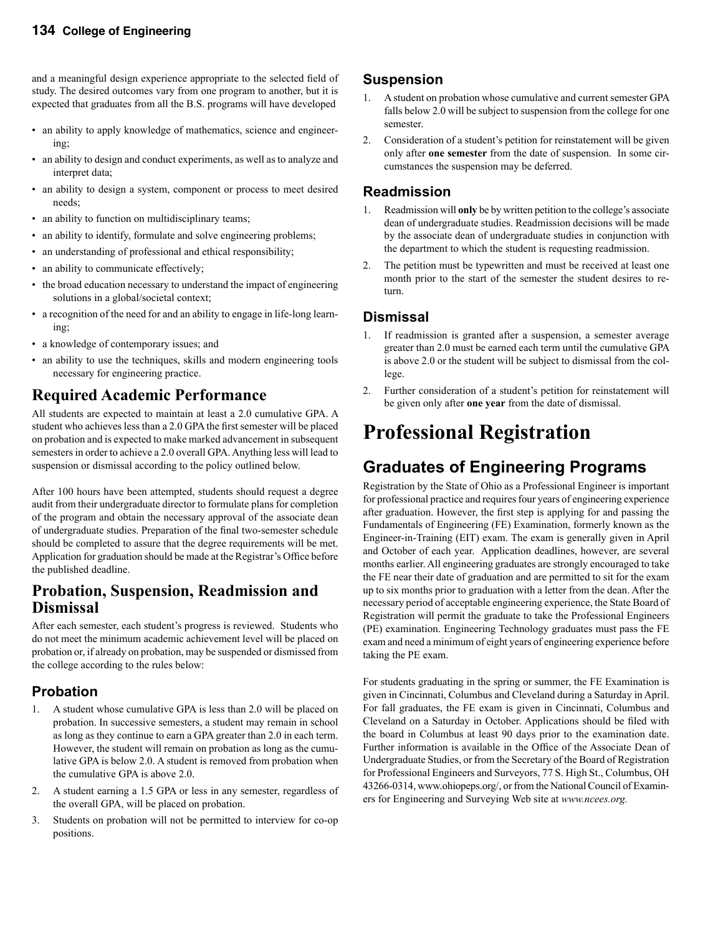and a meaningful design experience appropriate to the selected field of study. The desired outcomes vary from one program to another, but it is expected that graduates from all the B.S. programs will have developed

- an ability to apply knowledge of mathematics, science and engineering;
- an ability to design and conduct experiments, as well as to analyze and interpret data;
- an ability to design a system, component or process to meet desired needs;
- an ability to function on multidisciplinary teams;
- an ability to identify, formulate and solve engineering problems;
- an understanding of professional and ethical responsibility;
- an ability to communicate effectively;
- the broad education necessary to understand the impact of engineering solutions in a global/societal context;
- a recognition of the need for and an ability to engage in life-long learning;
- a knowledge of contemporary issues; and
- an ability to use the techniques, skills and modern engineering tools necessary for engineering practice.

# **Required Academic Performance**

All students are expected to maintain at least a 2.0 cumulative GPA. A student who achieves less than a 2.0 GPA the first semester will be placed on probation and is expected to make marked advancement in subsequent semesters in order to achieve a 2.0 overall GPA. Anything less will lead to suspension or dismissal according to the policy outlined below.

After 100 hours have been attempted, students should request a degree audit from their undergraduate director to formulate plans for completion of the program and obtain the necessary approval of the associate dean of undergraduate studies. Preparation of the final two-semester schedule should be completed to assure that the degree requirements will be met. Application for graduation should be made at the Registrar's Office before the published deadline.

#### **Probation, Suspension, Readmission and Dismissal**

After each semester, each student's progress is reviewed. Students who do not meet the minimum academic achievement level will be placed on probation or, if already on probation, may be suspended or dismissed from the college according to the rules below:

### **Probation**

- 1. A student whose cumulative GPA is less than 2.0 will be placed on probation. In successive semesters, a student may remain in school as long as they continue to earn a GPA greater than 2.0 in each term. However, the student will remain on probation as long as the cumulative GPA is below 2.0. A student is removed from probation when the cumulative GPA is above 2.0.
- 2. A student earning a 1.5 GPA or less in any semester, regardless of the overall GPA, will be placed on probation.
- 3. Students on probation will not be permitted to interview for co-op positions.

#### **Suspension**

- 1. A student on probation whose cumulative and current semester GPA falls below 2.0 will be subject to suspension from the college for one semester.
- 2. Consideration of a student's petition for reinstatement will be given only after **one semester** from the date of suspension. In some circumstances the suspension may be deferred.

#### **Readmission**

- 1. Readmission will **only** be by written petition to the college's associate dean of undergraduate studies. Readmission decisions will be made by the associate dean of undergraduate studies in conjunction with the department to which the student is requesting readmission.
- 2. The petition must be typewritten and must be received at least one month prior to the start of the semester the student desires to return.

#### **Dismissal**

- 1. If readmission is granted after a suspension, a semester average greater than 2.0 must be earned each term until the cumulative GPA is above 2.0 or the student will be subject to dismissal from the college.
- 2. Further consideration of a student's petition for reinstatement will be given only after **one year** from the date of dismissal.

# **Professional Registration**

# **Graduates of Engineering Programs**

Registration by the State of Ohio as a Professional Engineer is important for professional practice and requires four years of engineering experience after graduation. However, the first step is applying for and passing the Fundamentals of Engineering (FE) Examination, formerly known as the Engineer-in-Training (EIT) exam. The exam is generally given in April and October of each year. Application deadlines, however, are several months earlier. All engineering graduates are strongly encouraged to take the FE near their date of graduation and are permitted to sit for the exam up to six months prior to graduation with a letter from the dean. After the necessary period of acceptable engineering experience, the State Board of Registration will permit the graduate to take the Professional Engineers (PE) examination. Engineering Technology graduates must pass the FE exam and need a minimum of eight years of engineering experience before taking the PE exam.

For students graduating in the spring or summer, the FE Examination is given in Cincinnati, Columbus and Cleveland during a Saturday in April. For fall graduates, the FE exam is given in Cincinnati, Columbus and Cleveland on a Saturday in October. Applications should be filed with the board in Columbus at least 90 days prior to the examination date. Further information is available in the Office of the Associate Dean of Undergraduate Studies, or from the Secretary of the Board of Registration for Professional Engineers and Surveyors, 77 S. High St., Columbus, OH 43266-0314, www.ohiopeps.org/, or from the National Council of Examiners for Engineering and Surveying Web site at *www.ncees.org.*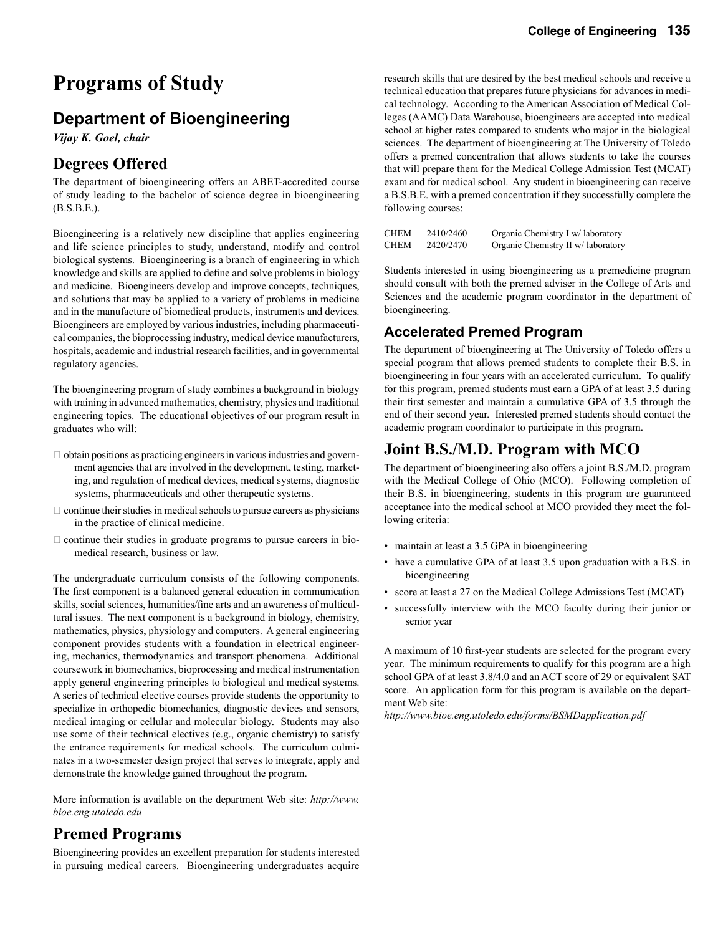# **Programs of Study**

# **Department of Bioengineering**

*Vijay K. Goel, chair*

### **Degrees Offered**

The department of bioengineering offers an ABET-accredited course of study leading to the bachelor of science degree in bioengineering (B.S.B.E.).

Bioengineering is a relatively new discipline that applies engineering and life science principles to study, understand, modify and control biological systems. Bioengineering is a branch of engineering in which knowledge and skills are applied to define and solve problems in biology and medicine. Bioengineers develop and improve concepts, techniques, and solutions that may be applied to a variety of problems in medicine and in the manufacture of biomedical products, instruments and devices. Bioengineers are employed by various industries, including pharmaceutical companies, the bioprocessing industry, medical device manufacturers, hospitals, academic and industrial research facilities, and in governmental regulatory agencies.

The bioengineering program of study combines a background in biology with training in advanced mathematics, chemistry, physics and traditional engineering topics. The educational objectives of our program result in graduates who will:

- $\Box$  obtain positions as practicing engineers in various industries and government agencies that are involved in the development, testing, marketing, and regulation of medical devices, medical systems, diagnostic systems, pharmaceuticals and other therapeutic systems.
- $\Box$  continue their studies in medical schools to pursue careers as physicians in the practice of clinical medicine.
- $\Box$  continue their studies in graduate programs to pursue careers in biomedical research, business or law.

The undergraduate curriculum consists of the following components. The first component is a balanced general education in communication skills, social sciences, humanities/fine arts and an awareness of multicultural issues. The next component is a background in biology, chemistry, mathematics, physics, physiology and computers. A general engineering component provides students with a foundation in electrical engineering, mechanics, thermodynamics and transport phenomena. Additional coursework in biomechanics, bioprocessing and medical instrumentation apply general engineering principles to biological and medical systems. A series of technical elective courses provide students the opportunity to specialize in orthopedic biomechanics, diagnostic devices and sensors, medical imaging or cellular and molecular biology. Students may also use some of their technical electives (e.g., organic chemistry) to satisfy the entrance requirements for medical schools. The curriculum culminates in a two-semester design project that serves to integrate, apply and demonstrate the knowledge gained throughout the program.

More information is available on the department Web site: *http://www. bioe.eng.utoledo.edu*

#### **Premed Programs**

Bioengineering provides an excellent preparation for students interested in pursuing medical careers. Bioengineering undergraduates acquire

research skills that are desired by the best medical schools and receive a technical education that prepares future physicians for advances in medical technology. According to the American Association of Medical Colleges (AAMC) Data Warehouse, bioengineers are accepted into medical school at higher rates compared to students who major in the biological sciences. The department of bioengineering at The University of Toledo offers a premed concentration that allows students to take the courses that will prepare them for the Medical College Admission Test (MCAT) exam and for medical school. Any student in bioengineering can receive a B.S.B.E. with a premed concentration if they successfully complete the following courses:

| CHEM | 2410/2460 | Organic Chemistry I w/ laboratory  |
|------|-----------|------------------------------------|
| CHEM | 2420/2470 | Organic Chemistry II w/ laboratory |

Students interested in using bioengineering as a premedicine program should consult with both the premed adviser in the College of Arts and Sciences and the academic program coordinator in the department of bioengineering.

#### **Accelerated Premed Program**

The department of bioengineering at The University of Toledo offers a special program that allows premed students to complete their B.S. in bioengineering in four years with an accelerated curriculum. To qualify for this program, premed students must earn a GPA of at least 3.5 during their first semester and maintain a cumulative GPA of 3.5 through the end of their second year. Interested premed students should contact the academic program coordinator to participate in this program.

### **Joint B.S./M.D. Program with MCO**

The department of bioengineering also offers a joint B.S./M.D. program with the Medical College of Ohio (MCO). Following completion of their B.S. in bioengineering, students in this program are guaranteed acceptance into the medical school at MCO provided they meet the following criteria:

- maintain at least a 3.5 GPA in bioengineering
- have a cumulative GPA of at least 3.5 upon graduation with a B.S. in bioengineering
- score at least a 27 on the Medical College Admissions Test (MCAT)
- successfully interview with the MCO faculty during their junior or senior year

A maximum of 10 first-year students are selected for the program every year. The minimum requirements to qualify for this program are a high school GPA of at least 3.8/4.0 and an ACT score of 29 or equivalent SAT score. An application form for this program is available on the department Web site:

*http://www.bioe.eng.utoledo.edu/forms/BSMDapplication.pdf*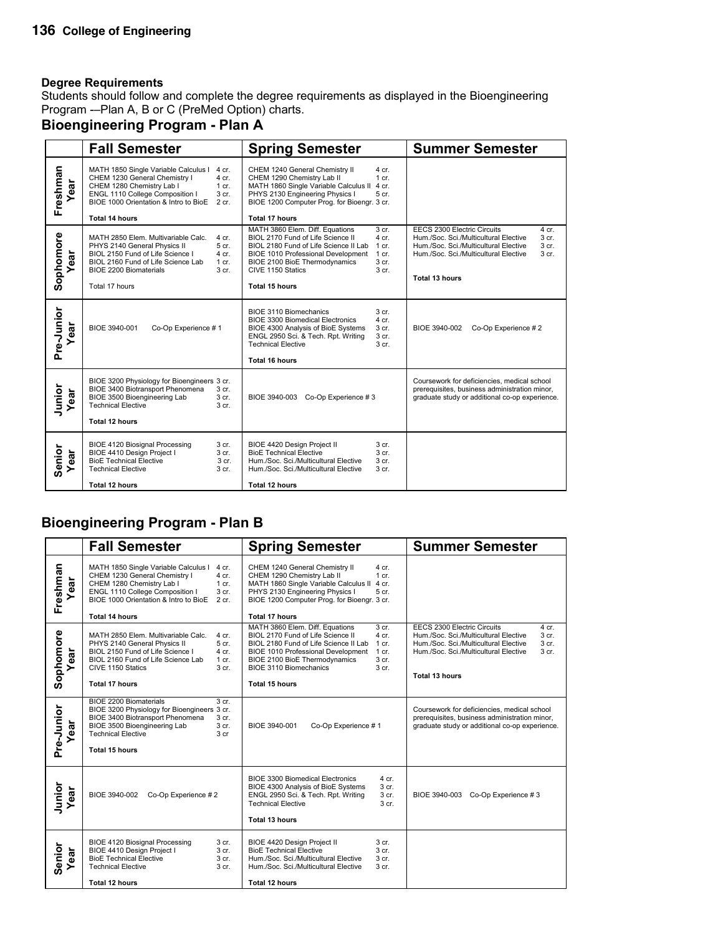Students should follow and complete the degree requirements as displayed in the Bioengineering Program -–Plan A, B or C (PreMed Option) charts.

### **Bioengineering Program - Plan A**

|                   | <b>Fall Semester</b>                                                                                                                                                                                                                                                | <b>Spring Semester</b>                                                                                                                                                                                                                                                                                                           | <b>Summer Semester</b>                                                                                                                                                                                              |
|-------------------|---------------------------------------------------------------------------------------------------------------------------------------------------------------------------------------------------------------------------------------------------------------------|----------------------------------------------------------------------------------------------------------------------------------------------------------------------------------------------------------------------------------------------------------------------------------------------------------------------------------|---------------------------------------------------------------------------------------------------------------------------------------------------------------------------------------------------------------------|
| Freshman<br>ear   | MATH 1850 Single Variable Calculus I<br>4 cr.<br>CHEM 1230 General Chemistry I<br>4 cr.<br>CHEM 1280 Chemistry Lab I<br>$1$ cr.<br>ENGL 1110 College Composition I<br>3 cr.<br>BIOE 1000 Orientation & Intro to BioE<br>2 cr.<br>Total 14 hours                     | CHEM 1240 General Chemistry II<br>4 cr.<br>CHEM 1290 Chemistry Lab II<br>$1$ cr.<br>MATH 1860 Single Variable Calculus II<br>4 cr.<br>PHYS 2130 Engineering Physics I<br>5 cr.<br>BIOE 1200 Computer Prog. for Bioengr. 3 cr.<br><b>Total 17 hours</b>                                                                           |                                                                                                                                                                                                                     |
| Sophomore<br>ear  | MATH 2850 Elem. Multivariable Calc.<br>4 cr.<br>PHYS 2140 General Physics II<br>5 cr.<br>BIOL 2150 Fund of Life Science I<br>4 cr.<br>BIOL 2160 Fund of Life Science Lab<br>$1 \text{ cr}$ .<br><b>BIOE 2200 Biomaterials</b><br>3 <sub>cr.</sub><br>Total 17 hours | MATH 3860 Elem. Diff. Equations<br>3 cr.<br>BIOL 2170 Fund of Life Science II<br>4 cr.<br>BIOL 2180 Fund of Life Science II Lab<br>$1 \text{ cr}$ .<br>BIOE 1010 Professional Development<br>1 cr.<br><b>BIOE 2100 BioE Thermodynamics</b><br>3 <sub>cr.</sub><br>CIVE 1150 Statics<br>3 <sub>cr.</sub><br><b>Total 15 hours</b> | <b>EECS 2300 Electric Circuits</b><br>4 cr.<br>Hum./Soc. Sci./Multicultural Elective<br>3 cr.<br>Hum./Soc. Sci./Multicultural Elective<br>3 cr.<br>Hum./Soc. Sci./Multicultural Elective<br>3 cr.<br>Total 13 hours |
| Pre-Junior<br>ear | BIOE 3940-001<br>Co-Op Experience #1                                                                                                                                                                                                                                | BIOE 3110 Biomechanics<br>3 <sub>cr.</sub><br>4 cr.<br><b>BIOE 3300 Biomedical Electronics</b><br>3 cr.<br>BIOE 4300 Analysis of BioE Systems<br>3 cr.<br>ENGL 2950 Sci. & Tech. Rpt. Writing<br><b>Technical Elective</b><br>3 cr.<br><b>Total 16 hours</b>                                                                     | BIOE 3940-002<br>Co-Op Experience #2                                                                                                                                                                                |
| Junior<br>ear     | BIOE 3200 Physiology for Bioengineers 3 cr.<br>BIOE 3400 Biotransport Phenomena<br>3 cr.<br>3 cr.<br>BIOE 3500 Bioengineering Lab<br>Technical Elective<br>3 cr.<br>Total 12 hours                                                                                  | BIOE 3940-003 Co-Op Experience #3                                                                                                                                                                                                                                                                                                | Coursework for deficiencies, medical school<br>prerequisites, business administration minor,<br>graduate study or additional co-op experience.                                                                      |
| Senior<br>ear     | <b>BIOE 4120 Biosignal Processing</b><br>3 <sub>cr.</sub><br>BIOE 4410 Design Project I<br>3 cr.<br><b>BioE Technical Elective</b><br>3 cr.<br><b>Technical Elective</b><br>3 cr.<br>Total 12 hours                                                                 | BIOE 4420 Design Project II<br>3 <sub>cr.</sub><br><b>BioE Technical Elective</b><br>3 <sub>cr.</sub><br>Hum./Soc. Sci./Multicultural Elective<br>$3$ cr.<br>3 cr.<br>Hum./Soc. Sci./Multicultural Elective<br><b>Total 12 hours</b>                                                                                             |                                                                                                                                                                                                                     |

### **Bioengineering Program - Plan B**

|                     | <b>Fall Semester</b>                                                                                                                                                                                                                          | <b>Spring Semester</b>                                                                                                                                                                                                                                                                                       | <b>Summer Semester</b>                                                                                                                                                                                              |
|---------------------|-----------------------------------------------------------------------------------------------------------------------------------------------------------------------------------------------------------------------------------------------|--------------------------------------------------------------------------------------------------------------------------------------------------------------------------------------------------------------------------------------------------------------------------------------------------------------|---------------------------------------------------------------------------------------------------------------------------------------------------------------------------------------------------------------------|
| Freshman<br>ear     | MATH 1850 Single Variable Calculus I<br>4 cr.<br>CHEM 1230 General Chemistry I<br>4 cr.<br>CHEM 1280 Chemistry Lab I<br>1 cr.<br>ENGL 1110 College Composition I<br>3 cr.<br>BIOE 1000 Orientation & Intro to BioE<br>2 cr.<br>Total 14 hours | CHEM 1240 General Chemistry II<br>4 cr.<br>CHEM 1290 Chemistry Lab II<br>$1$ cr.<br>MATH 1860 Single Variable Calculus II<br>4 cr.<br>PHYS 2130 Engineering Physics I<br>5 cr.<br>BIOE 1200 Computer Prog. for Bioengr. 3 cr.<br>Total 17 hours                                                              |                                                                                                                                                                                                                     |
| Sophomore<br>ಹ<br>ه | MATH 2850 Elem. Multivariable Calc.<br>4 cr.<br>5 cr.<br>PHYS 2140 General Physics II<br>BIOL 2150 Fund of Life Science I<br>4 cr.<br>BIOL 2160 Fund of Life Science Lab<br>1 cr.<br>CIVE 1150 Statics<br>3 cr.<br><b>Total 17 hours</b>      | 3 cr.<br>MATH 3860 Elem. Diff. Equations<br>BIOL 2170 Fund of Life Science II<br>4 cr.<br>BIOL 2180 Fund of Life Science II Lab<br>$1$ cr.<br>BIOE 1010 Professional Development<br>$1$ cr.<br>BIOE 2100 BioE Thermodynamics<br>3 <sub>cr.</sub><br>BIOE 3110 Biomechanics<br>3 cr.<br><b>Total 15 hours</b> | EECS 2300 Electric Circuits<br>4 cr.<br>Hum./Soc. Sci./Multicultural Elective<br>3 cr.<br>Hum./Soc. Sci./Multicultural Elective<br>3 cr.<br>Hum./Soc. Sci./Multicultural Elective<br>3 cr.<br><b>Total 13 hours</b> |
| Pre-Junior<br>ea    | <b>BIOE 2200 Biomaterials</b><br>3 cr.<br>BIOE 3200 Physiology for Bioengineers 3 cr.<br>BIOE 3400 Biotransport Phenomena<br>3 cr.<br>BIOE 3500 Bioengineering Lab<br>3 cr.<br><b>Technical Elective</b><br>3 cr<br><b>Total 15 hours</b>     | BIOE 3940-001<br>Co-Op Experience #1                                                                                                                                                                                                                                                                         | Coursework for deficiencies, medical school<br>prerequisites, business administration minor,<br>graduate study or additional co-op experience.                                                                      |
| Junior<br>Year      | BIOE 3940-002<br>Co-Op Experience #2                                                                                                                                                                                                          | <b>BIOE 3300 Biomedical Electronics</b><br>4 cr.<br>3 cr.<br>BIOE 4300 Analysis of BioE Systems<br>ENGL 2950 Sci. & Tech. Rpt. Writing<br>3 cr.<br><b>Technical Elective</b><br>3 cr.<br><b>Total 13 hours</b>                                                                                               | BIOE 3940-003 Co-Op Experience #3                                                                                                                                                                                   |
| Senior<br>ear<br>≻  | <b>BIOE 4120 Biosignal Processing</b><br>3 cr.<br>BIOE 4410 Design Project I<br>3 cr.<br><b>BioE Technical Elective</b><br>3 cr.<br><b>Technical Elective</b><br>3 cr.<br><b>Total 12 hours</b>                                               | BIOE 4420 Design Project II<br>3 cr.<br><b>BioE Technical Elective</b><br>3 cr.<br>Hum./Soc. Sci./Multicultural Elective<br>3 cr.<br>Hum./Soc. Sci./Multicultural Elective<br>3 cr.<br><b>Total 12 hours</b>                                                                                                 |                                                                                                                                                                                                                     |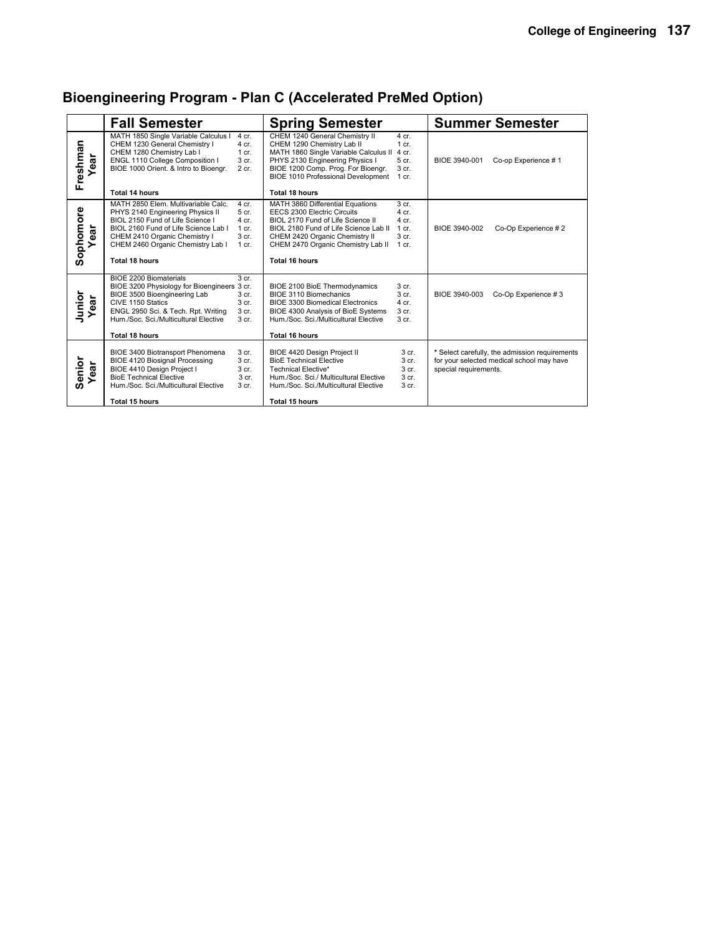|                      | <b>Fall Semester</b>                                                                                                                                                                                                                                                                                    | <b>Spring Semester</b>                                                                                                                                                                                                                                                                                               | <b>Summer Semester</b>                                                                                                                                                                  |
|----------------------|---------------------------------------------------------------------------------------------------------------------------------------------------------------------------------------------------------------------------------------------------------------------------------------------------------|----------------------------------------------------------------------------------------------------------------------------------------------------------------------------------------------------------------------------------------------------------------------------------------------------------------------|-----------------------------------------------------------------------------------------------------------------------------------------------------------------------------------------|
| Freshman<br>Year     | MATH 1850 Single Variable Calculus I<br>4 cr.<br>CHEM 1230 General Chemistry I<br>4 cr.<br>CHEM 1280 Chemistry Lab I<br>$1$ cr.<br>ENGL 1110 College Composition I<br>3 cr.<br>BIOE 1000 Orient. & Intro to Bioengr.<br>2 cr.                                                                           | CHEM 1240 General Chemistry II<br>4 cr.<br>CHEM 1290 Chemistry Lab II<br>$1$ cr.<br>MATH 1860 Single Variable Calculus II<br>4 cr.<br>PHYS 2130 Engineering Physics I<br>5 cr.<br>BIOE 1200 Comp. Prog. For Bioengr.<br>$3$ cr.<br><b>BIOE 1010 Professional Development</b><br>$1$ cr.                              | BIOE 3940-001<br>Co-op Experience #1                                                                                                                                                    |
|                      | Total 14 hours                                                                                                                                                                                                                                                                                          | Total 18 hours                                                                                                                                                                                                                                                                                                       |                                                                                                                                                                                         |
| Sophomore<br>⊾<br>డై | MATH 2850 Elem. Multivariable Calc.<br>$4$ cr.<br>PHYS 2140 Engineering Physics II<br>5 cr.<br>BIOL 2150 Fund of Life Science I<br>4 cr.<br>BIOL 2160 Fund of Life Science Lab I<br>$1 \text{ cr}$ .<br>CHEM 2410 Organic Chemistry I<br>3 <sub>cr.</sub><br>CHEM 2460 Organic Chemistry Lab I<br>1 cr. | MATH 3860 Differential Equations<br>3 <sub>cr.</sub><br><b>EECS 2300 Electric Circuits</b><br>4 <sub>cr</sub><br>BIOL 2170 Fund of Life Science II<br>4 cr.<br>BIOL 2180 Fund of Life Science Lab II<br>$1$ cr.<br>CHEM 2420 Organic Chemistry II<br>3 <sub>cr.</sub><br>CHEM 2470 Organic Chemistry Lab II<br>1 cr. | BIOE 3940-002<br>Co-Op Experience #2                                                                                                                                                    |
|                      | Total 18 hours                                                                                                                                                                                                                                                                                          | Total 16 hours                                                                                                                                                                                                                                                                                                       |                                                                                                                                                                                         |
| Junior<br>Year       | BIOE 2200 Biomaterials<br>3 <sub>cr.</sub><br>BIOE 3200 Physiology for Bioengineers 3 cr.<br>BIOE 3500 Bioengineering Lab<br>3 cr.<br>CIVE 1150 Statics<br>3 <sub>cr.</sub><br>ENGL 2950 Sci. & Tech. Rpt. Writing<br>3 cr.<br>Hum /Soc. Sci./Multicultural Elective<br>3 <sub>cr.</sub>                | <b>BIOE 2100 BioE Thermodynamics</b><br>$3$ cr.<br>BIOE 3110 Biomechanics<br>$3$ cr.<br><b>BIOE 3300 Biomedical Electronics</b><br>4 cr.<br>BIOE 4300 Analysis of BioE Systems<br>$3$ cr.<br>Hum./Soc. Sci./Multicultural Elective<br>$3$ cr.                                                                        | BIOE 3940-003<br>Co-Op Experience #3                                                                                                                                                    |
|                      | <b>Total 18 hours</b>                                                                                                                                                                                                                                                                                   | <b>Total 16 hours</b>                                                                                                                                                                                                                                                                                                |                                                                                                                                                                                         |
| Senior<br>Year       | BIOE 3400 Biotransport Phenomena<br>3 cr.<br><b>BIOE 4120 Biosignal Processing</b><br>3 cr.<br>BIOE 4410 Design Project I<br>3 cr.<br><b>BioE Technical Elective</b><br>3 cr.<br>Hum./Soc. Sci./Multicultural Elective<br>3 cr.                                                                         | BIOE 4420 Design Project II<br><b>BioE Technical Elective</b><br>Technical Elective*<br>Hum./Soc. Sci./ Multicultural Elective<br>Hum./Soc. Sci./Multicultural Elective                                                                                                                                              | 3 cr.<br>* Select carefully, the admission requirements<br>3 <sub>cr.</sub><br>for your selected medical school may have<br>3 <sub>cr.</sub><br>special requirements.<br>3 cr.<br>3 cr. |
|                      | Total 15 hours                                                                                                                                                                                                                                                                                          | Total 15 hours                                                                                                                                                                                                                                                                                                       |                                                                                                                                                                                         |

# **Bioengineering Program - Plan C (Accelerated PreMed Option)**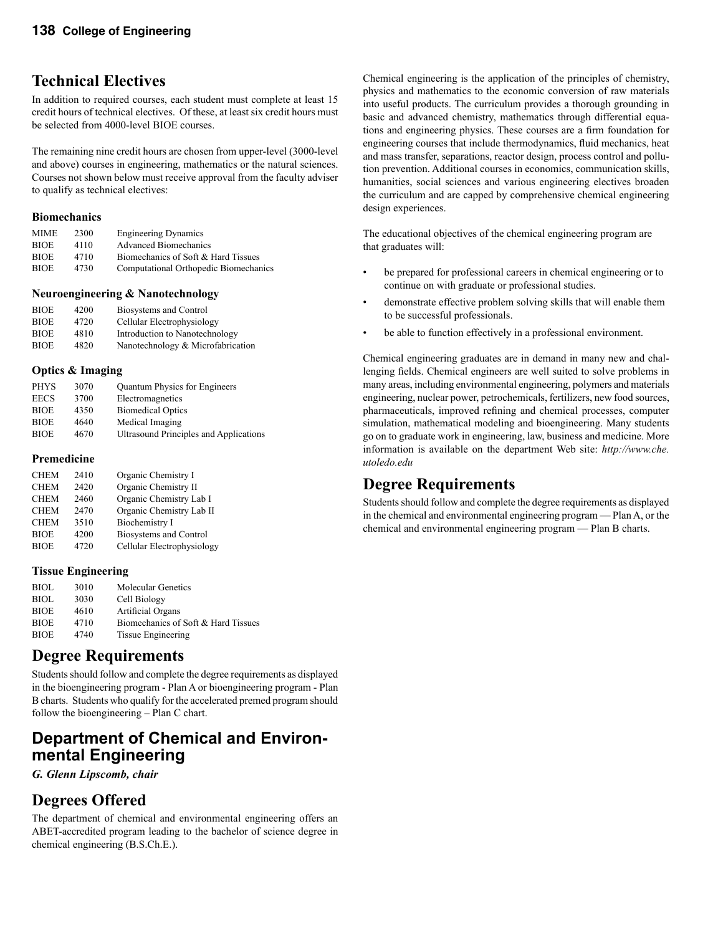## **Technical Electives**

In addition to required courses, each student must complete at least 15 credit hours of technical electives. Of these, at least six credit hours must be selected from 4000-level BIOE courses.

The remaining nine credit hours are chosen from upper-level (3000-level and above) courses in engineering, mathematics or the natural sciences. Courses not shown below must receive approval from the faculty adviser to qualify as technical electives:

#### **Biomechanics**

| <b>Engineering Dynamics</b>           |
|---------------------------------------|
| <b>Advanced Biomechanics</b>          |
| Biomechanics of Soft & Hard Tissues   |
| Computational Orthopedic Biomechanics |
|                                       |

#### **Neuroengineering & Nanotechnology**

| <b>BIOE</b> | 4200 | Biosystems and Control            |
|-------------|------|-----------------------------------|
| <b>BIOE</b> | 4720 | Cellular Electrophysiology        |
| <b>BIOE</b> | 4810 | Introduction to Nanotechnology    |
| <b>BIOE</b> | 4820 | Nanotechnology & Microfabrication |

#### **Optics & Imaging**

| <b>PHYS</b> | 3070 | Quantum Physics for Engineers          |
|-------------|------|----------------------------------------|
| <b>EECS</b> | 3700 | Electromagnetics                       |
| <b>BIOE</b> | 4350 | <b>Biomedical Optics</b>               |
| <b>BIOE</b> | 4640 | Medical Imaging                        |
| <b>BIOE</b> | 4670 | Ultrasound Principles and Applications |

#### **Premedicine**

| <b>CHEM</b> | 2410 | Organic Chemistry I        |
|-------------|------|----------------------------|
|             |      |                            |
| <b>CHEM</b> | 2420 | Organic Chemistry II       |
| <b>CHEM</b> | 2460 | Organic Chemistry Lab I    |
| <b>CHEM</b> | 2470 | Organic Chemistry Lab II   |
| <b>CHEM</b> | 3510 | Biochemistry I             |
| <b>BIOE</b> | 4200 | Biosystems and Control     |
| <b>BIOE</b> | 4720 | Cellular Electrophysiology |

#### **Tissue Engineering**

| <b>BIOL</b> | 3010 | <b>Molecular Genetics</b>           |
|-------------|------|-------------------------------------|
| <b>BIOL</b> | 3030 | Cell Biology                        |
| <b>BIOE</b> | 4610 | Artificial Organs                   |
| <b>BIOE</b> | 4710 | Biomechanics of Soft & Hard Tissues |
| <b>BIOE</b> | 4740 | Tissue Engineering                  |

### **Degree Requirements**

Students should follow and complete the degree requirements as displayed in the bioengineering program - Plan A or bioengineering program - Plan B charts. Students who qualify for the accelerated premed program should follow the bioengineering – Plan C chart.

# **Department of Chemical and Environ- mental Engineering**

*G. Glenn Lipscomb, chair*

### **Degrees Offered**

The department of chemical and environmental engineering offers an ABET-accredited program leading to the bachelor of science degree in chemical engineering (B.S.Ch.E.).

Chemical engineering is the application of the principles of chemistry, physics and mathematics to the economic conversion of raw materials into useful products. The curriculum provides a thorough grounding in basic and advanced chemistry, mathematics through differential equations and engineering physics. These courses are a firm foundation for engineering courses that include thermodynamics, fluid mechanics, heat and mass transfer, separations, reactor design, process control and pollution prevention. Additional courses in economics, communication skills, humanities, social sciences and various engineering electives broaden the curriculum and are capped by comprehensive chemical engineering design experiences.

The educational objectives of the chemical engineering program are that graduates will:

- be prepared for professional careers in chemical engineering or to continue on with graduate or professional studies.
- demonstrate effective problem solving skills that will enable them to be successful professionals.
- be able to function effectively in a professional environment.

Chemical engineering graduates are in demand in many new and challenging fields. Chemical engineers are well suited to solve problems in many areas, including environmental engineering, polymers and materials engineering, nuclear power, petrochemicals, fertilizers, new food sources, pharmaceuticals, improved refining and chemical processes, computer simulation, mathematical modeling and bioengineering. Many students go on to graduate work in engineering, law, business and medicine. More information is available on the department Web site: *http://www.che. utoledo.edu*

# **Degree Requirements**

Students should follow and complete the degree requirements as displayed in the chemical and environmental engineering program — Plan A, or the chemical and environmental engineering program — Plan B charts.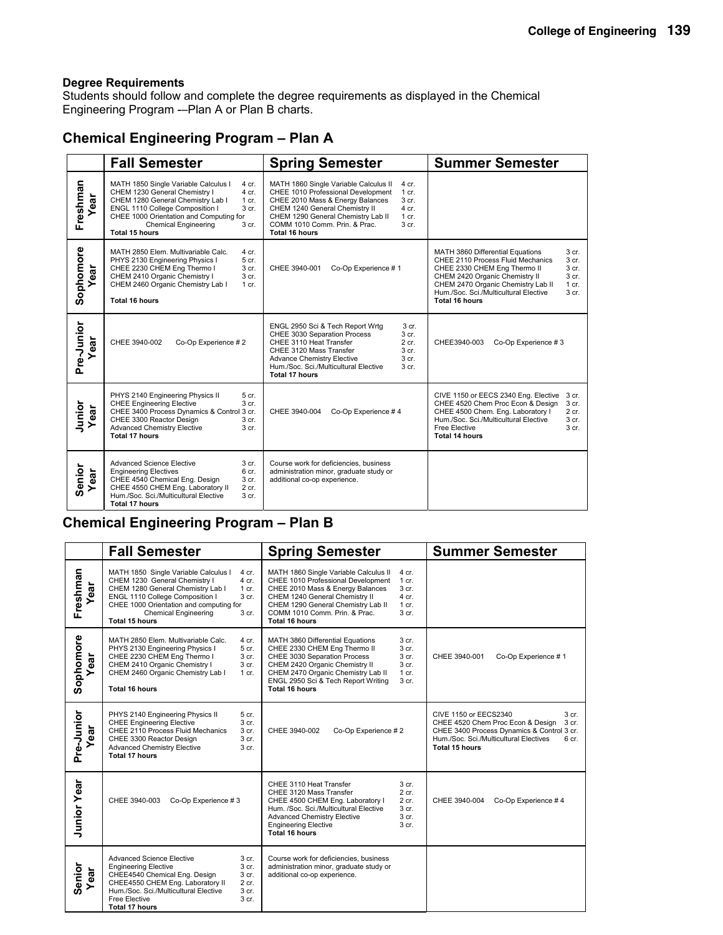Students should follow and complete the degree requirements as displayed in the Chemical Engineering Program -–Plan A or Plan B charts.

### **Chemical Engineering Program – Plan A**

|                  | <b>Fall Semester</b>                                                                                                                                                                                                                                                                   | <b>Spring Semester</b>                                                                                                                                                                                                                                                                                          | <b>Summer Semester</b>                                                                                                                                                                                                                                                                                                                                |
|------------------|----------------------------------------------------------------------------------------------------------------------------------------------------------------------------------------------------------------------------------------------------------------------------------------|-----------------------------------------------------------------------------------------------------------------------------------------------------------------------------------------------------------------------------------------------------------------------------------------------------------------|-------------------------------------------------------------------------------------------------------------------------------------------------------------------------------------------------------------------------------------------------------------------------------------------------------------------------------------------------------|
| Freshman<br>ear  | MATH 1850 Single Variable Calculus I<br>4 cr.<br>CHEM 1230 General Chemistry I<br>4 cr.<br>CHEM 1280 General Chemistry Lab I<br>1 cr.<br>ENGL 1110 College Composition I<br>3 cr.<br>CHEE 1000 Orientation and Computing for<br><b>Chemical Engineering</b><br>3 cr.<br>Total 15 hours | MATH 1860 Single Variable Calculus II<br>4 cr.<br>CHEE 1010 Professional Development<br>$1$ cr.<br>CHEE 2010 Mass & Energy Balances<br>3 cr.<br>CHEM 1240 General Chemistry II<br>$4$ cr.<br>CHEM 1290 General Chemistry Lab II<br>1 cr.<br>COMM 1010 Comm. Prin. & Prac.<br>3 <sub>cr.</sub><br>Total 16 hours |                                                                                                                                                                                                                                                                                                                                                       |
| Sophomore<br>ear | MATH 2850 Elem. Multivariable Calc.<br>4 cr.<br>5 cr.<br>PHYS 2130 Engineering Physics I<br>CHEE 2230 CHEM Eng Thermo I<br>3 cr.<br>CHEM 2410 Organic Chemistry I<br>3 cr.<br>CHEM 2460 Organic Chemistry Lab I<br>$1$ cr.<br><b>Total 16 hours</b>                                    | Co-Op Experience #1<br>CHEE 3940-001                                                                                                                                                                                                                                                                            | MATH 3860 Differential Equations<br>3 <sub>cr.</sub><br>CHEE 2110 Process Fluid Mechanics<br>3 <sub>cr.</sub><br>CHEE 2330 CHEM Eng Thermo II<br>3 <sub>cr.</sub><br>CHEM 2420 Organic Chemistry II<br>3 cr.<br>CHEM 2470 Organic Chemistry Lab II<br>$1 \text{ cr}$ .<br>3 <sub>cr.</sub><br>Hum./Soc. Sci./Multicultural Elective<br>Total 16 hours |
| Pre-Junior<br>đã | CHEE 3940-002<br>Co-Op Experience #2                                                                                                                                                                                                                                                   | ENGL 2950 Sci & Tech Report Wrtg<br>3 cr.<br>CHEE 3030 Separation Process<br>3 cr.<br>CHEE 3110 Heat Transfer<br>2 cr.<br>CHEE 3120 Mass Transfer<br>3 <sub>cr.</sub><br><b>Advance Chemistry Elective</b><br>3 cr.<br>Hum./Soc. Sci./Multicultural Elective<br>3 cr.<br><b>Total 17 hours</b>                  | CHEE3940-003<br>Co-Op Experience #3                                                                                                                                                                                                                                                                                                                   |
| Junior<br>ear    | PHYS 2140 Engineering Physics II<br>5 cr.<br><b>CHEE Engineering Elective</b><br>3 cr.<br>CHEE 3400 Process Dynamics & Control 3 cr.<br>CHEE 3300 Reactor Design<br>3 cr.<br><b>Advanced Chemistry Elective</b><br>3 cr.<br>Total 17 hours                                             | Co-Op Experience #4<br>CHEE 3940-004                                                                                                                                                                                                                                                                            | CIVE 1150 or EECS 2340 Eng. Elective<br>3 cr.<br>CHEE 4520 Chem Proc Econ & Design<br>3 cr.<br>CHEE 4500 Chem. Eng. Laboratory I<br>$2$ cr.<br>Hum./Soc. Sci./Multicultural Elective<br>3 cr.<br>Free Elective<br>3 <sub>cr.</sub><br>Total 14 hours                                                                                                  |
| Senior<br>ear    | <b>Advanced Science Elective</b><br>3 cr.<br><b>Engineering Electives</b><br>6 cr.<br>CHEE 4540 Chemical Eng. Design<br>3 cr.<br>CHEE 4550 CHEM Eng. Laboratory II<br>2 cr.<br>Hum./Soc. Sci./Multicultural Elective<br>3 cr.<br><b>Total 17 hours</b>                                 | Course work for deficiencies, business<br>administration minor, graduate study or<br>additional co-op experience.                                                                                                                                                                                               |                                                                                                                                                                                                                                                                                                                                                       |

### **Chemical Engineering Program – Plan B**

|                      | <b>Fall Semester</b>                                                                                                                                                                                                                                                                                     | <b>Spring Semester</b>                                                                                                                                                                                                                                                                                                 | <b>Summer Semester</b>                                                                                                                                                                                 |
|----------------------|----------------------------------------------------------------------------------------------------------------------------------------------------------------------------------------------------------------------------------------------------------------------------------------------------------|------------------------------------------------------------------------------------------------------------------------------------------------------------------------------------------------------------------------------------------------------------------------------------------------------------------------|--------------------------------------------------------------------------------------------------------------------------------------------------------------------------------------------------------|
| Freshman<br>ear      | MATH 1850 Single Variable Calculus I<br>4 cr.<br>CHEM 1230 General Chemistry I<br>4 cr.<br>CHEM 1280 General Chemistry Lab I<br>1 cr.<br>ENGL 1110 College Composition I<br>3 <sub>cr.</sub><br>CHEE 1000 Orientation and computing for<br><b>Chemical Engineering</b><br>3 cr.<br><b>Total 15 hours</b> | MATH 1860 Single Variable Calculus II<br>4 cr.<br>CHEE 1010 Professional Development<br>$1$ cr.<br>CHEE 2010 Mass & Energy Balances<br>3 cr.<br>CHEM 1240 General Chemistry II<br>4 cr.<br>CHEM 1290 General Chemistry Lab II<br>$1$ cr.<br>COMM 1010 Comm. Prin. & Prac.<br>3 <sub>cr.</sub><br><b>Total 16 hours</b> |                                                                                                                                                                                                        |
| Sophomore<br>ear     | MATH 2850 Elem. Multivariable Calc.<br>4 cr.<br>PHYS 2130 Engineering Physics I<br>5 cr.<br>CHEE 2230 CHEM Eng Thermo I<br>3 cr.<br>CHEM 2410 Organic Chemistry I<br>3 cr.<br>CHEM 2460 Organic Chemistry Lab I<br>1 cr.<br>Total 16 hours                                                               | MATH 3860 Differential Equations<br>3 cr.<br>CHEE 2330 CHEM Eng Thermo II<br>3 cr.<br>CHEE 3030 Separation Process<br>3 cr.<br>CHEM 2420 Organic Chemistry II<br>3 cr.<br>CHEM 2470 Organic Chemistry Lab II<br>1 cr.<br>ENGL 2950 Sci & Tech Report Writing<br>3 cr.<br>Total 16 hours                                | Co-Op Experience #1<br>CHEE 3940-001                                                                                                                                                                   |
| Pre-Junior<br>ă<br>۵ | PHYS 2140 Engineering Physics II<br>5 cr.<br><b>CHEE Engineering Elective</b><br>3 cr.<br>CHEE 2110 Process Fluid Mechanics<br>3 cr.<br>CHEE 3300 Reactor Design<br>3 cr.<br><b>Advanced Chemistry Elective</b><br>3 cr.<br>Total 17 hours                                                               | CHEE 3940-002<br>Co-Op Experience #2                                                                                                                                                                                                                                                                                   | CIVE 1150 or EECS2340<br>3 cr.<br>CHEE 4520 Chem Proc Econ & Design<br>3 cr.<br>CHEE 3400 Process Dynamics & Control 3 cr.<br>Hum./Soc. Sci./Multicultural Electives<br>6 cr.<br><b>Total 15 hours</b> |
| <b>Junior Year</b>   | CHEE 3940-003<br>Co-Op Experience #3                                                                                                                                                                                                                                                                     | CHEE 3110 Heat Transfer<br>3 cr.<br>CHEE 3120 Mass Transfer<br>$2$ cr.<br>CHEE 4500 CHEM Eng. Laboratory I<br>2 cr.<br>Hum. /Soc. Sci./Multicultural Elective<br>3 cr.<br><b>Advanced Chemistry Elective</b><br>3 cr.<br><b>Engineering Elective</b><br>3 cr.<br><b>Total 16 hours</b>                                 | CHEE 3940-004<br>Co-Op Experience #4                                                                                                                                                                   |
| Senior<br>ear        | <b>Advanced Science Elective</b><br>3 cr.<br><b>Engineering Elective</b><br>3 cr.<br>CHEE4540 Chemical Eng. Design<br>3 cr.<br>CHEE4550 CHEM Eng. Laboratory II<br>2 cr.<br>Hum./Soc. Sci./Multicultural Elective<br>3 cr.<br>Free Elective<br>3 cr.<br>Total 17 hours                                   | Course work for deficiencies, business<br>administration minor, graduate study or<br>additional co-op experience.                                                                                                                                                                                                      |                                                                                                                                                                                                        |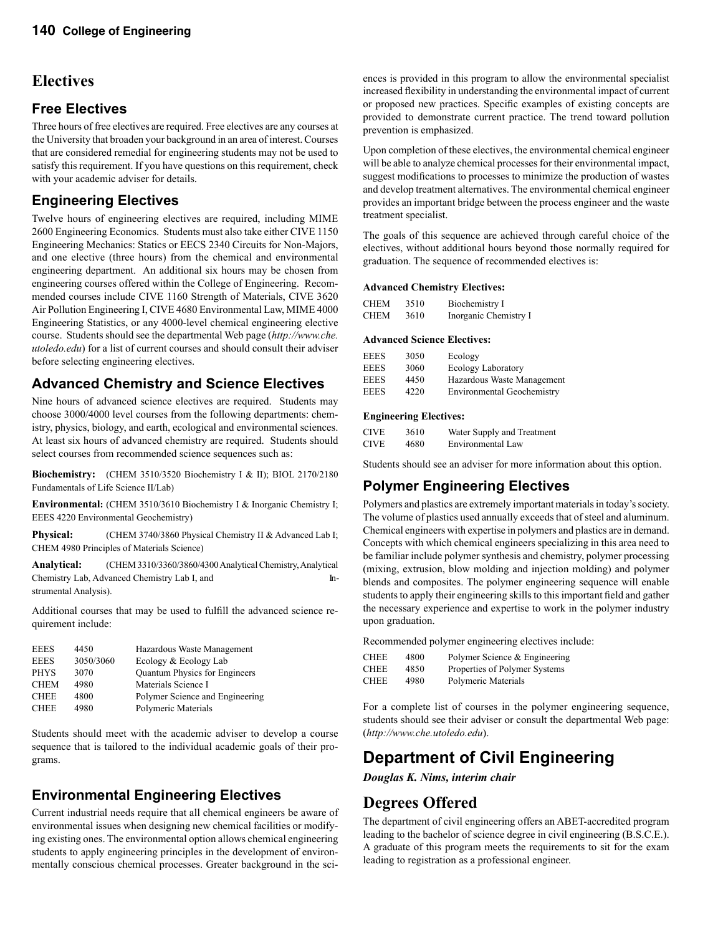### **Electives**

#### **Free Electives**

Three hours of free electives are required. Free electives are any courses at the University that broaden your background in an area of interest. Courses that are considered remedial for engineering students may not be used to satisfy this requirement. If you have questions on this requirement, check with your academic adviser for details.

#### **Engineering Electives**

Twelve hours of engineering electives are required, including MIME 2600 Engineering Economics. Students must also take either CIVE 1150 Engineering Mechanics: Statics or EECS 2340 Circuits for Non-Majors, and one elective (three hours) from the chemical and environmental engineering department. An additional six hours may be chosen from engineering courses offered within the College of Engineering. Recommended courses include CIVE 1160 Strength of Materials, CIVE 3620 Air Pollution Engineering I, CIVE 4680 Environmental Law, MIME 4000 Engineering Statistics, or any 4000-level chemical engineering elective course. Students should see the departmental Web page (*http://www.che. utoledo.edu*) for a list of current courses and should consult their adviser before selecting engineering electives.

#### **Advanced Chemistry and Science Electives**

Nine hours of advanced science electives are required. Students may choose 3000/4000 level courses from the following departments: chemistry, physics, biology, and earth, ecological and environmental sciences. At least six hours of advanced chemistry are required. Students should select courses from recommended science sequences such as:

**Biochemistry:** (CHEM 3510/3520 Biochemistry I & II); BIOL 2170/2180 Fundamentals of Life Science II/Lab)

**Environmental:** (CHEM 3510/3610 Biochemistry I & Inorganic Chemistry I; EEES 4220 Environmental Geochemistry)

**Physical:** (CHEM 3740/3860 Physical Chemistry II & Advanced Lab I; CHEM 4980 Principles of Materials Science)

**Analytical:** (CHEM 3310/3360/3860/4300 Analytical Chemistry, Analytical Chemistry Lab, Advanced Chemistry Lab I, and Instrumental Analysis).

Additional courses that may be used to fulfill the advanced science requirement include:

| 4450<br><b>EEES</b>      | Hazardous Waste Management           |
|--------------------------|--------------------------------------|
| 3050/3060<br><b>EEES</b> | Ecology & Ecology Lab                |
| <b>PHYS</b><br>3070      | <b>Quantum Physics for Engineers</b> |
| <b>CHEM</b><br>4980      | Materials Science I                  |
| 4800<br><b>CHEE</b>      | Polymer Science and Engineering      |
| 4980<br><b>CHEE</b>      | Polymeric Materials                  |

Students should meet with the academic adviser to develop a course sequence that is tailored to the individual academic goals of their programs.

### **Environmental Engineering Electives**

Current industrial needs require that all chemical engineers be aware of environmental issues when designing new chemical facilities or modifying existing ones. The environmental option allows chemical engineering students to apply engineering principles in the development of environmentally conscious chemical processes. Greater background in the sci-

ences is provided in this program to allow the environmental specialist increased flexibility in understanding the environmental impact of current or proposed new practices. Specific examples of existing concepts are provided to demonstrate current practice. The trend toward pollution prevention is emphasized.

Upon completion of these electives, the environmental chemical engineer will be able to analyze chemical processes for their environmental impact, suggest modifications to processes to minimize the production of wastes and develop treatment alternatives. The environmental chemical engineer provides an important bridge between the process engineer and the waste treatment specialist.

The goals of this sequence are achieved through careful choice of the electives, without additional hours beyond those normally required for graduation. The sequence of recommended electives is:

#### **Advanced Chemistry Electives:**

| <b>CHEM</b> | 3510 | Biochemistry I        |
|-------------|------|-----------------------|
| <b>CHEM</b> | 3610 | Inorganic Chemistry I |

#### **Advanced Science Electives:**

| <b>EEES</b> | 3050 | Ecology                           |
|-------------|------|-----------------------------------|
| <b>EEES</b> | 3060 | <b>Ecology Laboratory</b>         |
| <b>EEES</b> | 4450 | Hazardous Waste Management        |
| <b>EEES</b> | 4220 | <b>Environmental Geochemistry</b> |

#### **Engineering Electives:**

| <b>CIVE</b> | 3610 | Water Supply and Treatment |
|-------------|------|----------------------------|
| <b>CIVE</b> | 4680 | Environmental Law          |

Students should see an adviser for more information about this option.

#### **Polymer Engineering Electives**

Polymers and plastics are extremely important materials in today's society. The volume of plastics used annually exceeds that of steel and aluminum. Chemical engineers with expertise in polymers and plastics are in demand. Concepts with which chemical engineers specializing in this area need to be familiar include polymer synthesis and chemistry, polymer processing (mixing, extrusion, blow molding and injection molding) and polymer blends and composites. The polymer engineering sequence will enable students to apply their engineering skills to this important field and gather the necessary experience and expertise to work in the polymer industry upon graduation.

Recommended polymer engineering electives include:

| <b>CHEE</b> | 4800 | Polymer Science & Engineering |
|-------------|------|-------------------------------|
| <b>CHEE</b> | 4850 | Properties of Polymer Systems |
| <b>CHEE</b> | 4980 | Polymeric Materials           |

For a complete list of courses in the polymer engineering sequence, students should see their adviser or consult the departmental Web page: (*http://www.che.utoledo.edu*).

# **Department of Civil Engineering**

*Douglas K. Nims, interim chair*

### **Degrees Offered**

The department of civil engineering offers an ABET-accredited program leading to the bachelor of science degree in civil engineering (B.S.C.E.). A graduate of this program meets the requirements to sit for the exam leading to registration as a professional engineer.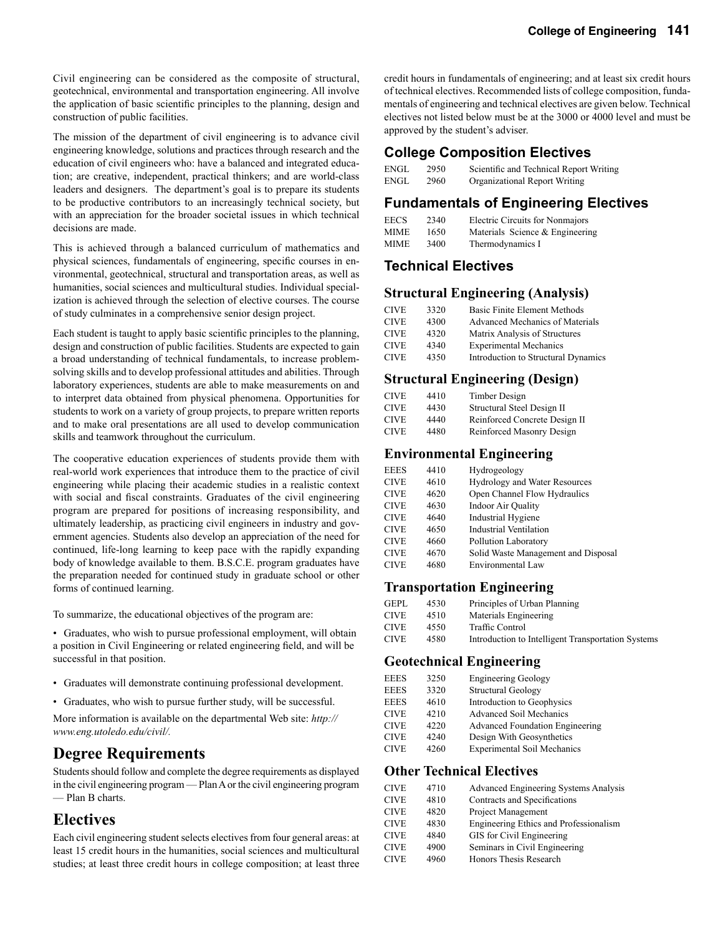Civil engineering can be considered as the composite of structural, geotechnical, environmental and transportation engineering. All involve the application of basic scientific principles to the planning, design and construction of public facilities.

The mission of the department of civil engineering is to advance civil engineering knowledge, solutions and practices through research and the education of civil engineers who: have a balanced and integrated education; are creative, independent, practical thinkers; and are world-class leaders and designers. The department's goal is to prepare its students to be productive contributors to an increasingly technical society, but with an appreciation for the broader societal issues in which technical decisions are made.

This is achieved through a balanced curriculum of mathematics and physical sciences, fundamentals of engineering, specific courses in environmental, geotechnical, structural and transportation areas, as well as humanities, social sciences and multicultural studies. Individual specialization is achieved through the selection of elective courses. The course of study culminates in a comprehensive senior design project.

Each student is taught to apply basic scientific principles to the planning, design and construction of public facilities. Students are expected to gain a broad understanding of technical fundamentals, to increase problemsolving skills and to develop professional attitudes and abilities. Through laboratory experiences, students are able to make measurements on and to interpret data obtained from physical phenomena. Opportunities for students to work on a variety of group projects, to prepare written reports and to make oral presentations are all used to develop communication skills and teamwork throughout the curriculum.

The cooperative education experiences of students provide them with real-world work experiences that introduce them to the practice of civil engineering while placing their academic studies in a realistic context with social and fiscal constraints. Graduates of the civil engineering program are prepared for positions of increasing responsibility, and ultimately leadership, as practicing civil engineers in industry and government agencies. Students also develop an appreciation of the need for continued, life-long learning to keep pace with the rapidly expanding body of knowledge available to them. B.S.C.E. program graduates have the preparation needed for continued study in graduate school or other forms of continued learning.

To summarize, the educational objectives of the program are:

- Graduates, who wish to pursue professional employment, will obtain a position in Civil Engineering or related engineering field, and will be successful in that position.
- Graduates will demonstrate continuing professional development.
- Graduates, who wish to pursue further study, will be successful.

More information is available on the departmental Web site: *http:// www.eng.utoledo.edu/civil/.*

### **Degree Requirements**

Students should follow and complete the degree requirements as displayed in the civil engineering program — Plan A or the civil engineering program — Plan B charts.

#### **Electives**

Each civil engineering student selects electives from four general areas: at least 15 credit hours in the humanities, social sciences and multicultural studies; at least three credit hours in college composition; at least three

credit hours in fundamentals of engineering; and at least six credit hours of technical electives. Recommended lists of college composition, fundamentals of engineering and technical electives are given below. Technical electives not listed below must be at the 3000 or 4000 level and must be approved by the student's adviser.

#### **College Composition Electives**

| ENGL | 2950 | Scientific and Technical Report Writing |
|------|------|-----------------------------------------|
| ENGL | 2960 | Organizational Report Writing           |

#### **Fundamentals of Engineering Electives**

| EECS | 2340 | Electric Circuits for Nonmajors |
|------|------|---------------------------------|
| MIME | 1650 | Materials Science & Engineering |
| MIME | 3400 | Thermodynamics I                |

#### **Technical Electives**

#### **Structural Engineering (Analysis)**

| <b>CIVE</b> | 3320 | Basic Finite Element Methods        |
|-------------|------|-------------------------------------|
| <b>CIVE</b> | 4300 | Advanced Mechanics of Materials     |
| <b>CIVE</b> | 4320 | Matrix Analysis of Structures       |
| <b>CIVE</b> | 4340 | <b>Experimental Mechanics</b>       |
| <b>CIVE</b> | 4350 | Introduction to Structural Dynamics |

#### **Structural Engineering (Design)**

| <b>CIVE</b> | 4410 | Timber Design                 |
|-------------|------|-------------------------------|
| <b>CIVE</b> | 4430 | Structural Steel Design II    |
| <b>CIVE</b> | 4440 | Reinforced Concrete Design II |
| <b>CIVE</b> | 4480 | Reinforced Masonry Design     |

#### **Environmental Engineering**

| <b>EEES</b> | 4410 | Hydrogeology                         |
|-------------|------|--------------------------------------|
| <b>CIVE</b> | 4610 | <b>Hydrology and Water Resources</b> |
| <b>CIVE</b> | 4620 | Open Channel Flow Hydraulics         |
| <b>CIVE</b> | 4630 | <b>Indoor Air Quality</b>            |
| <b>CIVE</b> | 4640 | <b>Industrial Hygiene</b>            |
| <b>CIVE</b> | 4650 | <b>Industrial Ventilation</b>        |
| <b>CIVE</b> | 4660 | Pollution Laboratory                 |
| <b>CIVE</b> | 4670 | Solid Waste Management and Disposal  |
| <b>CIVE</b> | 4680 | Environmental Law                    |
|             |      |                                      |

#### **Transportation Engineering**

| <b>GEPL</b> | 4530 | Principles of Urban Planning                       |
|-------------|------|----------------------------------------------------|
| <b>CIVE</b> | 4510 | Materials Engineering                              |
| <b>CIVE</b> | 4550 | Traffic Control                                    |
| <b>CIVE</b> | 4580 | Introduction to Intelligent Transportation Systems |

#### **Geotechnical Engineering**

| EEES        | 3250 | <b>Engineering Geology</b>             |
|-------------|------|----------------------------------------|
| EEES        | 3320 | <b>Structural Geology</b>              |
| <b>EEES</b> | 4610 | Introduction to Geophysics             |
| CIVE        | 4210 | <b>Advanced Soil Mechanics</b>         |
| CIVE        | 4220 | <b>Advanced Foundation Engineering</b> |
| CIVE        | 4240 | Design With Geosynthetics              |
| CIVE        | 4260 | <b>Experimental Soil Mechanics</b>     |

#### **Other Technical Electives**

| CIVE        | 4710 | Advanced Engineering Systems Analysis  |
|-------------|------|----------------------------------------|
| CIVE        | 4810 | Contracts and Specifications           |
| <b>CIVE</b> | 4820 | Project Management                     |
| CIVE        | 4830 | Engineering Ethics and Professionalism |
| CIVE        | 4840 | GIS for Civil Engineering              |
| CIVE        | 4900 | Seminars in Civil Engineering          |
| CIVE        | 4960 | Honors Thesis Research                 |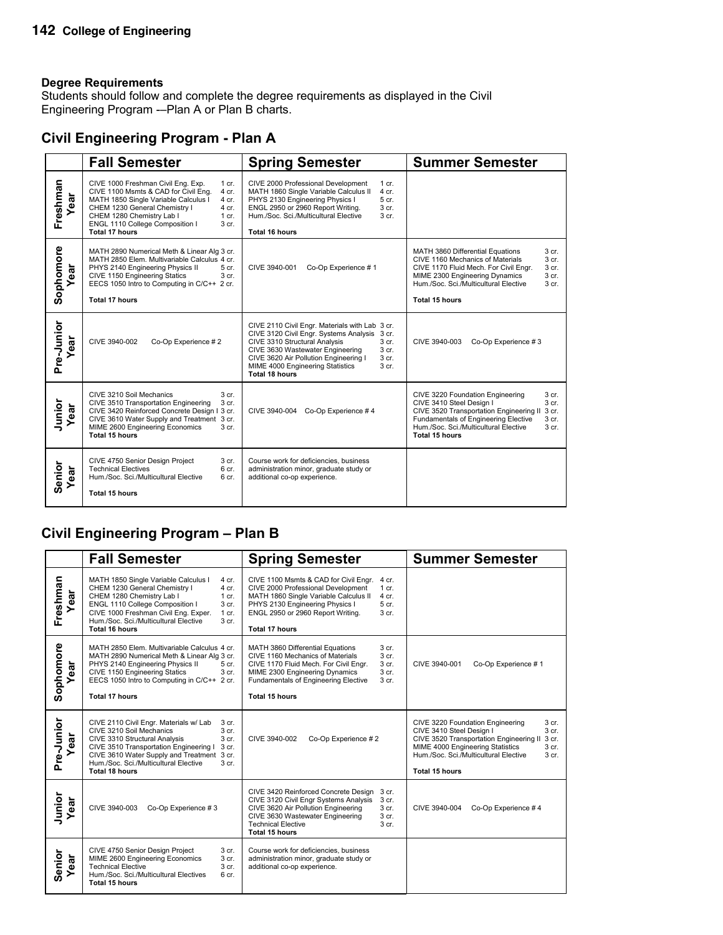Students should follow and complete the degree requirements as displayed in the Civil Engineering Program -–Plan A or Plan B charts.

### **Civil Engineering Program - Plan A**

|                   | <b>Fall Semester</b>                                                                                                                                                                                                                                                                                   | <b>Spring Semester</b>                                                                                                                                                                                                                                                                                                       | <b>Summer Semester</b>                                                                                                                                                                                                                                                        |
|-------------------|--------------------------------------------------------------------------------------------------------------------------------------------------------------------------------------------------------------------------------------------------------------------------------------------------------|------------------------------------------------------------------------------------------------------------------------------------------------------------------------------------------------------------------------------------------------------------------------------------------------------------------------------|-------------------------------------------------------------------------------------------------------------------------------------------------------------------------------------------------------------------------------------------------------------------------------|
| Freshman<br>ar    | CIVE 1000 Freshman Civil Eng. Exp.<br>1 cr.<br>CIVE 1100 Msmts & CAD for Civil Eng.<br>4 cr.<br>MATH 1850 Single Variable Calculus I<br>4 cr.<br>CHEM 1230 General Chemistry I<br>4 cr.<br>CHEM 1280 Chemistry Lab I<br>1 cr.<br>ENGL 1110 College Composition I<br>3 <sub>cr.</sub><br>Total 17 hours | CIVE 2000 Professional Development<br>1 cr.<br>MATH 1860 Single Variable Calculus II<br>$4$ cr.<br>PHYS 2130 Engineering Physics I<br>5 cr.<br>ENGL 2950 or 2960 Report Writing.<br>3 cr.<br>Hum./Soc. Sci./Multicultural Elective<br>3 cr.<br><b>Total 16 hours</b>                                                         |                                                                                                                                                                                                                                                                               |
| Sophomore<br>ear  | MATH 2890 Numerical Meth & Linear Alg 3 cr.<br>MATH 2850 Elem. Multivariable Calculus 4 cr.<br>PHYS 2140 Engineering Physics II<br>5 cr.<br>CIVE 1150 Engineering Statics<br>3 cr.<br>EECS 1050 Intro to Computing in C/C++ 2 cr.<br><b>Total 17 hours</b>                                             | CIVE 3940-001<br>Co-Op Experience #1                                                                                                                                                                                                                                                                                         | MATH 3860 Differential Equations<br>3 cr.<br>3 <sub>cr.</sub><br>CIVE 1160 Mechanics of Materials<br>CIVE 1170 Fluid Mech. For Civil Engr.<br>3 <sub>cr.</sub><br>MIME 2300 Engineering Dynamics<br>3 cr.<br>Hum./Soc. Sci./Multicultural Elective<br>3 cr.<br>Total 15 hours |
| Pre-Junior<br>ear | CIVE 3940-002<br>Co-Op Experience #2                                                                                                                                                                                                                                                                   | CIVE 2110 Civil Engr. Materials with Lab 3 cr.<br>CIVE 3120 Civil Engr. Systems Analysis 3 cr.<br>CIVE 3310 Structural Analysis<br>3 cr.<br>CIVE 3630 Wastewater Engineering<br>3 <sub>cr.</sub><br>CIVE 3620 Air Pollution Engineering I<br>3 cr.<br>3 <sub>cr.</sub><br>MIME 4000 Engineering Statistics<br>Total 18 hours | CIVE 3940-003<br>Co-Op Experience #3                                                                                                                                                                                                                                          |
| Junior<br>ear     | CIVE 3210 Soil Mechanics<br>3 cr.<br>3 cr.<br>CIVE 3510 Transportation Engineering<br>CIVE 3420 Reinforced Concrete Design I 3 cr.<br>CIVE 3610 Water Supply and Treatment 3 cr.<br>MIME 2600 Engineering Economics<br>3 cr.<br>Total 15 hours                                                         | Co-Op Experience #4<br>CIVE 3940-004                                                                                                                                                                                                                                                                                         | 3 cr.<br>CIVE 3220 Foundation Engineering<br>CIVE 3410 Steel Design I<br>3 cr.<br>CIVE 3520 Transportation Engineering II<br>3 cr.<br>Fundamentals of Engineering Elective<br>3 cr.<br>Hum./Soc. Sci./Multicultural Elective<br>3 cr.<br><b>Total 15 hours</b>                |
| Senior<br>Year    | CIVE 4750 Senior Design Project<br>3 cr.<br><b>Technical Electives</b><br>6 cr.<br>Hum./Soc. Sci./Multicultural Elective<br>6 cr.<br><b>Total 15 hours</b>                                                                                                                                             | Course work for deficiencies, business<br>administration minor, graduate study or<br>additional co-op experience.                                                                                                                                                                                                            |                                                                                                                                                                                                                                                                               |

# **Civil Engineering Program – Plan B**

|                    | <b>Fall Semester</b>                                                                                                                                                                                                                                                                                           | <b>Spring Semester</b>                                                                                                                                                                                                                                                                     | <b>Summer Semester</b>                                                                                                                                                                                                                              |
|--------------------|----------------------------------------------------------------------------------------------------------------------------------------------------------------------------------------------------------------------------------------------------------------------------------------------------------------|--------------------------------------------------------------------------------------------------------------------------------------------------------------------------------------------------------------------------------------------------------------------------------------------|-----------------------------------------------------------------------------------------------------------------------------------------------------------------------------------------------------------------------------------------------------|
| Freshman<br>Year   | MATH 1850 Single Variable Calculus I<br>4 cr.<br>CHEM 1230 General Chemistry I<br>4 cr.<br>CHEM 1280 Chemistry Lab I<br>$1$ cr.<br>ENGL 1110 College Composition I<br>3 cr.<br>CIVE 1000 Freshman Civil Eng. Exper.<br>$1$ cr.<br>Hum./Soc. Sci./Multicultural Elective<br>3 cr.<br>Total 16 hours             | CIVE 1100 Msmts & CAD for Civil Engr.<br>4 cr.<br>CIVE 2000 Professional Development<br>1 cr.<br>MATH 1860 Single Variable Calculus II<br>4 cr.<br>PHYS 2130 Engineering Physics I<br>5 cr.<br>ENGL 2950 or 2960 Report Writing.<br>3 cr.<br><b>Total 17 hours</b>                         |                                                                                                                                                                                                                                                     |
| Sophomore<br>ar    | MATH 2850 Elem. Multivariable Calculus 4 cr.<br>MATH 2890 Numerical Meth & Linear Alg 3 cr.<br>PHYS 2140 Engineering Physics II<br>5 cr.<br>CIVE 1150 Engineering Statics<br>3 cr.<br>EECS 1050 Intro to Computing in C/C++ 2 cr.<br>Total 17 hours                                                            | MATH 3860 Differential Equations<br>3 cr.<br>CIVE 1160 Mechanics of Materials<br>3 <sub>cr.</sub><br>CIVE 1170 Fluid Mech. For Civil Engr.<br>3 cr.<br>3 cr.<br>MIME 2300 Engineering Dynamics<br><b>Fundamentals of Engineering Elective</b><br>3 <sub>cr.</sub><br><b>Total 15 hours</b> | CIVE 3940-001<br>Co-Op Experience #1                                                                                                                                                                                                                |
| Pre-Junior<br>Year | CIVE 2110 Civil Engr. Materials w/ Lab<br>3 cr.<br>CIVE 3210 Soil Mechanics<br>3 cr.<br>CIVE 3310 Structural Analysis<br>3 <sub>cr.</sub><br>CIVE 3510 Transportation Engineering I<br>3 cr.<br>CIVE 3610 Water Supply and Treatment 3 cr.<br>Hum./Soc. Sci./Multicultural Elective<br>3 cr.<br>Total 18 hours | CIVE 3940-002<br>Co-Op Experience #2                                                                                                                                                                                                                                                       | CIVE 3220 Foundation Engineering<br>3 cr.<br>3 cr.<br>CIVE 3410 Steel Design I<br>CIVE 3520 Transportation Engineering II<br>3 cr.<br>MIME 4000 Engineering Statistics<br>3 cr.<br>Hum./Soc. Sci./Multicultural Elective<br>3 cr.<br>Total 15 hours |
| Junior<br>Year     | CIVE 3940-003<br>Co-Op Experience #3                                                                                                                                                                                                                                                                           | CIVE 3420 Reinforced Concrete Design<br>3 cr.<br>CIVE 3120 Civil Engr Systems Analysis<br>3 cr.<br>CIVE 3620 Air Pollution Engineering<br>3 cr.<br>CIVE 3630 Wastewater Engineering<br>3 cr.<br><b>Technical Elective</b><br>3 <sub>cr.</sub><br><b>Total 15 hours</b>                     | CIVE 3940-004<br>Co-Op Experience #4                                                                                                                                                                                                                |
| Senior<br>ear      | CIVE 4750 Senior Design Project<br>3 cr.<br>MIME 2600 Engineering Economics<br>3 cr.<br><b>Technical Elective</b><br>3 cr.<br>Hum./Soc. Sci./Multicultural Electives<br>6 cr.<br><b>Total 15 hours</b>                                                                                                         | Course work for deficiencies, business<br>administration minor, graduate study or<br>additional co-op experience.                                                                                                                                                                          |                                                                                                                                                                                                                                                     |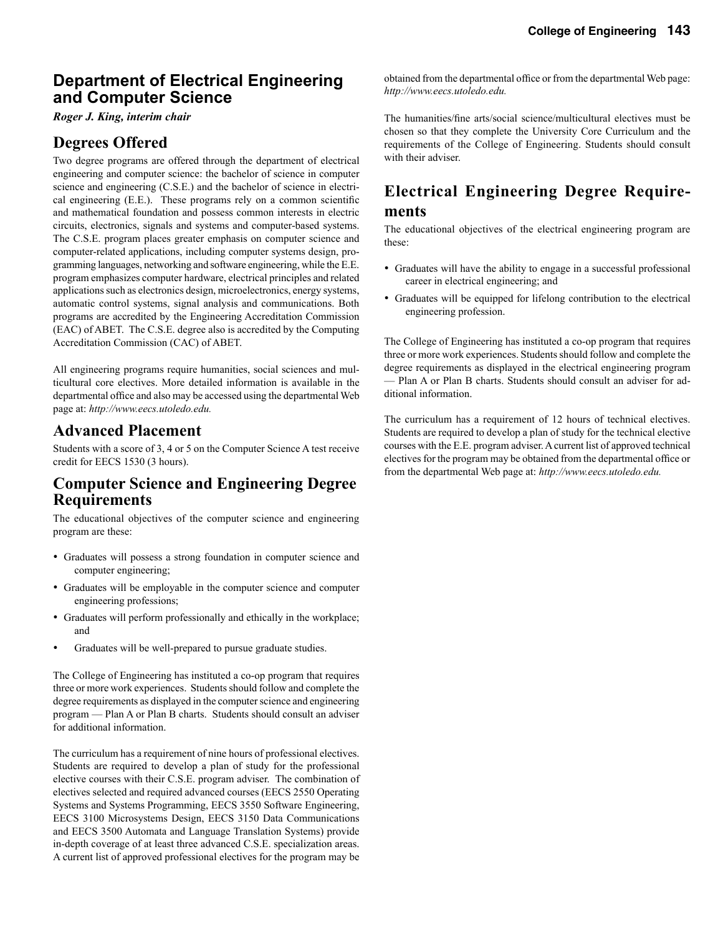### **Department of Electrical Engineering and Computer Science**

*Roger J. King, interim chair*

### **Degrees Offered**

Two degree programs are offered through the department of electrical engineering and computer science: the bachelor of science in computer science and engineering (C.S.E.) and the bachelor of science in electrical engineering (E.E.). These programs rely on a common scientific and mathematical foundation and possess common interests in electric circuits, electronics, signals and systems and computer-based systems. The C.S.E. program places greater emphasis on computer science and computer-related applications, including computer systems design, programming languages, networking and software engineering, while the E.E. program emphasizes computer hardware, electrical principles and related applications such as electronics design, microelectronics, energy systems, automatic control systems, signal analysis and communications. Both programs are accredited by the Engineering Accreditation Commission (EAC) of ABET. The C.S.E. degree also is accredited by the Computing Accreditation Commission (CAC) of ABET.

All engineering programs require humanities, social sciences and multicultural core electives. More detailed information is available in the departmental office and also may be accessed using the departmental Web page at: *http://www.eecs.utoledo.edu.*

#### **Advanced Placement**

Students with a score of 3, 4 or 5 on the Computer Science A test receive credit for EECS 1530 (3 hours).

### **Computer Science and Engineering Degree Requirements**

The educational objectives of the computer science and engineering program are these:

- Graduates will possess a strong foundation in computer science and computer engineering;
- Graduates will be employable in the computer science and computer engineering professions;
- Graduates will perform professionally and ethically in the workplace; and
- Graduates will be well-prepared to pursue graduate studies.

The College of Engineering has instituted a co-op program that requires three or more work experiences. Students should follow and complete the degree requirements as displayed in the computer science and engineering program — Plan A or Plan B charts. Students should consult an adviser for additional information.

The curriculum has a requirement of nine hours of professional electives. Students are required to develop a plan of study for the professional elective courses with their C.S.E. program adviser. The combination of electives selected and required advanced courses (EECS 2550 Operating Systems and Systems Programming, EECS 3550 Software Engineering, EECS 3100 Microsystems Design, EECS 3150 Data Communications and EECS 3500 Automata and Language Translation Systems) provide in-depth coverage of at least three advanced C.S.E. specialization areas. A current list of approved professional electives for the program may be

obtained from the departmental office or from the departmental Web page: *http://www.eecs.utoledo.edu.*

The humanities/fine arts/social science/multicultural electives must be chosen so that they complete the University Core Curriculum and the requirements of the College of Engineering. Students should consult with their adviser.

### **Electrical Engineering Degree Requirements**

The educational objectives of the electrical engineering program are these:

- Graduates will have the ability to engage in a successful professional career in electrical engineering; and
- Graduates will be equipped for lifelong contribution to the electrical engineering profession.

The College of Engineering has instituted a co-op program that requires three or more work experiences. Students should follow and complete the degree requirements as displayed in the electrical engineering program — Plan A or Plan B charts. Students should consult an adviser for additional information.

The curriculum has a requirement of 12 hours of technical electives. Students are required to develop a plan of study for the technical elective courses with the E.E. program adviser. A current list of approved technical electives for the program may be obtained from the departmental office or from the departmental Web page at: *http://www.eecs.utoledo.edu.*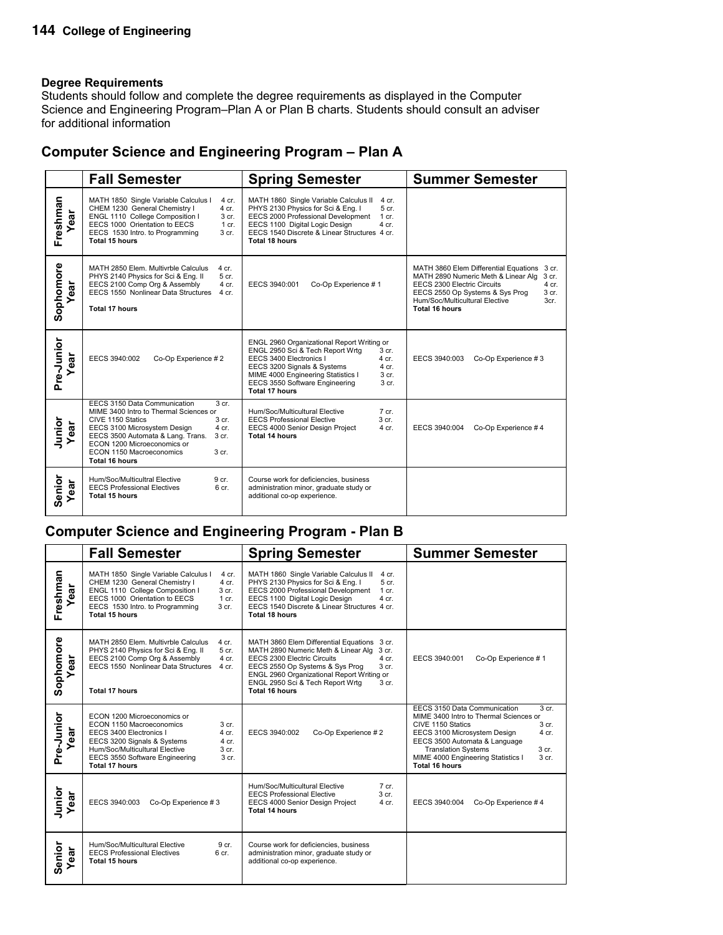Students should follow and complete the degree requirements as displayed in the Computer Science and Engineering Program–Plan A or Plan B charts. Students should consult an adviser for additional information

### **Computer Science and Engineering Program – Plan A**

|                    | <b>Fall Semester</b>                                                                                                                                                                                                                                                                                                          | <b>Spring Semester</b>                                                                                                                                                                                                                                                                                           | <b>Summer Semester</b>                                                                                                                                                                                                                               |
|--------------------|-------------------------------------------------------------------------------------------------------------------------------------------------------------------------------------------------------------------------------------------------------------------------------------------------------------------------------|------------------------------------------------------------------------------------------------------------------------------------------------------------------------------------------------------------------------------------------------------------------------------------------------------------------|------------------------------------------------------------------------------------------------------------------------------------------------------------------------------------------------------------------------------------------------------|
| Freshman<br>Year   | MATH 1850 Single Variable Calculus I<br>4 cr.<br>CHEM 1230 General Chemistry I<br>4 cr.<br>ENGL 1110 College Composition I<br>$3$ cr.<br>EECS 1000 Orientation to EECS<br>1 cr.<br>EECS 1530 Intro. to Programming<br>3 cr.<br>Total 15 hours                                                                                 | MATH 1860 Single Variable Calculus II<br>4 cr.<br>PHYS 2130 Physics for Sci & Eng. I<br>5 <sub>cr.</sub><br>EECS 2000 Professional Development<br>$1$ cr.<br>EECS 1100 Digital Logic Design<br>$4$ cr.<br>EECS 1540 Discrete & Linear Structures 4 cr.<br>Total 18 hours                                         |                                                                                                                                                                                                                                                      |
| Sophomore<br>ear   | MATH 2850 Elem. Multivrble Calculus<br>4 cr.<br>PHYS 2140 Physics for Sci & Eng. II<br>5 cr.<br>EECS 2100 Comp Org & Assembly<br>4 cr.<br>EECS 1550 Nonlinear Data Structures<br>4 cr.<br><b>Total 17 hours</b>                                                                                                               | Co-Op Experience #1<br>EECS 3940:001                                                                                                                                                                                                                                                                             | MATH 3860 Elem Differential Equations 3 cr.<br>MATH 2890 Numeric Meth & Linear Alg<br>3 cr.<br>EECS 2300 Electric Circuits<br>$4$ cr.<br>EECS 2550 Op Systems & Sys Prog<br>3 cr.<br>Hum/Soc/Multicultural Elective<br>3cr.<br><b>Total 16 hours</b> |
| Pre-Junior<br>Year | EECS 3940:002<br>Co-Op Experience #2                                                                                                                                                                                                                                                                                          | ENGL 2960 Organizational Report Writing or<br>ENGL 2950 Sci & Tech Report Wrtg<br>3 <sub>cr.</sub><br>EECS 3400 Electronics I<br>4 cr.<br>EECS 3200 Signals & Systems<br>4 cr.<br>MIME 4000 Engineering Statistics I<br>3 <sub>cr.</sub><br>EECS 3550 Software Engineering<br>3 <sub>cr.</sub><br>Total 17 hours | EECS 3940:003<br>Co-Op Experience #3                                                                                                                                                                                                                 |
| Junior<br>ear      | EECS 3150 Data Communication<br>$3$ cr.<br>MIME 3400 Intro to Thermal Sciences or<br>CIVE 1150 Statics<br>3 <sub>cr.</sub><br>EECS 3100 Microsystem Design<br>4 cr.<br>EECS 3500 Automata & Lang. Trans.<br>3 <sub>cr.</sub><br>ECON 1200 Microeconomics or<br>ECON 1150 Macroeconomics<br>3 <sub>cr.</sub><br>Total 16 hours | Hum/Soc/Multicultural Elective<br>$7$ cr.<br>3 <sub>cr.</sub><br><b>EECS Professional Elective</b><br>EECS 4000 Senior Design Project<br>4 cr.<br><b>Total 14 hours</b>                                                                                                                                          | Co-Op Experience #4<br>EECS 3940:004                                                                                                                                                                                                                 |
| Senior<br>Year     | Hum/Soc/Multicultral Elective<br>9 cr.<br><b>EECS Professional Electives</b><br>6 <sub>cr.</sub><br><b>Total 15 hours</b>                                                                                                                                                                                                     | Course work for deficiencies, business<br>administration minor, graduate study or<br>additional co-op experience.                                                                                                                                                                                                |                                                                                                                                                                                                                                                      |

### **Computer Science and Engineering Program - Plan B**

|                    | <b>Fall Semester</b>                                                                                                                                                                                                                                            | <b>Spring Semester</b>                                                                                                                                                                                                                                                                            | <b>Summer Semester</b>                                                                                                                                                                                                                                                                                                           |
|--------------------|-----------------------------------------------------------------------------------------------------------------------------------------------------------------------------------------------------------------------------------------------------------------|---------------------------------------------------------------------------------------------------------------------------------------------------------------------------------------------------------------------------------------------------------------------------------------------------|----------------------------------------------------------------------------------------------------------------------------------------------------------------------------------------------------------------------------------------------------------------------------------------------------------------------------------|
| Freshman<br>Year   | MATH 1850 Single Variable Calculus I<br>4 cr.<br>CHEM 1230 General Chemistry I<br>4 cr.<br>ENGL 1110 College Composition I<br>3 cr.<br>EECS 1000 Orientation to EECS<br>$1$ cr.<br>EECS 1530 Intro. to Programming<br>3 <sub>cr.</sub><br><b>Total 15 hours</b> | MATH 1860 Single Variable Calculus II<br>4 cr.<br>PHYS 2130 Physics for Sci & Eng. I<br>5 cr.<br>EECS 2000 Professional Development<br>$1$ cr.<br>EECS 1100 Digital Logic Design<br>4 cr.<br>EECS 1540 Discrete & Linear Structures 4 cr.<br>Total 18 hours                                       |                                                                                                                                                                                                                                                                                                                                  |
| Sophomore<br>ear   | MATH 2850 Elem. Multivrble Calculus<br>4 cr.<br>PHYS 2140 Physics for Sci & Eng. II<br>5 cr.<br>EECS 2100 Comp Org & Assembly<br>4 cr.<br>EECS 1550 Nonlinear Data Structures<br>4 cr.<br><b>Total 17 hours</b>                                                 | MATH 3860 Elem Differential Equations<br>3 cr.<br>MATH 2890 Numeric Meth & Linear Alg<br>3 cr.<br>EECS 2300 Electric Circuits<br>4 cr.<br>EECS 2550 Op Systems & Sys Prog<br>$3$ cr.<br>ENGL 2960 Organizational Report Writing or<br>ENGL 2950 Sci & Tech Report Wrtg<br>3 cr.<br>Total 16 hours | EECS 3940:001<br>Co-Op Experience #1                                                                                                                                                                                                                                                                                             |
| Pre-Junior<br>Year | ECON 1200 Microeconomics or<br>ECON 1150 Macroeconomics<br>3 cr.<br>EECS 3400 Electronics I<br>4 cr.<br>EECS 3200 Signals & Systems<br>4 cr.<br>Hum/Soc/Multicultural Elective<br>3 cr.<br>EECS 3550 Software Engineering<br>3 cr.<br><b>Total 17 hours</b>     | EECS 3940:002<br>Co-Op Experience #2                                                                                                                                                                                                                                                              | EECS 3150 Data Communication<br>3 <sub>cr.</sub><br>MIME 3400 Intro to Thermal Sciences or<br>CIVE 1150 Statics<br>3 <sub>cr.</sub><br>EECS 3100 Microsystem Design<br>4 cr.<br>EECS 3500 Automata & Language<br>3 <sub>cr.</sub><br><b>Translation Systems</b><br>MIME 4000 Engineering Statistics I<br>3 cr.<br>Total 16 hours |
| Junior<br>Year     | EECS 3940:003<br>Co-Op Experience #3                                                                                                                                                                                                                            | Hum/Soc/Multicultural Elective<br>$7$ cr.<br>3 cr.<br><b>EECS Professional Elective</b><br>4 cr.<br>EECS 4000 Senior Design Project<br><b>Total 14 hours</b>                                                                                                                                      | EECS 3940:004<br>Co-Op Experience #4                                                                                                                                                                                                                                                                                             |
| Senior<br>Year     | Hum/Soc/Multicultural Elective<br>9 cr.<br><b>EECS Professional Electives</b><br>6 cr.<br><b>Total 15 hours</b>                                                                                                                                                 | Course work for deficiencies, business<br>administration minor, graduate study or<br>additional co-op experience.                                                                                                                                                                                 |                                                                                                                                                                                                                                                                                                                                  |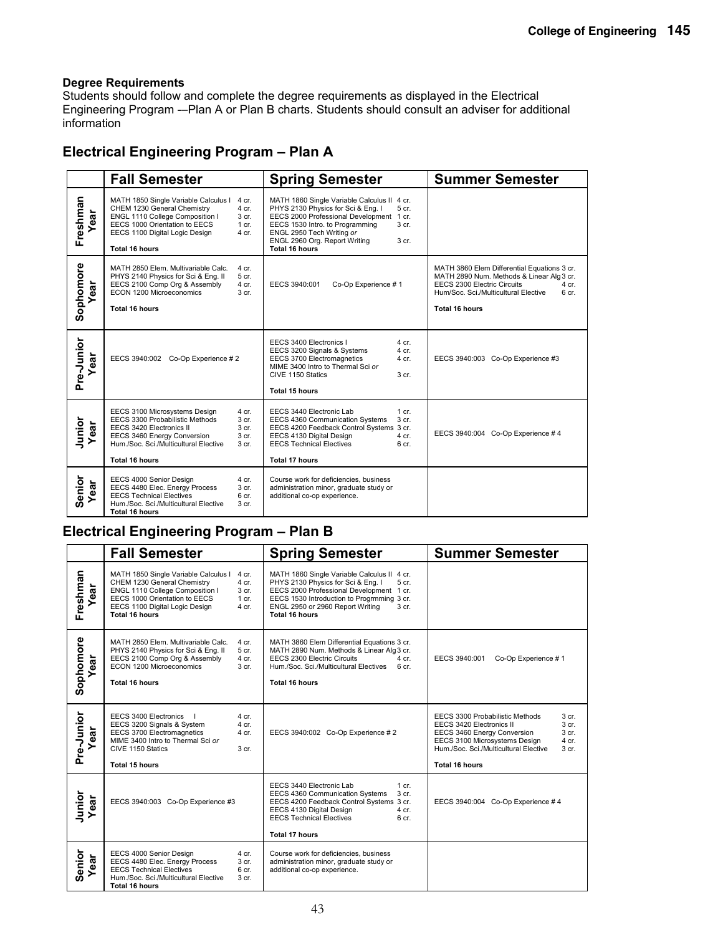Students should follow and complete the degree requirements as displayed in the Electrical Engineering Program -–Plan A or Plan B charts. Students should consult an adviser for additional information

### **Electrical Engineering Program – Plan A**

|                    | <b>Fall Semester</b>                                                                                                                                                                                                                                    | <b>Spring Semester</b>                                                                                                                                                                                                                                                      | <b>Summer Semester</b>                                                                                                                                                                                     |
|--------------------|---------------------------------------------------------------------------------------------------------------------------------------------------------------------------------------------------------------------------------------------------------|-----------------------------------------------------------------------------------------------------------------------------------------------------------------------------------------------------------------------------------------------------------------------------|------------------------------------------------------------------------------------------------------------------------------------------------------------------------------------------------------------|
| Freshman<br>ă<br>ه | MATH 1850 Single Variable Calculus I<br>4 cr.<br>CHEM 1230 General Chemistry<br>4 cr.<br>ENGL 1110 College Composition I<br>3 <sub>cr.</sub><br>EECS 1000 Orientation to EECS<br>$1$ cr.<br>EECS 1100 Digital Logic Design<br>$4$ cr.<br>Total 16 hours | MATH 1860 Single Variable Calculus II 4 cr.<br>PHYS 2130 Physics for Sci & Eng. I<br>5 cr.<br>EECS 2000 Professional Development 1 cr.<br>EECS 1530 Intro. to Programming<br>3 cr.<br>ENGL 2950 Tech Writing or<br>ENGL 2960 Org. Report Writing<br>3 cr.<br>Total 16 hours |                                                                                                                                                                                                            |
| Sophomore<br>ear   | MATH 2850 Elem. Multivariable Calc.<br>4 cr.<br>PHYS 2140 Physics for Sci & Eng. II<br>5 cr.<br>EECS 2100 Comp Org & Assembly<br>4 cr.<br>ECON 1200 Microeconomics<br>3 cr.<br><b>Total 16 hours</b>                                                    | Co-Op Experience #1<br>EECS 3940:001                                                                                                                                                                                                                                        | MATH 3860 Elem Differential Equations 3 cr.<br>MATH 2890 Num. Methods & Linear Alg 3 cr.<br>EECS 2300 Electric Circuits<br>4 cr.<br>Hum/Soc. Sci./Multicultural Elective<br>6 cr.<br><b>Total 16 hours</b> |
| Pre-Junior<br>ar   | EECS 3940:002 Co-Op Experience # 2                                                                                                                                                                                                                      | EECS 3400 Electronics I<br>4 cr.<br>EECS 3200 Signals & Systems<br>4 cr.<br>EECS 3700 Electromagnetics<br>4 cr.<br>MIME 3400 Intro to Thermal Sci or<br>CIVE 1150 Statics<br>3 cr.<br><b>Total 15 hours</b>                                                                 | EECS 3940:003 Co-Op Experience #3                                                                                                                                                                          |
| Junior<br>ear      | EECS 3100 Microsystems Design<br>4 cr.<br>EECS 3300 Probabilistic Methods<br>3 cr.<br>EECS 3420 Electronics II<br>3 cr.<br>EECS 3460 Energy Conversion<br>3 cr.<br>Hum./Soc. Sci./Multicultural Elective<br>3 cr.<br><b>Total 16 hours</b>              | EECS 3440 Electronic Lab<br>1 cr.<br>EECS 4360 Communication Systems<br>3 cr.<br>EECS 4200 Feedback Control Systems 3 cr.<br>EECS 4130 Digital Design<br>4 cr.<br><b>EECS Technical Electives</b><br>6 cr.<br><b>Total 17 hours</b>                                         | EECS 3940:004 Co-Op Experience #4                                                                                                                                                                          |
| Senior<br>ear      | EECS 4000 Senior Design<br>4 cr.<br>EECS 4480 Elec. Energy Process<br>3 cr.<br><b>EECS Technical Electives</b><br>6 cr.<br>Hum./Soc. Sci./Multicultural Elective<br>3 <sub>cr.</sub><br><b>Total 16 hours</b>                                           | Course work for deficiencies, business<br>administration minor, graduate study or<br>additional co-op experience.                                                                                                                                                           |                                                                                                                                                                                                            |

### **Electrical Engineering Program – Plan B**

|                    | <b>Fall Semester</b>                                                                                                                                                                                                                         | <b>Spring Semester</b>                                                                                                                                                                                                                                         | <b>Summer Semester</b>                                                                                                                                                                                                                                           |
|--------------------|----------------------------------------------------------------------------------------------------------------------------------------------------------------------------------------------------------------------------------------------|----------------------------------------------------------------------------------------------------------------------------------------------------------------------------------------------------------------------------------------------------------------|------------------------------------------------------------------------------------------------------------------------------------------------------------------------------------------------------------------------------------------------------------------|
| Freshman<br>ear    | MATH 1850 Single Variable Calculus I<br>4 cr.<br>CHEM 1230 General Chemistry<br>4 cr.<br>ENGL 1110 College Composition I<br>3 cr.<br>EECS 1000 Orientation to EECS<br>$1$ cr.<br>EECS 1100 Digital Logic Design<br>$4$ cr.<br>Total 16 hours | MATH 1860 Single Variable Calculus II 4 cr.<br>PHYS 2130 Physics for Sci & Eng. I<br>5 cr.<br>EECS 2000 Professional Development 1 cr.<br>EECS 1530 Introduction to Progrmming 3 cr.<br>ENGL 2950 or 2960 Report Writing<br>3 <sub>cr.</sub><br>Total 16 hours |                                                                                                                                                                                                                                                                  |
| Sophomore<br>ear   | MATH 2850 Elem. Multivariable Calc.<br>4 cr.<br>PHYS 2140 Physics for Sci & Eng. II<br>5 cr.<br>EECS 2100 Comp Org & Assembly<br>4 cr.<br>ECON 1200 Microeconomics<br>3 <sub>cr.</sub><br>Total 16 hours                                     | MATH 3860 Elem Differential Equations 3 cr.<br>MATH 2890 Num. Methods & Linear Alg 3 cr.<br>EECS 2300 Electric Circuits<br>4 cr.<br>Hum./Soc. Sci./Multicultural Electives<br>6 <sub>cr.</sub><br>Total 16 hours                                               | EECS 3940:001<br>Co-Op Experience #1                                                                                                                                                                                                                             |
| Pre-Junior<br>ear  | EECS 3400 Electronics<br>4 cr.<br>EECS 3200 Signals & System<br>4 cr.<br>EECS 3700 Electromagnetics<br>4 cr.<br>MIME 3400 Intro to Thermal Sci or<br>CIVE 1150 Statics<br>3 cr.<br><b>Total 15 hours</b>                                     | EECS 3940:002 Co-Op Experience # 2                                                                                                                                                                                                                             | EECS 3300 Probabilistic Methods<br>3 cr.<br>EECS 3420 Electronics II<br>3 <sub>cr.</sub><br>3 <sub>cr.</sub><br>EECS 3460 Energy Conversion<br>EECS 3100 Microsystems Design<br>4 cr.<br>Hum./Soc. Sci./Multicultural Elective<br>3 cr.<br><b>Total 16 hours</b> |
| Junior<br>ear<br>≻ | EECS 3940:003 Co-Op Experience #3                                                                                                                                                                                                            | EECS 3440 Electronic Lab<br>$1 \text{ cr}$ .<br>EECS 4360 Communication Systems<br>3 cr.<br>EECS 4200 Feedback Control Systems 3 cr.<br>EECS 4130 Digital Design<br>4 cr.<br><b>EECS Technical Electives</b><br>6 <sub>cr.</sub><br><b>Total 17 hours</b>      | EECS 3940:004 Co-Op Experience #4                                                                                                                                                                                                                                |
| Senior<br>ear      | EECS 4000 Senior Design<br>4 cr.<br>EECS 4480 Elec. Energy Process<br>3 cr.<br><b>EECS Technical Electives</b><br>6 cr.<br>Hum /Soc. Sci./Multicultural Elective<br>3 <sub>cr.</sub><br><b>Total 16 hours</b>                                | Course work for deficiencies, business<br>administration minor, graduate study or<br>additional co-op experience.                                                                                                                                              |                                                                                                                                                                                                                                                                  |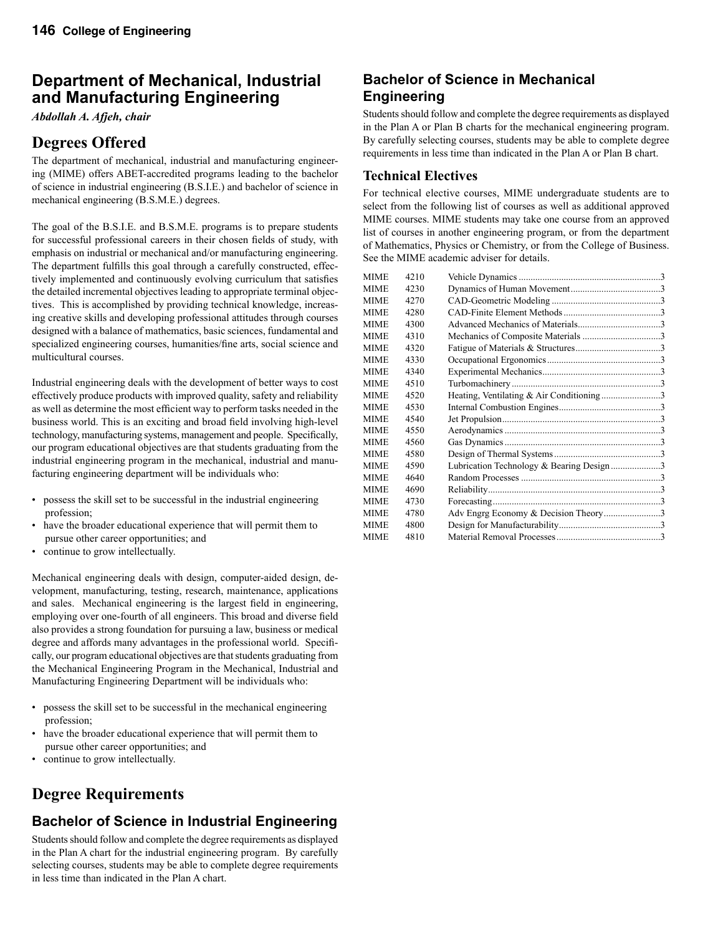# **Department of Mechanical, Industrial and Manufacturing Engineering**

*Abdollah A. Afjeh, chair*

# **Degrees Offered**

The department of mechanical, industrial and manufacturing engineering (MIME) offers ABET-accredited programs leading to the bachelor of science in industrial engineering (B.S.I.E.) and bachelor of science in mechanical engineering (B.S.M.E.) degrees.

The goal of the B.S.I.E. and B.S.M.E. programs is to prepare students for successful professional careers in their chosen fields of study, with emphasis on industrial or mechanical and/or manufacturing engineering. The department fulfills this goal through a carefully constructed, effectively implemented and continuously evolving curriculum that satisfies the detailed incremental objectives leading to appropriate terminal objectives. This is accomplished by providing technical knowledge, increasing creative skills and developing professional attitudes through courses designed with a balance of mathematics, basic sciences, fundamental and specialized engineering courses, humanities/fine arts, social science and multicultural courses.

Industrial engineering deals with the development of better ways to cost effectively produce products with improved quality, safety and reliability as well as determine the most efficient way to perform tasks needed in the business world. This is an exciting and broad field involving high-level technology, manufacturing systems, management and people. Specifically, our program educational objectives are that students graduating from the industrial engineering program in the mechanical, industrial and manufacturing engineering department will be individuals who:

- possess the skill set to be successful in the industrial engineering profession;
- have the broader educational experience that will permit them to pursue other career opportunities; and
- continue to grow intellectually.

Mechanical engineering deals with design, computer-aided design, development, manufacturing, testing, research, maintenance, applications and sales. Mechanical engineering is the largest field in engineering, employing over one-fourth of all engineers. This broad and diverse field also provides a strong foundation for pursuing a law, business or medical degree and affords many advantages in the professional world. Specifically, our program educational objectives are that students graduating from the Mechanical Engineering Program in the Mechanical, Industrial and Manufacturing Engineering Department will be individuals who:

- possess the skill set to be successful in the mechanical engineering profession;
- have the broader educational experience that will permit them to pursue other career opportunities; and
- continue to grow intellectually.

# **Degree Requirements**

# **Bachelor of Science in Industrial Engineering**

Students should follow and complete the degree requirements as displayed in the Plan A chart for the industrial engineering program. By carefully selecting courses, students may be able to complete degree requirements in less time than indicated in the Plan A chart.

### **Bachelor of Science in Mechanical Engineering**

Students should follow and complete the degree requirements as displayed in the Plan A or Plan B charts for the mechanical engineering program. By carefully selecting courses, students may be able to complete degree requirements in less time than indicated in the Plan A or Plan B chart.

#### **Technical Electives**

For technical elective courses, MIME undergraduate students are to select from the following list of courses as well as additional approved MIME courses. MIME students may take one course from an approved list of courses in another engineering program, or from the department of Mathematics, Physics or Chemistry, or from the College of Business. See the MIME academic adviser for details.

| 4210 |                                          |  |
|------|------------------------------------------|--|
| 4230 |                                          |  |
| 4270 |                                          |  |
| 4280 |                                          |  |
| 4300 |                                          |  |
| 4310 |                                          |  |
| 4320 |                                          |  |
| 4330 |                                          |  |
| 4340 |                                          |  |
| 4510 |                                          |  |
| 4520 | Heating, Ventilating & Air Conditioning3 |  |
| 4530 |                                          |  |
| 4540 |                                          |  |
| 4550 |                                          |  |
| 4560 |                                          |  |
| 4580 |                                          |  |
| 4590 | Lubrication Technology & Bearing Design3 |  |
| 4640 |                                          |  |
| 4690 |                                          |  |
| 4730 |                                          |  |
| 4780 | Adv Engrg Economy & Decision Theory3     |  |
| 4800 |                                          |  |
| 4810 |                                          |  |
|      |                                          |  |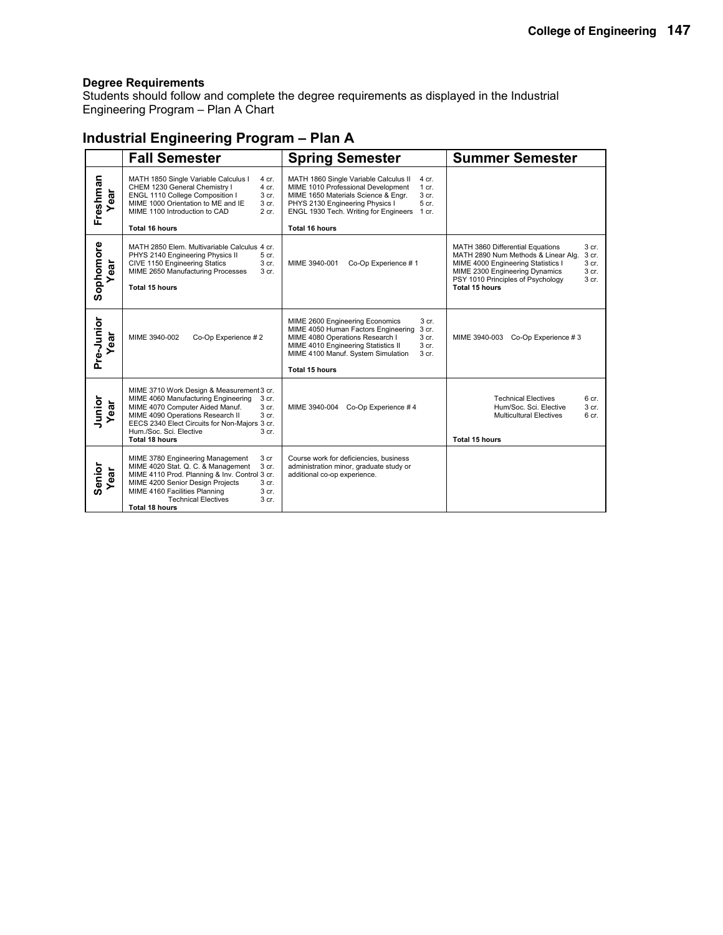Students should follow and complete the degree requirements as displayed in the Industrial Engineering Program – Plan A Chart

### **Industrial Engineering Program – Plan A**

|                  | <b>Fall Semester</b><br><b>Spring Semester</b>                                                                                                                                                                                                                                                   |                                                                                                                                                                                                                                                              | <b>Summer Semester</b>                                                                                                                                                                                                                              |
|------------------|--------------------------------------------------------------------------------------------------------------------------------------------------------------------------------------------------------------------------------------------------------------------------------------------------|--------------------------------------------------------------------------------------------------------------------------------------------------------------------------------------------------------------------------------------------------------------|-----------------------------------------------------------------------------------------------------------------------------------------------------------------------------------------------------------------------------------------------------|
| Freshman<br>ear  | MATH 1850 Single Variable Calculus I<br>4 cr.<br>CHEM 1230 General Chemistry I<br>4 cr.<br>ENGL 1110 College Composition I<br>3 cr.<br>MIME 1000 Orientation to ME and IE<br>3 cr.<br>MIME 1100 Introduction to CAD<br>2 cr.<br><b>Total 16 hours</b>                                            | MATH 1860 Single Variable Calculus II<br>4 cr.<br>MIME 1010 Professional Development<br>$1$ cr.<br>MIME 1650 Materials Science & Engr.<br>3 cr.<br>PHYS 2130 Engineering Physics I<br>5 cr.<br>ENGL 1930 Tech. Writing for Engineers 1 cr.<br>Total 16 hours |                                                                                                                                                                                                                                                     |
| Sophomore<br>ear | MATH 2850 Elem. Multivariable Calculus 4 cr.<br>PHYS 2140 Engineering Physics II<br>5 cr.<br>CIVE 1150 Engineering Statics<br>3 cr.<br>MIME 2650 Manufacturing Processes<br>3 cr.<br><b>Total 15 hours</b>                                                                                       | Co-Op Experience #1<br>MIME 3940-001                                                                                                                                                                                                                         | MATH 3860 Differential Equations<br>3 cr.<br>MATH 2890 Num Methods & Linear Alg.<br>3 cr.<br>3 cr.<br>MIME 4000 Engineering Statistics I<br>MIME 2300 Engineering Dynamics<br>3 cr.<br>PSY 1010 Principles of Psychology<br>3 cr.<br>Total 15 hours |
| Pre-Junior<br>ar | MIME 3940-002<br>Co-Op Experience #2                                                                                                                                                                                                                                                             | MIME 2600 Engineering Economics<br>3 cr.<br>MIME 4050 Human Factors Engineering<br>3 cr.<br>MIME 4080 Operations Research I<br>3 cr.<br>MIME 4010 Engineering Statistics II<br>3 cr.<br>MIME 4100 Manuf. System Simulation<br>3 cr.<br>Total 15 hours        | Co-Op Experience #3<br>MIME 3940-003                                                                                                                                                                                                                |
| Junior<br>ear    | MIME 3710 Work Design & Measurement 3 cr.<br>MIME 4060 Manufacturing Engineering<br>3 cr.<br>MIME 4070 Computer Aided Manuf.<br>3 cr.<br>MIME 4090 Operations Research II<br>3 cr.<br>EECS 2340 Elect Circuits for Non-Majors 3 cr.<br>Hum./Soc. Sci. Elective<br>3 cr.<br><b>Total 18 hours</b> | MIME 3940-004<br>Co-Op Experience #4                                                                                                                                                                                                                         | <b>Technical Electives</b><br>6 cr.<br>Hum/Soc. Sci. Elective<br>3 cr.<br>6 cr.<br><b>Multicultural Electives</b><br>Total 15 hours                                                                                                                 |
| Senior<br>Year   | MIME 3780 Engineering Management<br>3 cr<br>MIME 4020 Stat. Q. C. & Management<br>3 cr.<br>MIME 4110 Prod. Planning & Inv. Control 3 cr.<br>MIME 4200 Senior Design Projects<br>3 cr.<br>MIME 4160 Facilities Planning<br>3 cr.<br><b>Technical Electives</b><br>3 cr.<br><b>Total 18 hours</b>  | Course work for deficiencies, business<br>administration minor, graduate study or<br>additional co-op experience.                                                                                                                                            |                                                                                                                                                                                                                                                     |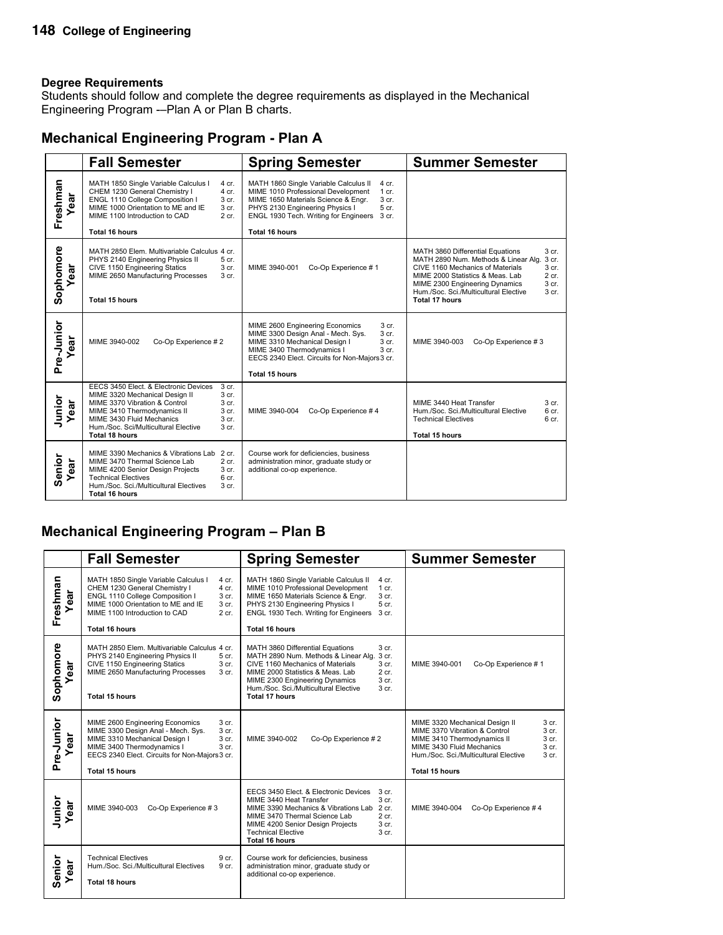Students should follow and complete the degree requirements as displayed in the Mechanical Engineering Program -–Plan A or Plan B charts.

### **Mechanical Engineering Program - Plan A**

|                         | <b>Fall Semester</b>                                                                                                                                                                                                                                                                 | <b>Spring Semester</b>                                                                                                                                                                                                                                            | <b>Summer Semester</b>                                                                                                                                                                                                                                                                                         |
|-------------------------|--------------------------------------------------------------------------------------------------------------------------------------------------------------------------------------------------------------------------------------------------------------------------------------|-------------------------------------------------------------------------------------------------------------------------------------------------------------------------------------------------------------------------------------------------------------------|----------------------------------------------------------------------------------------------------------------------------------------------------------------------------------------------------------------------------------------------------------------------------------------------------------------|
| Freshman<br>ear         | MATH 1850 Single Variable Calculus I<br>4 cr.<br>CHEM 1230 General Chemistry I<br>4 cr.<br>ENGL 1110 College Composition I<br>3 cr.<br>MIME 1000 Orientation to ME and IE<br>3 cr.<br>MIME 1100 Introduction to CAD<br>2 cr.<br><b>Total 16 hours</b>                                | MATH 1860 Single Variable Calculus II<br>$4$ cr.<br>MIME 1010 Professional Development<br>$1$ cr.<br>MIME 1650 Materials Science & Engr.<br>3 cr.<br>5 cr.<br>PHYS 2130 Engineering Physics I<br>ENGL 1930 Tech. Writing for Engineers<br>3 cr.<br>Total 16 hours |                                                                                                                                                                                                                                                                                                                |
| Sophomore<br><b>Teg</b> | MATH 2850 Elem. Multivariable Calculus 4 cr.<br>PHYS 2140 Engineering Physics II<br>5 cr.<br>CIVE 1150 Engineering Statics<br>3 cr.<br>MIME 2650 Manufacturing Processes<br>3 cr.<br>Total 15 hours                                                                                  | MIME 3940-001<br>Co-Op Experience #1                                                                                                                                                                                                                              | 3 cr.<br>MATH 3860 Differential Equations<br>MATH 2890 Num. Methods & Linear Alg.<br>3 cr.<br>CIVE 1160 Mechanics of Materials<br>3 <sub>cr.</sub><br>MIME 2000 Statistics & Meas, Lab<br>2 cr.<br>3 cr.<br>MIME 2300 Engineering Dynamics<br>Hum /Soc. Sci./Multicultural Elective<br>3 cr.<br>Total 17 hours |
| Pre-Junior<br>ear       | MIME 3940-002<br>Co-Op Experience #2                                                                                                                                                                                                                                                 | MIME 2600 Engineering Economics<br>3 cr.<br>MIME 3300 Design Anal - Mech. Sys.<br>3 cr.<br>3 cr.<br>MIME 3310 Mechanical Design I<br>MIME 3400 Thermodynamics I<br>3 <sub>cr.</sub><br>EECS 2340 Elect. Circuits for Non-Majors 3 cr.<br><b>Total 15 hours</b>    | MIME 3940-003<br>Co-Op Experience #3                                                                                                                                                                                                                                                                           |
| Junior<br>ear           | EECS 3450 Elect. & Electronic Devices<br>3 cr.<br>MIME 3320 Mechanical Design II<br>3 cr.<br>MIME 3370 Vibration & Control<br>3 cr.<br>3 cr.<br>MIME 3410 Thermodynamics II<br>MIME 3430 Fluid Mechanics<br>3 cr.<br>Hum./Soc. Sci/Multicultural Elective<br>3 cr.<br>Total 18 hours | MIME 3940-004<br>Co-Op Experience #4                                                                                                                                                                                                                              | MIME 3440 Heat Transfer<br>3 <sub>cr.</sub><br>Hum./Soc. Sci./Multicultural Elective<br>6 cr.<br><b>Technical Electives</b><br>6 cr.<br>Total 15 hours                                                                                                                                                         |
| Senior<br>ear           | MIME 3390 Mechanics & Vibrations Lab 2 cr.<br>2 cr.<br>MIME 3470 Thermal Science Lab<br>MIME 4200 Senior Design Projects<br>3 cr.<br><b>Technical Electives</b><br>6 cr.<br>Hum./Soc. Sci./Multicultural Electives<br>3 cr.<br><b>Total 16 hours</b>                                 | Course work for deficiencies, business<br>administration minor, graduate study or<br>additional co-op experience.                                                                                                                                                 |                                                                                                                                                                                                                                                                                                                |

### **Mechanical Engineering Program – Plan B**

|                  | <b>Fall Semester</b>                                                                                                                                                                                                                                  | <b>Spring Semester</b>                                                                                                                                                                                                                                                                                                             | <b>Summer Semester</b>                                                                                                                                                                                                                         |
|------------------|-------------------------------------------------------------------------------------------------------------------------------------------------------------------------------------------------------------------------------------------------------|------------------------------------------------------------------------------------------------------------------------------------------------------------------------------------------------------------------------------------------------------------------------------------------------------------------------------------|------------------------------------------------------------------------------------------------------------------------------------------------------------------------------------------------------------------------------------------------|
| Freshman<br>ear  | MATH 1850 Single Variable Calculus I<br>4 cr.<br>CHEM 1230 General Chemistry I<br>4 cr.<br>ENGL 1110 College Composition I<br>3 cr.<br>MIME 1000 Orientation to ME and IE<br>3 cr.<br>MIME 1100 Introduction to CAD<br>2 cr.<br><b>Total 16 hours</b> | MATH 1860 Single Variable Calculus II<br>4 cr.<br>MIME 1010 Professional Development<br>$1$ cr.<br>MIME 1650 Materials Science & Engr.<br>3 cr.<br>PHYS 2130 Engineering Physics I<br>5 cr.<br>ENGL 1930 Tech. Writing for Engineers<br>3 cr.<br>Total 16 hours                                                                    |                                                                                                                                                                                                                                                |
| Sophomore<br>ear | MATH 2850 Elem. Multivariable Calculus 4 cr.<br>PHYS 2140 Engineering Physics II<br>5 cr.<br>CIVE 1150 Engineering Statics<br>3 <sub>cr.</sub><br>MIME 2650 Manufacturing Processes<br>3 <sub>cr.</sub><br>Total 15 hours                             | MATH 3860 Differential Equations<br>3 <sub>cr.</sub><br>MATH 2890 Num. Methods & Linear Alg.<br>3 cr.<br>CIVE 1160 Mechanics of Materials<br>3 <sub>cr.</sub><br>$2$ cr.<br>MIME 2000 Statistics & Meas, Lab<br>3 cr.<br>MIME 2300 Engineering Dynamics<br>Hum./Soc. Sci./Multicultural Elective<br>3 cr.<br><b>Total 17 hours</b> | Co-Op Experience #1<br>MIME 3940-001                                                                                                                                                                                                           |
| Pre-Junior<br>ēā | 3 cr.<br>MIME 2600 Engineering Economics<br>MIME 3300 Design Anal - Mech. Sys.<br>3 cr.<br>MIME 3310 Mechanical Design I<br>3 cr.<br>MIME 3400 Thermodynamics I<br>3 cr.<br>EECS 2340 Elect. Circuits for Non-Majors 3 cr.<br><b>Total 15 hours</b>   | MIME 3940-002<br>Co-Op Experience #2                                                                                                                                                                                                                                                                                               | MIME 3320 Mechanical Design II<br>3 cr.<br>MIME 3370 Vibration & Control<br>3 cr.<br>MIME 3410 Thermodynamics II<br>3 cr.<br>MIME 3430 Fluid Mechanics<br>3 cr.<br>Hum./Soc. Sci./Multicultural Elective<br>3 <sub>cr.</sub><br>Total 15 hours |
| Junior<br>ear    | Co-Op Experience #3<br>MIME 3940-003                                                                                                                                                                                                                  | EECS 3450 Elect. & Electronic Devices<br>3 <sub>cr.</sub><br>MIME 3440 Heat Transfer<br>3 <sub>cr.</sub><br>MIME 3390 Mechanics & Vibrations Lab 2 cr.<br>$2$ cr.<br>MIME 3470 Thermal Science Lab<br>MIME 4200 Senior Design Projects<br>3 <sub>cr.</sub><br><b>Technical Elective</b><br>3 cr.<br><b>Total 16 hours</b>          | MIME 3940-004<br>Co-Op Experience #4                                                                                                                                                                                                           |
| Senior<br>ear    | <b>Technical Electives</b><br>9 cr.<br>Hum./Soc. Sci./Multicultural Electives<br>9 cr.<br>Total 18 hours                                                                                                                                              | Course work for deficiencies, business<br>administration minor, graduate study or<br>additional co-op experience.                                                                                                                                                                                                                  |                                                                                                                                                                                                                                                |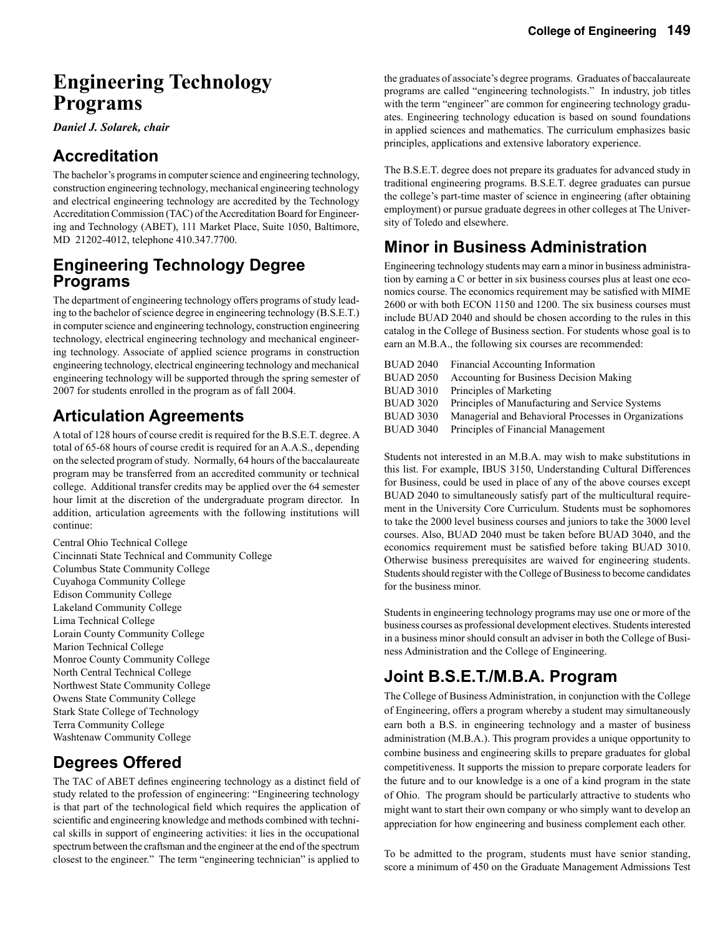# **Engineering Technology Programs**

*Daniel J. Solarek, chair*

# **Accreditation**

The bachelor's programs in computer science and engineering technology, construction engineering technology, mechanical engineering technology and electrical engineering technology are accredited by the Technology Accreditation Commission (TAC) of the Accreditation Board for Engineering and Technology (ABET), 111 Market Place, Suite 1050, Baltimore, MD 21202-4012, telephone 410.347.7700.

### **Engineering Technology Degree Programs**

The department of engineering technology offers programs of study leading to the bachelor of science degree in engineering technology (B.S.E.T.) in computer science and engineering technology, construction engineering technology, electrical engineering technology and mechanical engineering technology. Associate of applied science programs in construction engineering technology, electrical engineering technology and mechanical engineering technology will be supported through the spring semester of 2007 for students enrolled in the program as of fall 2004.

# **Articulation Agreements**

A total of 128 hours of course credit is required for the B.S.E.T. degree. A total of 65-68 hours of course credit is required for an A.A.S., depending on the selected program of study. Normally, 64 hours of the baccalaureate program may be transferred from an accredited community or technical college. Additional transfer credits may be applied over the 64 semester hour limit at the discretion of the undergraduate program director. In addition, articulation agreements with the following institutions will continue:

Central Ohio Technical College Cincinnati State Technical and Community College Columbus State Community College Cuyahoga Community College Edison Community College Lakeland Community College Lima Technical College Lorain County Community College Marion Technical College Monroe County Community College North Central Technical College Northwest State Community College Owens State Community College Stark State College of Technology Terra Community College Washtenaw Community College

# **Degrees Offered**

The TAC of ABET defines engineering technology as a distinct field of study related to the profession of engineering: "Engineering technology is that part of the technological field which requires the application of scientific and engineering knowledge and methods combined with technical skills in support of engineering activities: it lies in the occupational spectrum between the craftsman and the engineer at the end of the spectrum closest to the engineer." The term "engineering technician" is applied to

the graduates of associate's degree programs. Graduates of baccalaureate programs are called "engineering technologists." In industry, job titles with the term "engineer" are common for engineering technology graduates. Engineering technology education is based on sound foundations in applied sciences and mathematics. The curriculum emphasizes basic principles, applications and extensive laboratory experience.

The B.S.E.T. degree does not prepare its graduates for advanced study in traditional engineering programs. B.S.E.T. degree graduates can pursue the college's part-time master of science in engineering (after obtaining employment) or pursue graduate degrees in other colleges at The University of Toledo and elsewhere.

# **Minor in Business Administration**

Engineering technology students may earn a minor in business administration by earning a C or better in six business courses plus at least one economics course. The economics requirement may be satisfied with MIME 2600 or with both ECON 1150 and 1200. The six business courses must include BUAD 2040 and should be chosen according to the rules in this catalog in the College of Business section. For students whose goal is to earn an M.B.A., the following six courses are recommended:

| <b>BUAD 2040</b> | Financial Accounting Information                     |
|------------------|------------------------------------------------------|
| <b>BUAD 2050</b> | Accounting for Business Decision Making              |
| <b>BUAD 3010</b> | Principles of Marketing                              |
| BUAD 3020        | Principles of Manufacturing and Service Systems      |
| <b>BUAD 3030</b> | Managerial and Behavioral Processes in Organizations |
| <b>BUAD 3040</b> | Principles of Financial Management                   |
|                  |                                                      |

Students not interested in an M.B.A. may wish to make substitutions in this list. For example, IBUS 3150, Understanding Cultural Differences for Business, could be used in place of any of the above courses except BUAD 2040 to simultaneously satisfy part of the multicultural requirement in the University Core Curriculum. Students must be sophomores to take the 2000 level business courses and juniors to take the 3000 level courses. Also, BUAD 2040 must be taken before BUAD 3040, and the economics requirement must be satisfied before taking BUAD 3010. Otherwise business prerequisites are waived for engineering students. Students should register with the College of Business to become candidates for the business minor.

Students in engineering technology programs may use one or more of the business courses as professional development electives. Students interested in a business minor should consult an adviser in both the College of Business Administration and the College of Engineering.

# **Joint B.S.E.T./M.B.A. Program**

The College of Business Administration, in conjunction with the College of Engineering, offers a program whereby a student may simultaneously earn both a B.S. in engineering technology and a master of business administration (M.B.A.). This program provides a unique opportunity to combine business and engineering skills to prepare graduates for global competitiveness. It supports the mission to prepare corporate leaders for the future and to our knowledge is a one of a kind program in the state of Ohio. The program should be particularly attractive to students who might want to start their own company or who simply want to develop an appreciation for how engineering and business complement each other.

To be admitted to the program, students must have senior standing, score a minimum of 450 on the Graduate Management Admissions Test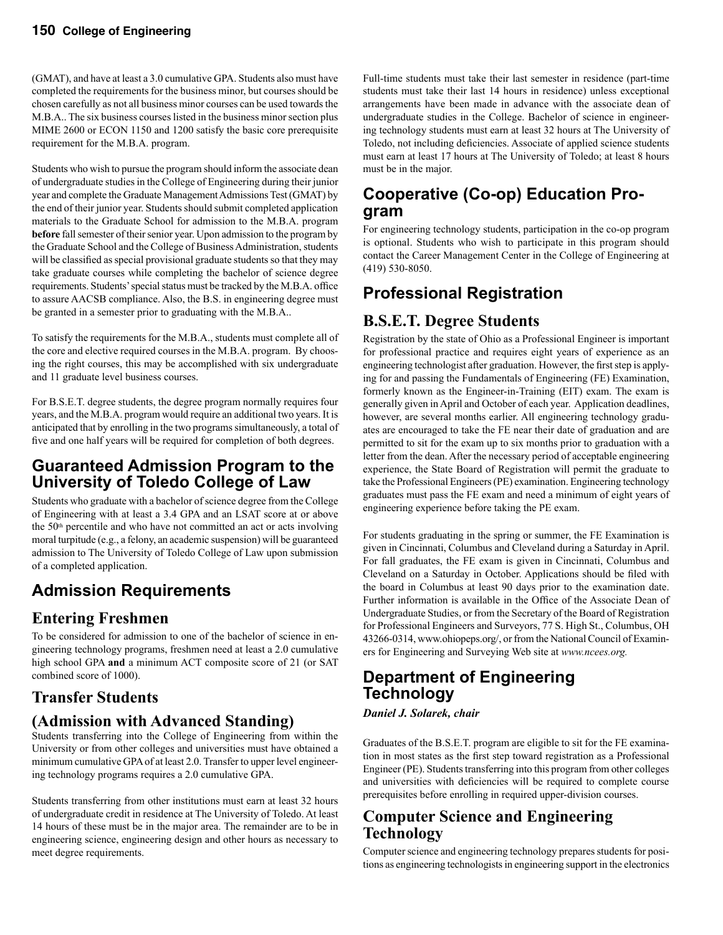(GMAT), and have at least a 3.0 cumulative GPA. Students also must have completed the requirements for the business minor, but courses should be chosen carefully as not all business minor courses can be used towards the M.B.A.. The six business courses listed in the business minor section plus MIME 2600 or ECON 1150 and 1200 satisfy the basic core prerequisite requirement for the M.B.A. program.

Students who wish to pursue the program should inform the associate dean of undergraduate studies in the College of Engineering during their junior year and complete the Graduate Management Admissions Test (GMAT) by the end of their junior year. Students should submit completed application materials to the Graduate School for admission to the M.B.A. program **before** fall semester of their senior year. Upon admission to the program by the Graduate School and the College of Business Administration, students will be classified as special provisional graduate students so that they may take graduate courses while completing the bachelor of science degree requirements. Students' special status must be tracked by the M.B.A. office to assure AACSB compliance. Also, the B.S. in engineering degree must be granted in a semester prior to graduating with the M.B.A..

To satisfy the requirements for the M.B.A., students must complete all of the core and elective required courses in the M.B.A. program. By choosing the right courses, this may be accomplished with six undergraduate and 11 graduate level business courses.

For B.S.E.T. degree students, the degree program normally requires four years, and the M.B.A. program would require an additional two years. It is anticipated that by enrolling in the two programs simultaneously, a total of five and one half years will be required for completion of both degrees.

# **Guaranteed Admission Program to the University of Toledo College of Law**

Students who graduate with a bachelor of science degree from the College of Engineering with at least a 3.4 GPA and an LSAT score at or above the 50<sup>th</sup> percentile and who have not committed an act or acts involving moral turpitude (e.g., a felony, an academic suspension) will be guaranteed admission to The University of Toledo College of Law upon submission of a completed application.

# **Admission Requirements**

# **Entering Freshmen**

To be considered for admission to one of the bachelor of science in engineering technology programs, freshmen need at least a 2.0 cumulative high school GPA **and** a minimum ACT composite score of 21 (or SAT combined score of 1000).

# **Transfer Students**

# **(Admission with Advanced Standing)**

Students transferring into the College of Engineering from within the University or from other colleges and universities must have obtained a minimum cumulative GPA of at least 2.0. Transfer to upper level engineering technology programs requires a 2.0 cumulative GPA.

Students transferring from other institutions must earn at least 32 hours of undergraduate credit in residence at The University of Toledo. At least 14 hours of these must be in the major area. The remainder are to be in engineering science, engineering design and other hours as necessary to meet degree requirements.

Full-time students must take their last semester in residence (part-time students must take their last 14 hours in residence) unless exceptional arrangements have been made in advance with the associate dean of undergraduate studies in the College. Bachelor of science in engineering technology students must earn at least 32 hours at The University of Toledo, not including deficiencies. Associate of applied science students must earn at least 17 hours at The University of Toledo; at least 8 hours must be in the major.

# **Cooperative (Co-op) Education Pro- gram**

For engineering technology students, participation in the co-op program is optional. Students who wish to participate in this program should contact the Career Management Center in the College of Engineering at (419) 530-8050.

# **Professional Registration**

# **B.S.E.T. Degree Students**

Registration by the state of Ohio as a Professional Engineer is important for professional practice and requires eight years of experience as an engineering technologist after graduation. However, the first step is applying for and passing the Fundamentals of Engineering (FE) Examination, formerly known as the Engineer-in-Training (EIT) exam. The exam is generally given in April and October of each year. Application deadlines, however, are several months earlier. All engineering technology graduates are encouraged to take the FE near their date of graduation and are permitted to sit for the exam up to six months prior to graduation with a letter from the dean. After the necessary period of acceptable engineering experience, the State Board of Registration will permit the graduate to take the Professional Engineers (PE) examination. Engineering technology graduates must pass the FE exam and need a minimum of eight years of engineering experience before taking the PE exam.

For students graduating in the spring or summer, the FE Examination is given in Cincinnati, Columbus and Cleveland during a Saturday in April. For fall graduates, the FE exam is given in Cincinnati, Columbus and Cleveland on a Saturday in October. Applications should be filed with the board in Columbus at least 90 days prior to the examination date. Further information is available in the Office of the Associate Dean of Undergraduate Studies, or from the Secretary of the Board of Registration for Professional Engineers and Surveyors, 77 S. High St., Columbus, OH 43266-0314, www.ohiopeps.org/, or from the National Council of Examiners for Engineering and Surveying Web site at *www.ncees.org.*

# **Department of Engineering Technology**

*Daniel J. Solarek, chair*

Graduates of the B.S.E.T. program are eligible to sit for the FE examination in most states as the first step toward registration as a Professional Engineer (PE). Students transferring into this program from other colleges and universities with deficiencies will be required to complete course prerequisites before enrolling in required upper-division courses.

# **Computer Science and Engineering Technology**

Computer science and engineering technology prepares students for positions as engineering technologists in engineering support in the electronics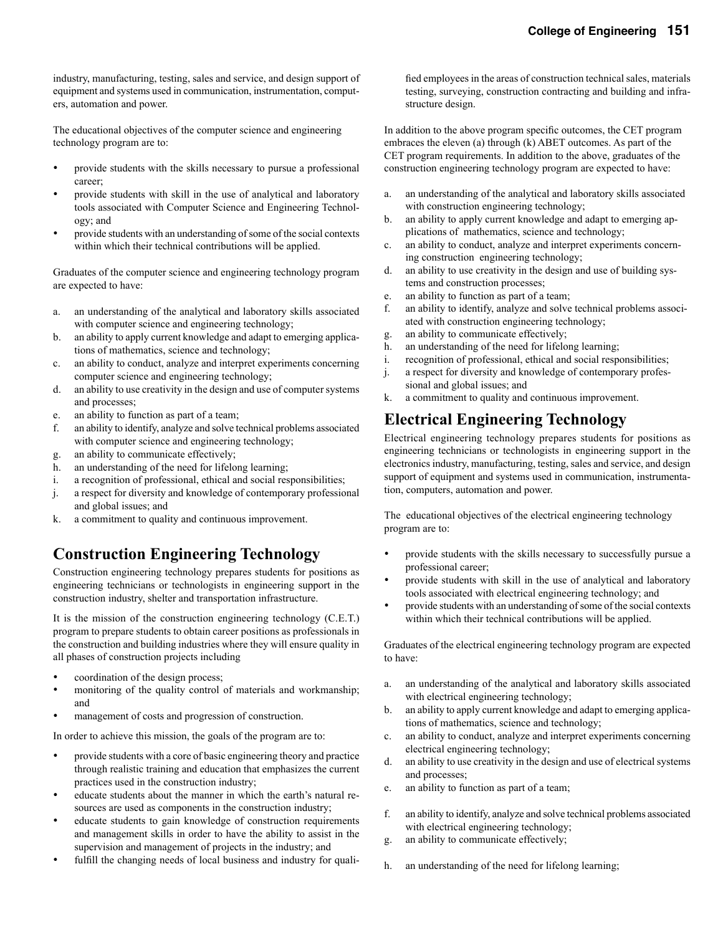industry, manufacturing, testing, sales and service, and design support of equipment and systems used in communication, instrumentation, computers, automation and power.

The educational objectives of the computer science and engineering technology program are to:

- provide students with the skills necessary to pursue a professional career;
- provide students with skill in the use of analytical and laboratory tools associated with Computer Science and Engineering Technology; and
- provide students with an understanding of some of the social contexts within which their technical contributions will be applied.

Graduates of the computer science and engineering technology program are expected to have:

- a. an understanding of the analytical and laboratory skills associated with computer science and engineering technology;
- b. an ability to apply current knowledge and adapt to emerging applications of mathematics, science and technology;
- c. an ability to conduct, analyze and interpret experiments concerning computer science and engineering technology;
- d. an ability to use creativity in the design and use of computer systems and processes;
- e. an ability to function as part of a team;
- f. an ability to identify, analyze and solve technical problems associated with computer science and engineering technology;
- g. an ability to communicate effectively;
- h. an understanding of the need for lifelong learning;
- i. a recognition of professional, ethical and social responsibilities;
- j. a respect for diversity and knowledge of contemporary professional and global issues; and
- k. a commitment to quality and continuous improvement.

# **Construction Engineering Technology**

Construction engineering technology prepares students for positions as engineering technicians or technologists in engineering support in the construction industry, shelter and transportation infrastructure.

It is the mission of the construction engineering technology (C.E.T.) program to prepare students to obtain career positions as professionals in the construction and building industries where they will ensure quality in all phases of construction projects including

- coordination of the design process;
- monitoring of the quality control of materials and workmanship; and
- management of costs and progression of construction.

In order to achieve this mission, the goals of the program are to:

- provide students with a core of basic engineering theory and practice through realistic training and education that emphasizes the current practices used in the construction industry;
- educate students about the manner in which the earth's natural resources are used as components in the construction industry;
- educate students to gain knowledge of construction requirements and management skills in order to have the ability to assist in the supervision and management of projects in the industry; and
- fulfill the changing needs of local business and industry for quali-

fied employees in the areas of construction technical sales, materials testing, surveying, construction contracting and building and infrastructure design.

In addition to the above program specific outcomes, the CET program embraces the eleven (a) through (k) ABET outcomes. As part of the CET program requirements. In addition to the above, graduates of the construction engineering technology program are expected to have:

- a. an understanding of the analytical and laboratory skills associated with construction engineering technology;
- b. an ability to apply current knowledge and adapt to emerging applications of mathematics, science and technology;
- c. an ability to conduct, analyze and interpret experiments concerning construction engineering technology;
- d. an ability to use creativity in the design and use of building systems and construction processes;
- e. an ability to function as part of a team;
- f. an ability to identify, analyze and solve technical problems associated with construction engineering technology;
- g. an ability to communicate effectively;
- h. an understanding of the need for lifelong learning;
- i. recognition of professional, ethical and social responsibilities;
- j. a respect for diversity and knowledge of contemporary professional and global issues; and
- k. a commitment to quality and continuous improvement.

# **Electrical Engineering Technology**

Electrical engineering technology prepares students for positions as engineering technicians or technologists in engineering support in the electronics industry, manufacturing, testing, sales and service, and design support of equipment and systems used in communication, instrumentation, computers, automation and power.

The educational objectives of the electrical engineering technology program are to:

- provide students with the skills necessary to successfully pursue a professional career;
- provide students with skill in the use of analytical and laboratory tools associated with electrical engineering technology; and
- provide students with an understanding of some of the social contexts within which their technical contributions will be applied.

Graduates of the electrical engineering technology program are expected to have:

- a. an understanding of the analytical and laboratory skills associated with electrical engineering technology;
- b. an ability to apply current knowledge and adapt to emerging applications of mathematics, science and technology;
- c. an ability to conduct, analyze and interpret experiments concerning electrical engineering technology;
- d. an ability to use creativity in the design and use of electrical systems and processes;
- e. an ability to function as part of a team;
- f. an ability to identify, analyze and solve technical problems associated with electrical engineering technology;
- g. an ability to communicate effectively;
- h. an understanding of the need for lifelong learning;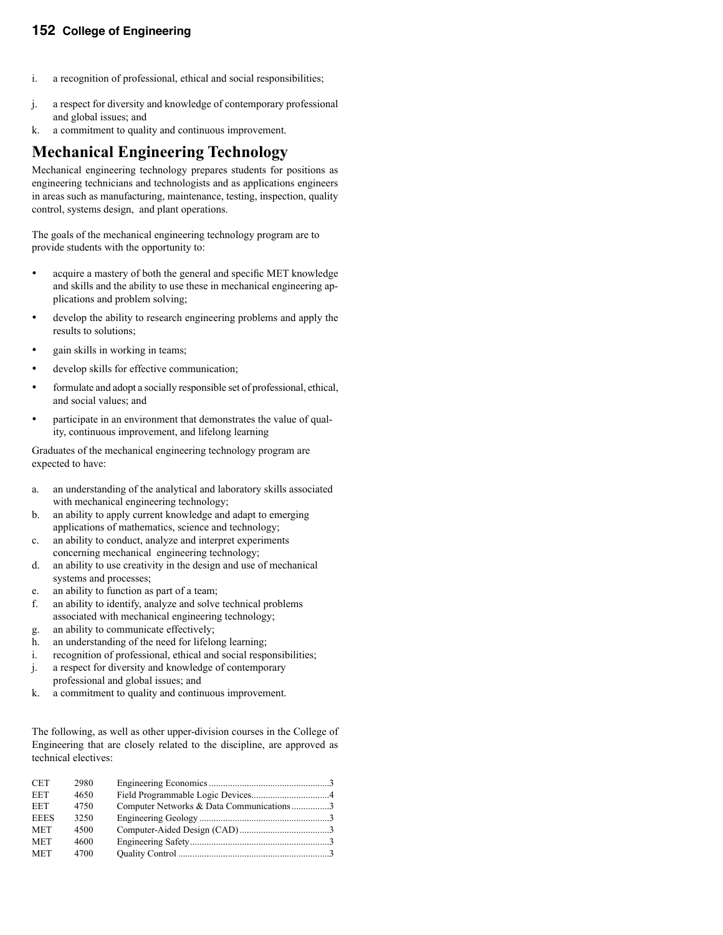#### **152 College of Engineering**

- i. a recognition of professional, ethical and social responsibilities;
- j. a respect for diversity and knowledge of contemporary professional and global issues; and
- k. a commitment to quality and continuous improvement.

### **Mechanical Engineering Technology**

Mechanical engineering technology prepares students for positions as engineering technicians and technologists and as applications engineers in areas such as manufacturing, maintenance, testing, inspection, quality control, systems design, and plant operations.

The goals of the mechanical engineering technology program are to provide students with the opportunity to:

- acquire a mastery of both the general and specific MET knowledge and skills and the ability to use these in mechanical engineering applications and problem solving;
- develop the ability to research engineering problems and apply the results to solutions;
- gain skills in working in teams;
- develop skills for effective communication;
- formulate and adopt a socially responsible set of professional, ethical, and social values; and
- participate in an environment that demonstrates the value of quality, continuous improvement, and lifelong learning

Graduates of the mechanical engineering technology program are expected to have:

- a. an understanding of the analytical and laboratory skills associated with mechanical engineering technology;
- b. an ability to apply current knowledge and adapt to emerging applications of mathematics, science and technology;
- c. an ability to conduct, analyze and interpret experiments concerning mechanical engineering technology;
- d. an ability to use creativity in the design and use of mechanical systems and processes;
- e. an ability to function as part of a team;
- f. an ability to identify, analyze and solve technical problems associated with mechanical engineering technology;
- g. an ability to communicate effectively;
- h. an understanding of the need for lifelong learning;
- i. recognition of professional, ethical and social responsibilities;
- j. a respect for diversity and knowledge of contemporary professional and global issues; and
- k. a commitment to quality and continuous improvement.

The following, as well as other upper-division courses in the College of Engineering that are closely related to the discipline, are approved as technical electives:

| Computer Networks & Data Communications3 |
|------------------------------------------|
|                                          |
|                                          |
|                                          |
|                                          |
|                                          |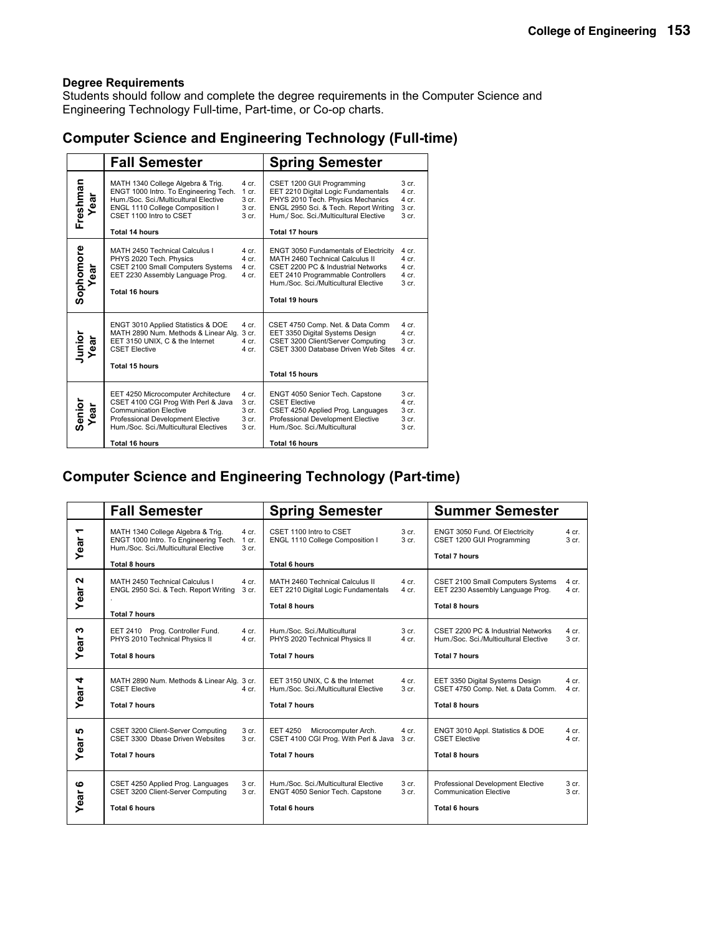Students should follow and complete the degree requirements in the Computer Science and Engineering Technology Full-time, Part-time, or Co-op charts.

### **Computer Science and Engineering Technology (Full-time)**

|                   | <b>Fall Semester</b>                                                                                                                                                                                                |                                             | <b>Spring Semester</b>                                                                                                                                                                                                |                                                                                         |
|-------------------|---------------------------------------------------------------------------------------------------------------------------------------------------------------------------------------------------------------------|---------------------------------------------|-----------------------------------------------------------------------------------------------------------------------------------------------------------------------------------------------------------------------|-----------------------------------------------------------------------------------------|
| Freshman<br>Year  | MATH 1340 College Algebra & Trig.<br>ENGT 1000 Intro. To Engineering Tech.<br>Hum./Soc. Sci./Multicultural Elective<br>ENGL 1110 College Composition I<br>CSET 1100 Intro to CSET<br>Total 14 hours                 | 4 cr.<br>$1$ cr.<br>3 cr.<br>3 cr.<br>3 cr. | CSET 1200 GUI Programming<br>EET 2210 Digital Logic Fundamentals<br>PHYS 2010 Tech. Physics Mechanics<br>ENGL 2950 Sci. & Tech. Report Writing<br>Hum./ Soc. Sci./Multicultural Elective<br><b>Total 17 hours</b>     | 3 <sub>cr.</sub><br>$4$ cr.<br>4 cr.<br>$3$ cr.<br>3 <sub>cr.</sub>                     |
| Sophomore<br>Year | MATH 2450 Technical Calculus I<br>PHYS 2020 Tech. Physics<br>CSET 2100 Small Computers Systems<br>EET 2230 Assembly Language Prog.<br><b>Total 16 hours</b>                                                         | 4 cr.<br>4 cr.<br>4 cr.<br>4 cr.            | <b>ENGT 3050 Fundamentals of Electricity</b><br>MATH 2460 Technical Calculus II<br>CSET 2200 PC & Industrial Networks<br>EET 2410 Programmable Controllers<br>Hum./Soc. Sci./Multicultural Elective<br>Total 19 hours | 4 cr.<br>4 cr.<br>4 cr.<br>4 cr.<br>3 <sub>cr.</sub>                                    |
| Junior<br>Year    | ENGT 3010 Applied Statistics & DOE<br>MATH 2890 Num. Methods & Linear Alg.<br>EET 3150 UNIX, C & the Internet<br><b>CSET Elective</b><br><b>Total 15 hours</b>                                                      | 4 cr.<br>3 cr.<br>$4$ cr.<br>4 cr.          | CSET 4750 Comp. Net. & Data Comm<br>EET 3350 Digital Systems Design<br>CSET 3200 Client/Server Computing<br>CSET 3300 Database Driven Web Sites<br>Total 15 hours                                                     | 4 cr.<br>4 cr.<br>$3$ cr.<br>4 cr.                                                      |
| Senior<br>Year    | EET 4250 Microcomputer Architecture<br>CSET 4100 CGI Prog With Perl & Java<br><b>Communication Elective</b><br>Professional Development Elective<br>Hum./Soc. Sci./Multicultural Electives<br><b>Total 16 hours</b> | 4 cr.<br>3 cr.<br>3 cr.<br>3 cr.<br>3 cr.   | ENGT 4050 Senior Tech. Capstone<br><b>CSET Elective</b><br>CSET 4250 Applied Prog. Languages<br>Professional Development Elective<br>Hum./Soc. Sci./Multicultural<br><b>Total 16 hours</b>                            | 3 <sub>cr.</sub><br>$4$ cr.<br>3 <sub>cr.</sub><br>3 <sub>cr.</sub><br>3 <sub>cr.</sub> |

# **Computer Science and Engineering Technology (Part-time)**

|                      | <b>Fall Semester</b>                                                                                                |                           | <b>Spring Semester</b>                                                                                       |                             | <b>Summer Semester</b>                                                                              |                             |
|----------------------|---------------------------------------------------------------------------------------------------------------------|---------------------------|--------------------------------------------------------------------------------------------------------------|-----------------------------|-----------------------------------------------------------------------------------------------------|-----------------------------|
| ᠆<br>Year            | MATH 1340 College Algebra & Trig.<br>ENGT 1000 Intro. To Engineering Tech.<br>Hum./Soc. Sci./Multicultural Elective | 4 cr.<br>1 cr.<br>3 cr.   | CSET 1100 Intro to CSET<br>ENGL 1110 College Composition I                                                   | 3 <sub>cr.</sub><br>3 cr.   | ENGT 3050 Fund. Of Electricity<br>CSET 1200 GUI Programming<br><b>Total 7 hours</b>                 | $4$ cr.<br>3 <sub>cr.</sub> |
|                      | <b>Total 8 hours</b>                                                                                                |                           | <b>Total 6 hours</b>                                                                                         |                             |                                                                                                     |                             |
| $\mathbf{a}$<br>Year | MATH 2450 Technical Calculus I<br>ENGL 2950 Sci. & Tech. Report Writing                                             | 4 cr.<br>3 cr.            | MATH 2460 Technical Calculus II<br>EET 2210 Digital Logic Fundamentals                                       | 4 cr.<br>4 cr.              | CSET 2100 Small Computers Systems<br>EET 2230 Assembly Language Prog.                               | 4 cr.<br>$4$ cr.            |
|                      | <b>Total 7 hours</b>                                                                                                |                           | <b>Total 8 hours</b>                                                                                         |                             | <b>Total 8 hours</b>                                                                                |                             |
| ∾<br>Year            | EET 2410 Prog. Controller Fund.<br>PHYS 2010 Technical Physics II<br><b>Total 8 hours</b>                           | 4 cr.<br>4 cr.            | Hum./Soc. Sci./Multicultural<br>PHYS 2020 Technical Physics II<br><b>Total 7 hours</b>                       | 3 <sub>cr.</sub><br>$4$ cr. | CSET 2200 PC & Industrial Networks<br>Hum./Soc. Sci./Multicultural Elective<br><b>Total 7 hours</b> | 4 cr.<br>3 <sub>cr.</sub>   |
| 4<br>Year            | MATH 2890 Num. Methods & Linear Alg. 3 cr.<br><b>CSET Elective</b><br><b>Total 7 hours</b>                          | 4 cr.                     | EET 3150 UNIX, C & the Internet<br>Hum./Soc. Sci./Multicultural Elective<br><b>Total 7 hours</b>             | 4 cr.<br>3 <sub>cr.</sub>   | EET 3350 Digital Systems Design<br>CSET 4750 Comp. Net. & Data Comm.<br><b>Total 8 hours</b>        | 4 cr.<br>$4$ cr.            |
| 5<br>Year            | CSET 3200 Client-Server Computing<br>CSET 3300 Dbase Driven Websites<br><b>Total 7 hours</b>                        | 3 cr.<br>3 <sub>cr.</sub> | <b>EET 4250</b><br>Microcomputer Arch.<br>CSET 4100 CGI Prog. With Perl & Java 3 cr.<br><b>Total 7 hours</b> | $4$ cr.                     | ENGT 3010 Appl. Statistics & DOE<br><b>CSET Elective</b><br><b>Total 8 hours</b>                    | $4$ cr.<br>$4$ cr.          |
| ဖ<br>Year            | CSET 4250 Applied Prog. Languages<br>CSET 3200 Client-Server Computing<br>Total 6 hours                             | 3 cr.<br>3 cr.            | Hum./Soc. Sci./Multicultural Elective<br>ENGT 4050 Senior Tech. Capstone<br>Total 6 hours                    | 3 <sub>cr.</sub><br>3 cr.   | Professional Development Elective<br><b>Communication Elective</b><br><b>Total 6 hours</b>          | 3 cr.<br>3 <sub>cr.</sub>   |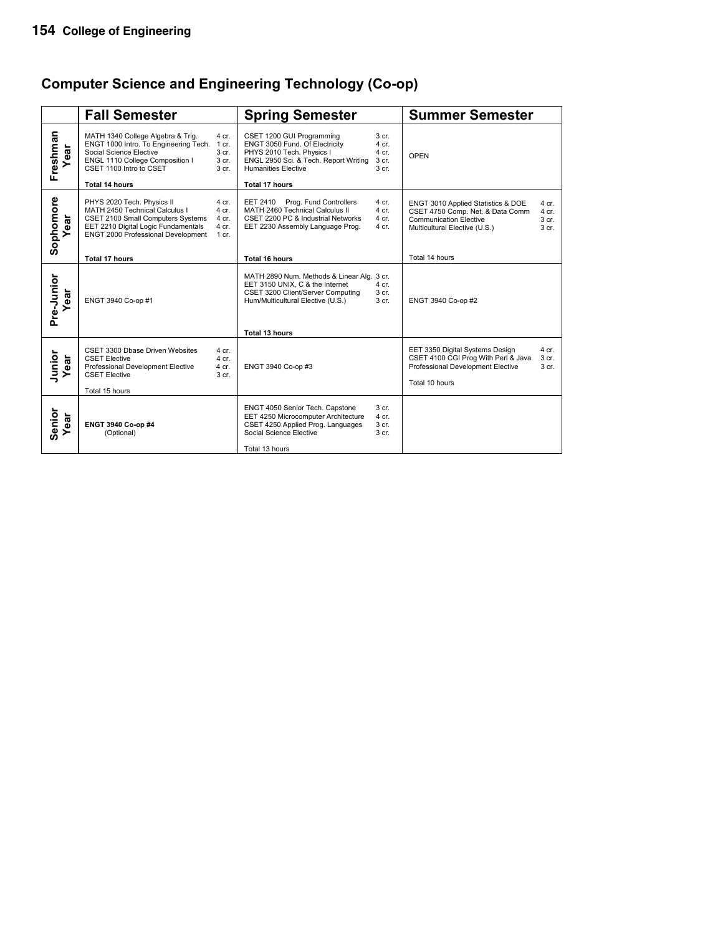# **Computer Science and Engineering Technology (Co-op)**

|                    | <b>Fall Semester</b>                                                                                                                                                                                                                                 | <b>Spring Semester</b>                                                                                                                                                                                                                           | <b>Summer Semester</b>                                                                                                                                                                                      |
|--------------------|------------------------------------------------------------------------------------------------------------------------------------------------------------------------------------------------------------------------------------------------------|--------------------------------------------------------------------------------------------------------------------------------------------------------------------------------------------------------------------------------------------------|-------------------------------------------------------------------------------------------------------------------------------------------------------------------------------------------------------------|
| Freshman<br>ear    | MATH 1340 College Algebra & Trig.<br>4 cr.<br>ENGT 1000 Intro. To Engineering Tech.<br>1 cr.<br>Social Science Elective<br>3 cr.<br>ENGL 1110 College Composition I<br>3 cr.<br>CSET 1100 Intro to CSET<br>3 <sub>cr.</sub><br><b>Total 14 hours</b> | CSET 1200 GUI Programming<br>3 cr.<br>ENGT 3050 Fund. Of Electricity<br>4 cr.<br>PHYS 2010 Tech. Physics I<br>4 cr.<br>ENGL 2950 Sci. & Tech. Report Writing<br>3 cr.<br><b>Humanities Elective</b><br>3 <sub>cr.</sub><br><b>Total 17 hours</b> | OPEN                                                                                                                                                                                                        |
| Sophomore<br>ear   | PHYS 2020 Tech. Physics II<br>4 cr.<br>MATH 2450 Technical Calculus I<br>4 cr.<br>CSET 2100 Small Computers Systems<br>4 cr.<br>EET 2210 Digital Logic Fundamentals<br>4 cr.<br>ENGT 2000 Professional Development<br>$1$ cr.                        | Prog. Fund Controllers<br>4 cr.<br>EET 2410<br>MATH 2460 Technical Calculus II<br>4 cr.<br>CSET 2200 PC & Industrial Networks<br>4 cr.<br>EET 2230 Assembly Language Prog.<br>4 cr.                                                              | ENGT 3010 Applied Statistics & DOE<br>4 cr.<br>CSET 4750 Comp. Net. & Data Comm<br>$4$ cr.<br><b>Communication Elective</b><br>3 cr.<br>3 <sub>cr.</sub><br>Multicultural Elective (U.S.)<br>Total 14 hours |
|                    | <b>Total 17 hours</b>                                                                                                                                                                                                                                | <b>Total 16 hours</b>                                                                                                                                                                                                                            |                                                                                                                                                                                                             |
| Pre-Junior<br>ear  | ENGT 3940 Co-op #1                                                                                                                                                                                                                                   | MATH 2890 Num. Methods & Linear Alg. 3 cr.<br>EET 3150 UNIX, C & the Internet<br>$4$ cr.<br>CSET 3200 Client/Server Computing<br>3 cr.<br>3 cr.<br>Hum/Multicultural Elective (U.S.)<br>Total 13 hours                                           | ENGT 3940 Co-op #2                                                                                                                                                                                          |
| Junior<br>ear      | CSET 3300 Dbase Driven Websites<br>4 cr.<br><b>CSET Elective</b><br>4 cr.<br>Professional Development Elective<br>4 cr.<br><b>CSET Elective</b><br>3 cr.<br>Total 15 hours                                                                           | ENGT 3940 Co-op #3                                                                                                                                                                                                                               | EET 3350 Digital Systems Design<br>4 cr.<br>CSET 4100 CGI Prog With Perl & Java<br>3 <sub>cr.</sub><br>Professional Development Elective<br>3 <sub>cr.</sub><br>Total 10 hours                              |
| Senior<br>ear<br>≻ | ENGT 3940 Co-op #4<br>(Optional)                                                                                                                                                                                                                     | ENGT 4050 Senior Tech. Capstone<br>3 <sub>cr.</sub><br>EET 4250 Microcomputer Architecture<br>4 cr.<br>CSET 4250 Applied Prog. Languages<br>3 cr.<br>Social Science Elective<br>3 cr.<br>Total 13 hours                                          |                                                                                                                                                                                                             |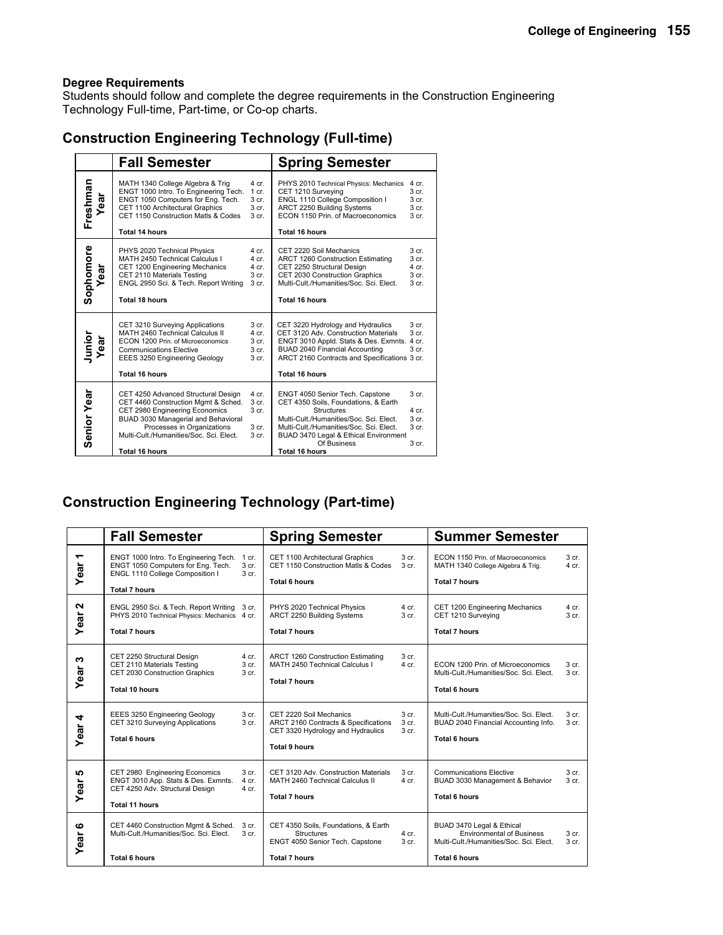Students should follow and complete the degree requirements in the Construction Engineering Technology Full-time, Part-time, or Co-op charts.

### **Construction Engineering Technology (Full-time)**

|                   | <b>Fall Semester</b>                                                                                                                                                                                                                                  |                                                        | <b>Spring Semester</b>                                                                                                                                                                                                                                              |                                                                                       |
|-------------------|-------------------------------------------------------------------------------------------------------------------------------------------------------------------------------------------------------------------------------------------------------|--------------------------------------------------------|---------------------------------------------------------------------------------------------------------------------------------------------------------------------------------------------------------------------------------------------------------------------|---------------------------------------------------------------------------------------|
| Freshman<br>Year  | MATH 1340 College Algebra & Trig<br>ENGT 1000 Intro. To Engineering Tech.<br>ENGT 1050 Computers for Eng. Tech.<br>CET 1100 Architectural Graphics<br>CET 1150 Construction Matls & Codes<br>Total 14 hours                                           | 4 cr.<br>$1$ cr.<br>3 <sub>cr.</sub><br>3 cr.<br>3 cr. | PHYS 2010 Technical Physics: Mechanics<br>CET 1210 Surveying<br>ENGL 1110 College Composition I<br>ARCT 2250 Building Systems<br>ECON 1150 Prin. of Macroeconomics<br>Total 16 hours                                                                                | 4 cr.<br>3 <sub>cr.</sub><br>3 <sub>cr.</sub><br>3 cr.<br>3 <sub>cr.</sub>            |
| Sophomore<br>Year | PHYS 2020 Technical Physics<br>MATH 2450 Technical Calculus I<br>CET 1200 Engineering Mechanics<br>CET 2110 Materials Testing<br>ENGL 2950 Sci. & Tech. Report Writing<br>Total 18 hours                                                              | 4 cr.<br>4 cr.<br>4 cr.<br>3 cr.<br>3 cr.              | CET 2220 Soil Mechanics<br>ARCT 1260 Construction Estimating<br>CET 2250 Structural Design<br>CET 2030 Construction Graphics<br>Multi-Cult./Humanities/Soc. Sci. Elect.<br><b>Total 16 hours</b>                                                                    | 3 <sub>cr.</sub><br>3 <sub>cr.</sub><br>4 cr.<br>3 <sub>cr.</sub><br>3 <sub>cr.</sub> |
| Junior<br>Year    | CET 3210 Surveying Applications<br>MATH 2460 Technical Calculus II<br>ECON 1200 Prin. of Microeconomics<br><b>Communications Elective</b><br>EEES 3250 Engineering Geology<br>Total 16 hours                                                          | 3 cr.<br>$4$ cr.<br>3 cr.<br>3 cr.<br>3 cr.            | CET 3220 Hydrology and Hydraulics<br>CET 3120 Adv. Construction Materials<br>ENGT 3010 Appld. Stats & Des. Exmnts. 4 cr.<br>BUAD 2040 Financial Accounting<br>ARCT 2160 Contracts and Specifications 3 cr.<br><b>Total 16 hours</b>                                 | 3 <sub>cr.</sub><br>3 <sub>cr.</sub><br>3 <sub>cr.</sub>                              |
| Senior Year       | CET 4250 Advanced Structural Design<br>CET 4460 Construction Mgmt & Sched.<br>CET 2980 Engineering Economics<br>BUAD 3030 Managerial and Behavioral<br>Processes in Organizations<br>Multi-Cult./Humanities/Soc. Sci. Elect.<br><b>Total 16 hours</b> | 4 cr.<br>3 cr.<br>3 cr.<br>3 cr.<br>3 cr.              | ENGT 4050 Senior Tech. Capstone<br>CET 4350 Soils, Foundations, & Earth<br><b>Structures</b><br>Multi-Cult./Humanities/Soc. Sci. Elect.<br>Multi-Cult./Humanities/Soc. Sci. Elect.<br>BUAD 3470 Legal & Ethical Environment<br>Of Business<br><b>Total 16 hours</b> | 3 <sub>cr.</sub><br>4 cr.<br>3 <sub>cr.</sub><br>3 <sub>cr.</sub><br>3 <sub>cr.</sub> |

### **Construction Engineering Technology (Part-time)**

|                                  | <b>Fall Semester</b>                                                                                                                         |                                      | <b>Spring Semester</b>                                                                                                       | <b>Summer Semester</b>             |                                                                                                                           |                                      |
|----------------------------------|----------------------------------------------------------------------------------------------------------------------------------------------|--------------------------------------|------------------------------------------------------------------------------------------------------------------------------|------------------------------------|---------------------------------------------------------------------------------------------------------------------------|--------------------------------------|
| $\overline{\phantom{0}}$<br>Year | ENGT 1000 Intro. To Engineering Tech. 1 cr.<br>ENGT 1050 Computers for Eng. Tech.<br>ENGL 1110 College Composition I<br><b>Total 7 hours</b> | 3 <sub>cr.</sub><br>3 cr.            | CET 1100 Architectural Graphics<br>CET 1150 Construction Matls & Codes<br><b>Total 6 hours</b>                               | 3 cr.<br>3 <sub>cr.</sub>          | ECON 1150 Prin. of Macroeconomics<br>MATH 1340 College Algebra & Trig.<br><b>Total 7 hours</b>                            | 3 cr.<br>4 cr.                       |
| $\mathbf{a}$<br>Year             | ENGL 2950 Sci. & Tech. Report Writing 3 cr.<br>PHYS 2010 Technical Physics: Mechanics 4 cr.<br><b>Total 7 hours</b>                          |                                      | PHYS 2020 Technical Physics<br>ARCT 2250 Building Systems<br><b>Total 7 hours</b>                                            | 4 cr.<br>3 cr.                     | CET 1200 Engineering Mechanics<br>CET 1210 Surveying<br><b>Total 7 hours</b>                                              | 4 cr.<br>3 <sub>cr.</sub>            |
| ຕ<br>Year                        | CET 2250 Structural Design<br>CET 2110 Materials Testing<br>CET 2030 Construction Graphics<br>Total 10 hours                                 | 4 cr.<br>3 cr.<br>3 cr.              | ARCT 1260 Construction Estimating<br>MATH 2450 Technical Calculus I<br><b>Total 7 hours</b>                                  | 3 cr.<br>$4$ cr.                   | ECON 1200 Prin. of Microeconomics<br>Multi-Cult./Humanities/Soc. Sci. Elect.<br><b>Total 6 hours</b>                      | 3 <sub>cr.</sub><br>3 <sub>cr.</sub> |
| Year 4                           | EEES 3250 Engineering Geology<br>CET 3210 Surveying Applications<br><b>Total 6 hours</b>                                                     | 3 cr.<br>3 cr.                       | CET 2220 Soil Mechanics<br>ARCT 2160 Contracts & Specifications<br>CET 3320 Hydrology and Hydraulics<br><b>Total 9 hours</b> | 3 <sub>cr.</sub><br>3 cr.<br>3 cr. | Multi-Cult./Humanities/Soc. Sci. Elect.<br>BUAD 2040 Financial Accounting Info.<br>Total 6 hours                          | 3 cr.<br>3 cr.                       |
| <b>SC</b><br>Year                | CET 2980 Engineering Economics<br>ENGT 3010 App. Stats & Des. Exmnts.<br>CET 4250 Adv. Structural Design<br><b>Total 11 hours</b>            | 3 <sub>cr.</sub><br>4 cr.<br>$4$ cr. | CET 3120 Adv. Construction Materials<br>MATH 2460 Technical Calculus II<br><b>Total 7 hours</b>                              | 3 <sub>cr.</sub><br>$4$ cr.        | <b>Communications Elective</b><br>BUAD 3030 Management & Behavior<br><b>Total 6 hours</b>                                 | 3 <sub>cr.</sub><br>3 <sub>cr.</sub> |
| ဖ<br>Year                        | CET 4460 Construction Mgmt & Sched.<br>Multi-Cult./Humanities/Soc. Sci. Elect.<br><b>Total 6 hours</b>                                       | 3 cr.<br>3 <sub>cr.</sub>            | CET 4350 Soils, Foundations, & Earth<br><b>Structures</b><br>ENGT 4050 Senior Tech. Capstone<br><b>Total 7 hours</b>         | $4$ cr.<br>3 cr.                   | BUAD 3470 Legal & Ethical<br><b>Environmental of Business</b><br>Multi-Cult./Humanities/Soc. Sci. Elect.<br>Total 6 hours | 3 <sub>cr.</sub><br>3 cr.            |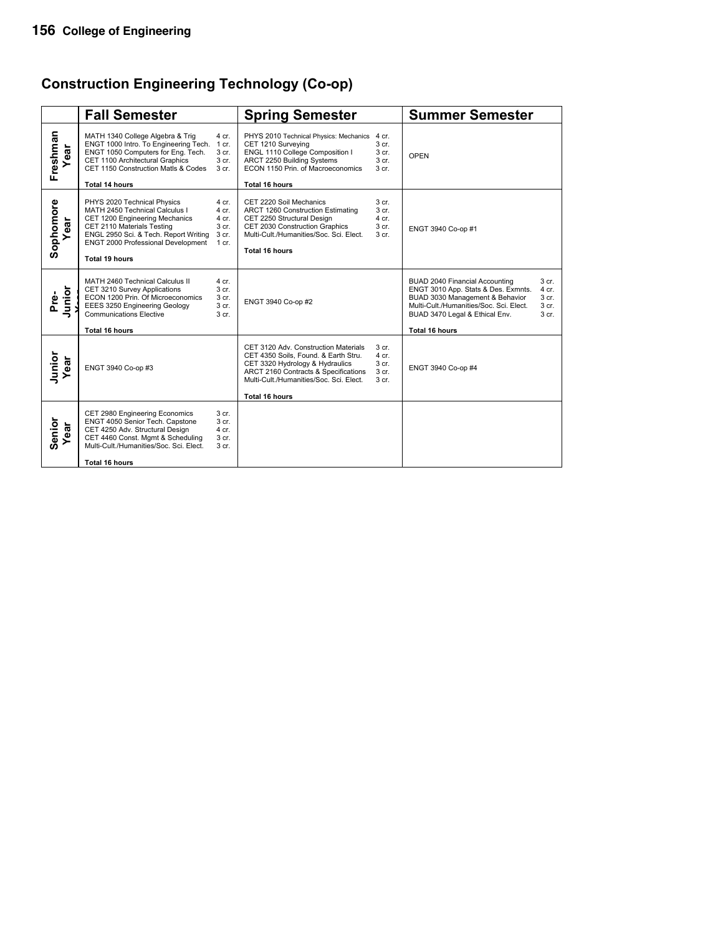# **Construction Engineering Technology (Co-op)**

|                       | <b>Fall Semester</b>                                                                                                                                                                                                           |                                                      | <b>Spring Semester</b>                                                                                                                                                                                                      |                                                                 | <b>Summer Semester</b>                                                                                                                                                                                                                                                            |
|-----------------------|--------------------------------------------------------------------------------------------------------------------------------------------------------------------------------------------------------------------------------|------------------------------------------------------|-----------------------------------------------------------------------------------------------------------------------------------------------------------------------------------------------------------------------------|-----------------------------------------------------------------|-----------------------------------------------------------------------------------------------------------------------------------------------------------------------------------------------------------------------------------------------------------------------------------|
| Freshman<br>ear       | MATH 1340 College Algebra & Trig<br>ENGT 1000 Intro. To Engineering Tech. 1 cr.<br>ENGT 1050 Computers for Eng. Tech.<br>CET 1100 Architectural Graphics<br>CET 1150 Construction Matls & Codes<br>Total 14 hours              | 4 cr.<br>3 cr.<br>3 cr.<br>3 cr.                     | PHYS 2010 Technical Physics: Mechanics<br>CET 1210 Surveying<br>ENGL 1110 College Composition I<br>ARCT 2250 Building Systems<br>ECON 1150 Prin. of Macroeconomics<br><b>Total 16 hours</b>                                 | 4 cr.<br>3 cr.<br>3 <sub>cr.</sub><br>3 cr.<br>3 cr.            | <b>OPEN</b>                                                                                                                                                                                                                                                                       |
| Sophomore<br>ar       | PHYS 2020 Technical Physics<br>MATH 2450 Technical Calculus I<br>CET 1200 Engineering Mechanics<br>CET 2110 Materials Testing<br>ENGL 2950 Sci. & Tech. Report Writing<br>ENGT 2000 Professional Development<br>Total 19 hours | 4 cr.<br>4 cr.<br>4 cr.<br>3 cr.<br>3 cr.<br>1 cr.   | CET 2220 Soil Mechanics<br>ARCT 1260 Construction Estimating<br>CET 2250 Structural Design<br>CET 2030 Construction Graphics<br>Multi-Cult./Humanities/Soc. Sci. Elect.<br><b>Total 16 hours</b>                            | 3 cr.<br>3 cr.<br>4 cr.<br>3 cr.<br>3 <sub>cr.</sub>            | ENGT 3940 Co-op #1                                                                                                                                                                                                                                                                |
| Junior<br>Pre-        | MATH 2460 Technical Calculus II<br>CET 3210 Survey Applications<br>ECON 1200 Prin. Of Microeconomics<br>EEES 3250 Engineering Geology<br><b>Communications Elective</b><br><b>Total 16 hours</b>                               | 4 cr.<br>3 <sub>cr.</sub><br>3 cr.<br>3 cr.<br>3 cr. | ENGT 3940 Co-op #2                                                                                                                                                                                                          |                                                                 | BUAD 2040 Financial Accounting<br>3 cr.<br>ENGT 3010 App. Stats & Des. Exmnts.<br>4 cr.<br>BUAD 3030 Management & Behavior<br>3 cr.<br>Multi-Cult./Humanities/Soc. Sci. Elect.<br>3 <sub>cr.</sub><br>BUAD 3470 Legal & Ethical Env.<br>3 <sub>cr.</sub><br><b>Total 16 hours</b> |
| Junior<br>Year<br>ear | ENGT 3940 Co-op #3                                                                                                                                                                                                             |                                                      | CET 3120 Adv. Construction Materials<br>CET 4350 Soils, Found. & Earth Stru.<br>CET 3320 Hydrology & Hydraulics<br>ARCT 2160 Contracts & Specifications<br>Multi-Cult./Humanities/Soc. Sci. Elect.<br><b>Total 16 hours</b> | 3 <sub>cr.</sub><br>4 cr.<br>3 cr.<br>3 cr.<br>3 <sub>cr.</sub> | ENGT 3940 Co-op #4                                                                                                                                                                                                                                                                |
| Senior<br>ar          | CET 2980 Engineering Economics<br>ENGT 4050 Senior Tech. Capstone<br>CET 4250 Adv. Structural Design<br>CET 4460 Const. Mgmt & Scheduling<br>Multi-Cult./Humanities/Soc. Sci. Elect.<br>Total 16 hours                         | 3 cr.<br>3 cr.<br>4 cr.<br>3 cr.<br>3 <sub>cr.</sub> |                                                                                                                                                                                                                             |                                                                 |                                                                                                                                                                                                                                                                                   |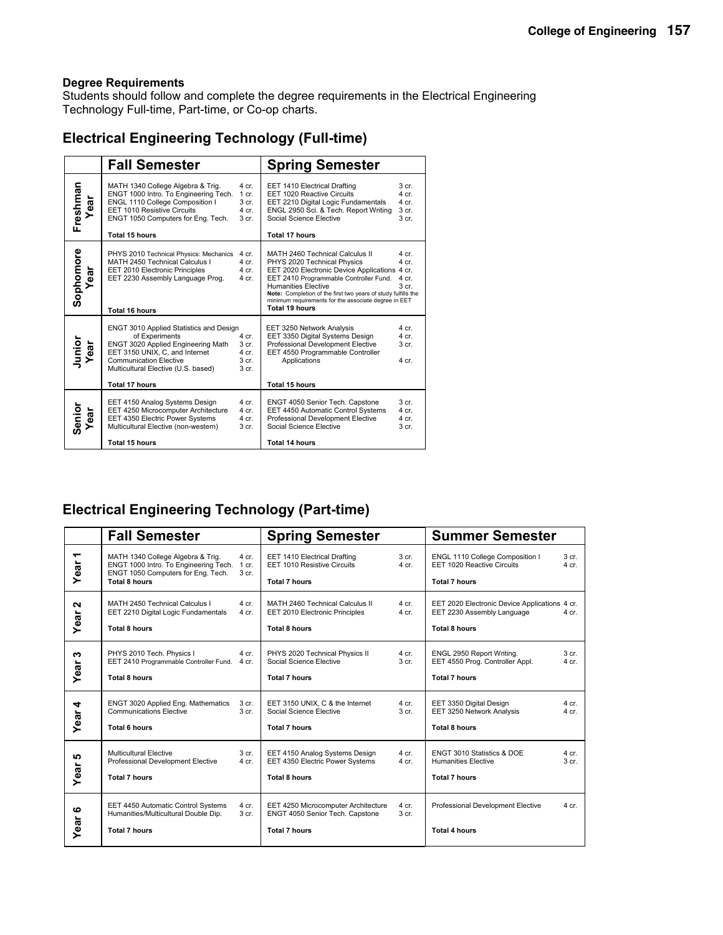Students should follow and complete the degree requirements in the Electrical Engineering Technology Full-time, Part-time, or Co-op charts.

### **Electrical Engineering Technology (Full-time)**

|                   | <b>Fall Semester</b>                                                                                                                                                                                                                      |                                             | <b>Spring Semester</b>                                                                                                                                                                                                                                                                                                                    |                                             |
|-------------------|-------------------------------------------------------------------------------------------------------------------------------------------------------------------------------------------------------------------------------------------|---------------------------------------------|-------------------------------------------------------------------------------------------------------------------------------------------------------------------------------------------------------------------------------------------------------------------------------------------------------------------------------------------|---------------------------------------------|
| Freshman<br>Year  | MATH 1340 College Algebra & Trig.<br>ENGT 1000 Intro. To Engineering Tech.<br>ENGL 1110 College Composition I<br>EET 1010 Resistive Circuits<br>ENGT 1050 Computers for Eng. Tech.<br><b>Total 15 hours</b>                               | 4 cr.<br>$1$ cr.<br>3 cr.<br>4 cr.<br>3 cr. | EET 1410 Electrical Drafting<br>EET 1020 Reactive Circuits<br>EET 2210 Digital Logic Fundamentals<br>ENGL 2950 Sci. & Tech. Report Writing<br>Social Science Elective<br><b>Total 17 hours</b>                                                                                                                                            | 3 cr.<br>4 cr.<br>4 cr.<br>3 cr.<br>3 cr.   |
| Sophomore<br>Year | PHYS 2010 Technical Physics: Mechanics<br>MATH 2450 Technical Calculus I<br>EET 2010 Electronic Principles<br>EET 2230 Assembly Language Prog.<br>Total 16 hours                                                                          | 4 cr.<br>4 cr.<br>4 cr.<br>4 cr.            | MATH 2460 Technical Calculus II<br>PHYS 2020 Technical Physics<br>EET 2020 Electronic Device Applications 4 cr.<br>EET 2410 Programmable Controller Fund.<br><b>Humanities Elective</b><br>Note: Completion of the first two years of study fulfills the<br>minimum requirements for the associate degree in EET<br><b>Total 19 hours</b> | 4 cr.<br>4 cr.<br>4 cr.<br>3 <sub>cr.</sub> |
| Junior<br>Year    | <b>ENGT 3010 Applied Statistics and Design</b><br>of Experiments<br>ENGT 3020 Applied Engineering Math<br>EET 3150 UNIX, C, and Internet<br><b>Communication Elective</b><br>Multicultural Elective (U.S. based)<br><b>Total 17 hours</b> | 4 cr.<br>3 cr.<br>4 cr.<br>3 cr.<br>3 cr.   | EET 3250 Network Analysis<br>EET 3350 Digital Systems Design<br>Professional Development Elective<br>EET 4550 Programmable Controller<br>Applications<br><b>Total 15 hours</b>                                                                                                                                                            | 4 cr.<br>4 cr.<br>3 cr.<br>4 cr.            |
| Senior<br>Year    | EET 4150 Analog Systems Design<br>EET 4250 Microcomputer Architecture<br>EET 4350 Electric Power Systems<br>Multicultural Elective (non-western)<br>Total 15 hours                                                                        | 4 cr.<br>4 cr.<br>4 cr.<br>3 cr.            | ENGT 4050 Senior Tech. Capstone<br>EET 4450 Automatic Control Systems<br>Professional Development Elective<br>Social Science Elective<br>Total 14 hours                                                                                                                                                                                   | $3$ cr.<br>4 cr.<br>4 cr.<br>$3$ cr.        |

# **Electrical Engineering Technology (Part-time)**

|                                  | <b>Fall Semester</b>                                                                                                                     |                           | <b>Spring Semester</b>                                                                         |                             | <b>Summer Semester</b>                                                                              |                             |
|----------------------------------|------------------------------------------------------------------------------------------------------------------------------------------|---------------------------|------------------------------------------------------------------------------------------------|-----------------------------|-----------------------------------------------------------------------------------------------------|-----------------------------|
| $\overline{\phantom{a}}$<br>Year | MATH 1340 College Algebra & Trig.<br>ENGT 1000 Intro. To Engineering Tech.<br>ENGT 1050 Computers for Eng. Tech.<br><b>Total 8 hours</b> | 4 cr.<br>1 cr.<br>3 cr.   | EET 1410 Electrical Drafting<br>EET 1010 Resistive Circuits<br><b>Total 7 hours</b>            | 3 <sub>cr.</sub><br>$4$ cr. | ENGL 1110 College Composition I<br>EET 1020 Reactive Circuits<br><b>Total 7 hours</b>               | 3 <sub>cr.</sub><br>$4$ cr. |
| $\mathbf{N}$<br>Year             | MATH 2450 Technical Calculus I<br>EET 2210 Digital Logic Fundamentals<br><b>Total 8 hours</b>                                            | 4 cr.<br>4 cr.            | MATH 2460 Technical Calculus II<br>EET 2010 Electronic Principles<br><b>Total 8 hours</b>      | $4$ cr.<br>$4$ cr.          | EET 2020 Electronic Device Applications 4 cr.<br>EET 2230 Assembly Language<br><b>Total 8 hours</b> | 4 cr.                       |
| w<br>Year                        | PHYS 2010 Tech. Physics I<br>EET 2410 Programmable Controller Fund.<br>Total 8 hours                                                     | 4 cr.<br>4 cr.            | PHYS 2020 Technical Physics II<br>Social Science Elective<br><b>Total 7 hours</b>              | 4 cr.<br>3 cr.              | ENGL 2950 Report Writing.<br>EET 4550 Prog. Controller Appl.<br><b>Total 7 hours</b>                | 3 <sub>cr.</sub><br>$4$ cr. |
| 4<br>Year                        | ENGT 3020 Applied Eng. Mathematics<br><b>Communications Elective</b><br>Total 6 hours                                                    | 3 cr.<br>3 <sub>cr.</sub> | EET 3150 UNIX, C & the Internet<br>Social Science Elective<br><b>Total 7 hours</b>             | 4 cr.<br>3 cr.              | EET 3350 Digital Design<br>EET 3250 Network Analysis<br><b>Total 8 hours</b>                        | $4$ cr.<br>$4$ cr.          |
| စ<br>Year                        | Multicultural Elective<br>Professional Development Elective<br><b>Total 7 hours</b>                                                      | 3 cr.<br>4 cr.            | EET 4150 Analog Systems Design<br>EET 4350 Electric Power Systems<br><b>Total 8 hours</b>      | 4 cr.<br>4 cr.              | ENGT 3010 Statistics & DOE<br><b>Humanities Elective</b><br><b>Total 7 hours</b>                    | $4$ cr.<br>3 <sub>cr.</sub> |
| ဖ<br>Year                        | EET 4450 Automatic Control Systems<br>Humanities/Multicultural Double Dip.<br><b>Total 7 hours</b>                                       | 4 cr.<br>3 cr.            | EET 4250 Microcomputer Architecture<br>ENGT 4050 Senior Tech. Capstone<br><b>Total 7 hours</b> | 4 cr.<br>3 <sub>cr.</sub>   | Professional Development Elective<br><b>Total 4 hours</b>                                           | 4 cr.                       |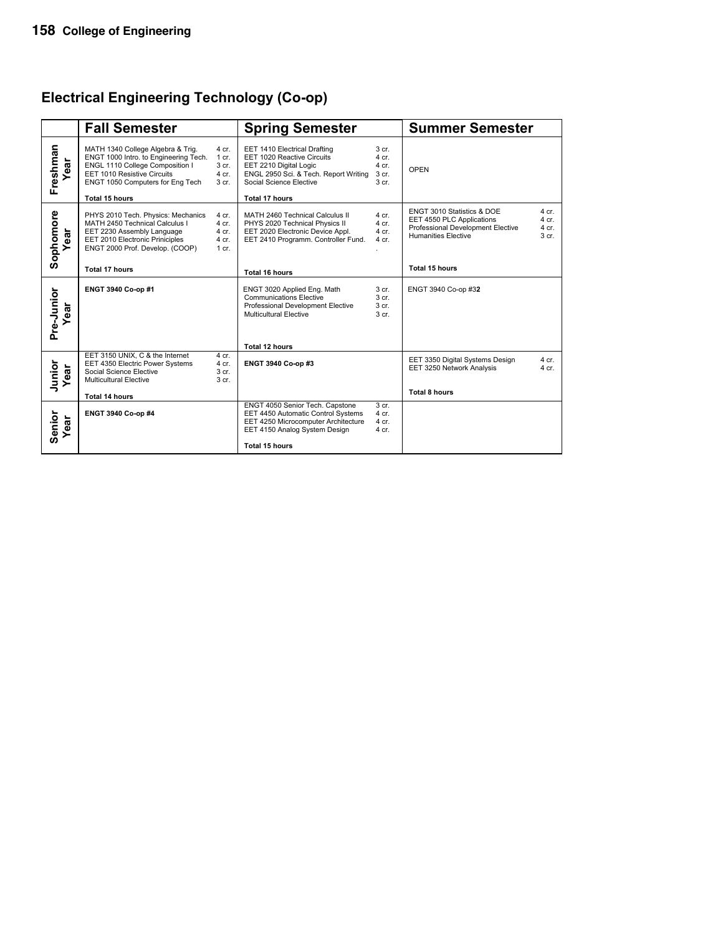# **Electrical Engineering Technology (Co-op)**

|                    | <b>Fall Semester</b>                                                                                                                                                             |                                               | <b>Spring Semester</b>                                                                                                                                   |                                                        | <b>Summer Semester</b>                                                                                                     |                                  |
|--------------------|----------------------------------------------------------------------------------------------------------------------------------------------------------------------------------|-----------------------------------------------|----------------------------------------------------------------------------------------------------------------------------------------------------------|--------------------------------------------------------|----------------------------------------------------------------------------------------------------------------------------|----------------------------------|
| Freshman<br>ear    | MATH 1340 College Algebra & Trig.<br>ENGT 1000 Intro. to Engineering Tech.<br>ENGL 1110 College Composition I<br>EET 1010 Resistive Circuits<br>ENGT 1050 Computers for Eng Tech | 4 cr.<br>$1$ cr.<br>3 cr.<br>4 cr.<br>3 cr.   | EET 1410 Electrical Drafting<br>EET 1020 Reactive Circuits<br>EET 2210 Digital Logic<br>ENGL 2950 Sci. & Tech. Report Writing<br>Social Science Elective | 3 cr.<br>4 cr.<br>4 cr.<br>3 cr.<br>3 cr.              | OPEN                                                                                                                       |                                  |
|                    | Total 15 hours                                                                                                                                                                   |                                               | Total 17 hours                                                                                                                                           |                                                        |                                                                                                                            |                                  |
| Sophomore<br>ear   | PHYS 2010 Tech. Physics: Mechanics<br>MATH 2450 Technical Calculus I<br>EET 2230 Assembly Language<br>EET 2010 Electronic Priniciples<br>ENGT 2000 Prof. Develop. (COOP)         | 4 cr.<br>$4$ cr.<br>4 cr.<br>4 cr.<br>$1$ cr. | MATH 2460 Technical Calculus II<br>PHYS 2020 Technical Physics II<br>EET 2020 Electronic Device Appl.<br>EET 2410 Programm. Controller Fund.             | 4 cr.<br>4 cr.<br>4 cr.<br>4 cr.                       | ENGT 3010 Statistics & DOE<br>EET 4550 PLC Applications<br>Professional Development Elective<br><b>Humanities Elective</b> | 4 cr.<br>4 cr.<br>4 cr.<br>3 cr. |
|                    | <b>Total 17 hours</b>                                                                                                                                                            |                                               | Total 16 hours                                                                                                                                           |                                                        | <b>Total 15 hours</b>                                                                                                      |                                  |
| Pre-Junior<br>đã   | ENGT 3940 Co-op #1                                                                                                                                                               |                                               | ENGT 3020 Applied Eng. Math<br><b>Communications Elective</b><br>Professional Development Elective<br>Multicultural Elective                             | 3 cr.<br>3 cr.<br>3 <sub>cr.</sub><br>3 <sub>cr.</sub> | ENGT 3940 Co-op #32                                                                                                        |                                  |
|                    |                                                                                                                                                                                  |                                               | Total 12 hours                                                                                                                                           |                                                        |                                                                                                                            |                                  |
| Junior<br>Year     | EET 3150 UNIX, C & the Internet<br>EET 4350 Electric Power Systems<br>Social Science Elective<br><b>Multicultural Elective</b>                                                   | 4 cr.<br>4 cr.<br>3 cr.<br>3 cr.              | ENGT 3940 Co-op #3                                                                                                                                       |                                                        | EET 3350 Digital Systems Design<br>EET 3250 Network Analysis                                                               | 4 cr.<br>$4$ cr.                 |
|                    | Total 14 hours                                                                                                                                                                   |                                               |                                                                                                                                                          |                                                        | <b>Total 8 hours</b>                                                                                                       |                                  |
| Senior<br>ear<br>≻ | ENGT 3940 Co-op #4                                                                                                                                                               |                                               | ENGT 4050 Senior Tech. Capstone<br>EET 4450 Automatic Control Systems<br>EET 4250 Microcomputer Architecture<br>EET 4150 Analog System Design            | 3 cr.<br>$4$ cr.<br>4 cr.<br>4 cr.                     |                                                                                                                            |                                  |
|                    |                                                                                                                                                                                  |                                               | <b>Total 15 hours</b>                                                                                                                                    |                                                        |                                                                                                                            |                                  |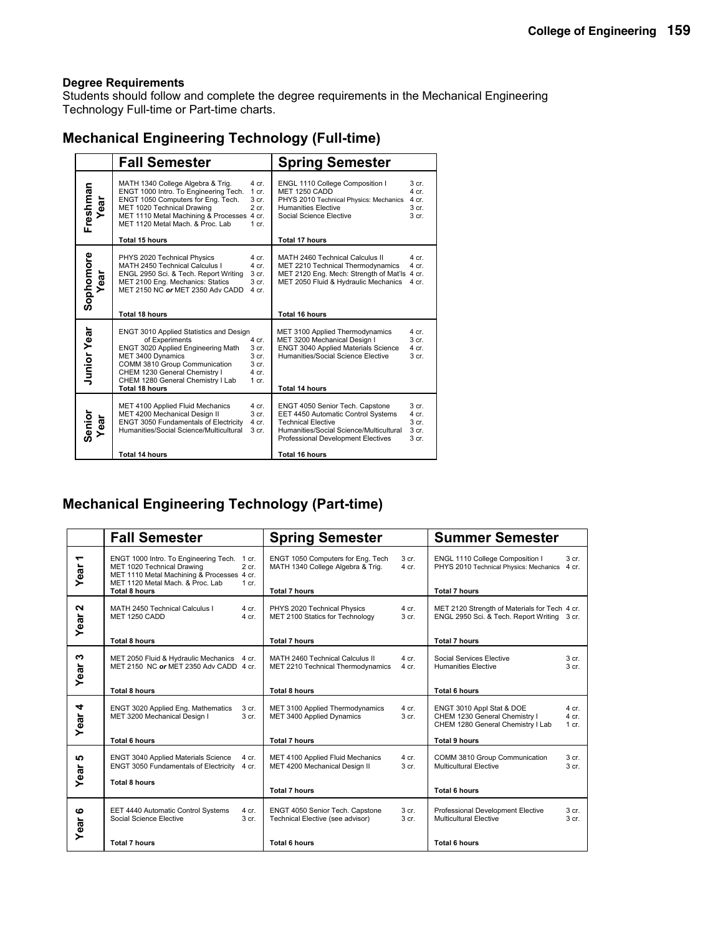Students should follow and complete the degree requirements in the Mechanical Engineering Technology Full-time or Part-time charts.

### **Mechanical Engineering Technology (Full-time)**

|                    | <b>Fall Semester</b>                                                                                                                                                                                                                                                                                           | <b>Spring Semester</b>                                                                                                                                                                                                                                                          |
|--------------------|----------------------------------------------------------------------------------------------------------------------------------------------------------------------------------------------------------------------------------------------------------------------------------------------------------------|---------------------------------------------------------------------------------------------------------------------------------------------------------------------------------------------------------------------------------------------------------------------------------|
| Freshman<br>Year   | MATH 1340 College Algebra & Trig.<br>4 cr.<br>ENGT 1000 Intro. To Engineering Tech.<br>1 cr.<br>ENGT 1050 Computers for Eng. Tech.<br>3 cr.<br>MET 1020 Technical Drawing<br>$2$ cr.<br>MET 1110 Metal Machining & Processes 4 cr.<br>MET 1120 Metal Mach, & Proc. Lab<br>1 cr.<br><b>Total 15 hours</b>       | ENGL 1110 College Composition I<br>3 <sub>cr.</sub><br>MET 1250 CADD<br>4 cr.<br>PHYS 2010 Technical Physics: Mechanics<br>4 cr.<br><b>Humanities Elective</b><br>3 <sub>cr.</sub><br>Social Science Elective<br>3 cr.<br><b>Total 17 hours</b>                                 |
| Sophomore<br>Year  | PHYS 2020 Technical Physics<br>4 cr.<br>MATH 2450 Technical Calculus I<br>4 cr.<br>3 cr.<br>ENGL 2950 Sci. & Tech. Report Writing<br>MET 2100 Eng. Mechanics: Statics<br>3 cr.<br>MET 2150 NC or MET 2350 Adv CADD<br>4 cr.<br><b>Total 18 hours</b>                                                           | MATH 2460 Technical Calculus II<br>4 cr.<br>4 cr.<br>MET 2210 Technical Thermodynamics<br>MET 2120 Eng. Mech: Strength of Mat'ls 4 cr.<br>MET 2050 Fluid & Hydraulic Mechanics<br>4 cr.<br><b>Total 16 hours</b>                                                                |
| <b>Junior Year</b> | ENGT 3010 Applied Statistics and Design<br>of Experiments<br>4 cr.<br>ENGT 3020 Applied Engineering Math<br>3 cr.<br>3 <sub>cr.</sub><br>MET 3400 Dynamics<br>COMM 3810 Group Communication<br>3 cr.<br>CHEM 1230 General Chemistry I<br>4 cr.<br>CHEM 1280 General Chemistry I Lab<br>1 cr.<br>Total 18 hours | MET 3100 Applied Thermodynamics<br>4 cr.<br>3 <sub>cr.</sub><br>MET 3200 Mechanical Design I<br>ENGT 3040 Applied Materials Science<br>4 cr.<br>Humanities/Social Science Elective<br>3 cr.<br><b>Total 14 hours</b>                                                            |
| Senior<br>Year     | MET 4100 Applied Fluid Mechanics<br>4 cr.<br>MET 4200 Mechanical Design II<br>3 cr.<br><b>ENGT 3050 Fundamentals of Electricity</b><br>4 cr.<br>Humanities/Social Science/Multicultural<br>3 <sub>cr.</sub><br>Total 14 hours                                                                                  | 3 <sub>cr.</sub><br>ENGT 4050 Senior Tech. Capstone<br>EET 4450 Automatic Control Systems<br>4 cr.<br><b>Technical Elective</b><br>3 cr.<br>Humanities/Social Science/Multicultural<br>3 <sub>cr.</sub><br>3 cr.<br>Professional Development Electives<br><b>Total 16 hours</b> |

### **Mechanical Engineering Technology (Part-time)**

|                                  | <b>Fall Semester</b>                                                                                                                                                            | <b>Spring Semester</b>                                                 |                           | <b>Summer Semester</b>                                                                          |                                      |
|----------------------------------|---------------------------------------------------------------------------------------------------------------------------------------------------------------------------------|------------------------------------------------------------------------|---------------------------|-------------------------------------------------------------------------------------------------|--------------------------------------|
| $\overline{\phantom{0}}$<br>Year | ENGT 1000 Intro. To Engineering Tech. 1 cr.<br>MET 1020 Technical Drawing<br>2 cr.<br>MET 1110 Metal Machining & Processes 4 cr.<br>MET 1120 Metal Mach, & Proc. Lab<br>$1$ cr. | ENGT 1050 Computers for Eng. Tech<br>MATH 1340 College Algebra & Trig. | 3 cr.<br>4 cr.            | ENGL 1110 College Composition I<br>PHYS 2010 Technical Physics: Mechanics                       | 3 cr.<br>4 cr.                       |
|                                  | <b>Total 8 hours</b>                                                                                                                                                            | <b>Total 7 hours</b>                                                   |                           | <b>Total 7 hours</b>                                                                            |                                      |
| $\mathbf{a}$<br>Year             | MATH 2450 Technical Calculus I<br>4 cr.<br>MET 1250 CADD<br>$4$ cr.                                                                                                             | PHYS 2020 Technical Physics<br>MET 2100 Statics for Technology         | 4 cr.<br>3 cr.            | MET 2120 Strength of Materials for Tech 4 cr.<br>ENGL 2950 Sci. & Tech. Report Writing 3 cr.    |                                      |
|                                  | <b>Total 8 hours</b>                                                                                                                                                            | <b>Total 7 hours</b>                                                   |                           | <b>Total 7 hours</b>                                                                            |                                      |
| ∾<br>Year                        | MET 2050 Fluid & Hydraulic Mechanics 4 cr.<br>MET 2150 NC or MET 2350 Adv CADD 4 cr.                                                                                            | MATH 2460 Technical Calculus II<br>MET 2210 Technical Thermodynamics   | 4 cr.<br>4 cr.            | Social Services Elective<br><b>Humanities Elective</b>                                          | 3 <sub>cr.</sub><br>3 <sub>cr.</sub> |
|                                  | <b>Total 8 hours</b>                                                                                                                                                            | <b>Total 8 hours</b>                                                   |                           | <b>Total 6 hours</b>                                                                            |                                      |
| 4<br>Year                        | ENGT 3020 Applied Eng. Mathematics<br>3 cr.<br>3 <sub>cr.</sub><br>MET 3200 Mechanical Design I                                                                                 | MET 3100 Applied Thermodynamics<br>MET 3400 Applied Dynamics           | 4 cr.<br>3 <sub>cr.</sub> | ENGT 3010 Appl Stat & DOE<br>CHEM 1230 General Chemistry I<br>CHEM 1280 General Chemistry I Lab | 4 cr.<br>$4$ cr.<br>$1 \text{ cr}$ . |
|                                  | <b>Total 6 hours</b>                                                                                                                                                            | <b>Total 7 hours</b>                                                   |                           | <b>Total 9 hours</b>                                                                            |                                      |
| <b>LO</b><br>Year                | ENGT 3040 Applied Materials Science<br>4 cr.<br>ENGT 3050 Fundamentals of Electricity 4 cr.                                                                                     | MET 4100 Applied Fluid Mechanics<br>MET 4200 Mechanical Design II      | $4$ cr.<br>3 cr.          | COMM 3810 Group Communication<br><b>Multicultural Elective</b>                                  | 3 <sub>cr.</sub><br>3 <sub>cr.</sub> |
|                                  | <b>Total 8 hours</b>                                                                                                                                                            | <b>Total 7 hours</b>                                                   |                           | Total 6 hours                                                                                   |                                      |
|                                  |                                                                                                                                                                                 |                                                                        |                           |                                                                                                 |                                      |
| ဖ<br>Year                        | EET 4440 Automatic Control Systems<br>4 cr.<br>Social Science Elective<br>3 cr.                                                                                                 | ENGT 4050 Senior Tech. Capstone<br>Technical Elective (see advisor)    | 3 cr.<br>3 <sub>cr.</sub> | Professional Development Elective<br>Multicultural Elective                                     | 3 <sub>cr.</sub><br>3 <sub>cr.</sub> |
|                                  | <b>Total 7 hours</b>                                                                                                                                                            | Total 6 hours                                                          |                           | <b>Total 6 hours</b>                                                                            |                                      |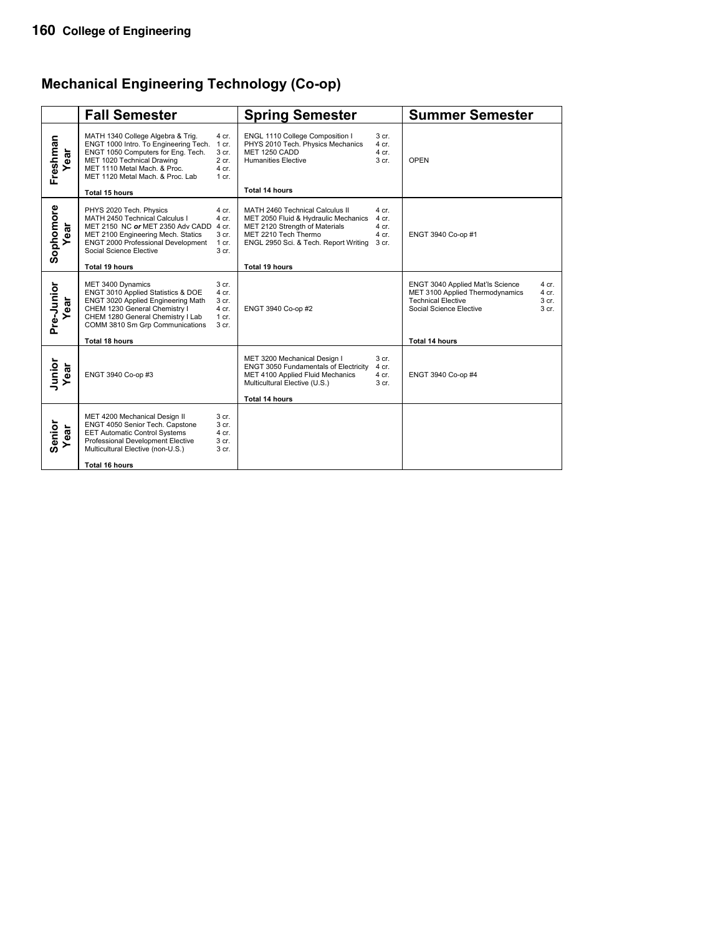# **Mechanical Engineering Technology (Co-op)**

|                       | <b>Fall Semester</b>                                                                                                                                                                                               |                                                        | <b>Spring Semester</b>                                                                                                                                                     |                                               | <b>Summer Semester</b>                                                                                                                                                     |
|-----------------------|--------------------------------------------------------------------------------------------------------------------------------------------------------------------------------------------------------------------|--------------------------------------------------------|----------------------------------------------------------------------------------------------------------------------------------------------------------------------------|-----------------------------------------------|----------------------------------------------------------------------------------------------------------------------------------------------------------------------------|
| Freshman<br>ear       | MATH 1340 College Algebra & Trig.<br>ENGT 1000 Intro. To Engineering Tech.<br>ENGT 1050 Computers for Eng. Tech.<br>MET 1020 Technical Drawing<br>MET 1110 Metal Mach. & Proc.<br>MET 1120 Metal Mach. & Proc. Lab | 4 cr.<br>1 cr.<br>3 cr.<br>$2$ cr.<br>4 cr.<br>$1$ cr. | ENGL 1110 College Composition I<br>PHYS 2010 Tech. Physics Mechanics<br>MET 1250 CADD<br><b>Humanities Elective</b>                                                        | 3 cr.<br>$4$ cr.<br>4 cr.<br>3 <sub>cr.</sub> | OPEN                                                                                                                                                                       |
|                       | Total 15 hours                                                                                                                                                                                                     |                                                        | <b>Total 14 hours</b>                                                                                                                                                      |                                               |                                                                                                                                                                            |
| Sophomore<br>ear      | PHYS 2020 Tech. Physics<br>MATH 2450 Technical Calculus I<br>MET 2150 NC or MET 2350 Adv CADD<br>MET 2100 Engineering Mech. Statics<br>ENGT 2000 Professional Development<br>Social Science Elective               | 4 cr.<br>$4$ cr.<br>4 cr.<br>3 cr.<br>1 cr.<br>3 cr.   | MATH 2460 Technical Calculus II<br>MET 2050 Fluid & Hydraulic Mechanics<br>MET 2120 Strength of Materials<br>MET 2210 Tech Thermo<br>ENGL 2950 Sci. & Tech. Report Writing | 4 cr.<br>4 cr.<br>4 cr.<br>4 cr.<br>3 cr.     | ENGT 3940 Co-op #1                                                                                                                                                         |
|                       | <b>Total 19 hours</b>                                                                                                                                                                                              |                                                        | <b>Total 19 hours</b>                                                                                                                                                      |                                               |                                                                                                                                                                            |
| Pre-Junior<br>ear     | MET 3400 Dynamics<br>ENGT 3010 Applied Statistics & DOE<br>ENGT 3020 Applied Engineering Math<br>CHEM 1230 General Chemistry I<br>CHEM 1280 General Chemistry I Lab<br>COMM 3810 Sm Grp Communications             | 3 cr.<br>4 cr.<br>3 cr.<br>4 cr.<br>$1$ cr.<br>3 cr.   | ENGT 3940 Co-op #2                                                                                                                                                         |                                               | ENGT 3040 Applied Mat'ls Science<br>4 cr.<br>MET 3100 Applied Thermodynamics<br>4 cr.<br><b>Technical Elective</b><br>3 cr.<br>Social Science Elective<br>3 <sub>cr.</sub> |
|                       | <b>Total 18 hours</b>                                                                                                                                                                                              |                                                        |                                                                                                                                                                            |                                               | Total 14 hours                                                                                                                                                             |
| Junior<br>Year<br>ear | ENGT 3940 Co-op #3                                                                                                                                                                                                 |                                                        | MET 3200 Mechanical Design I<br><b>ENGT 3050 Fundamentals of Electricity</b><br>MET 4100 Applied Fluid Mechanics<br>Multicultural Elective (U.S.)                          | 3 cr.<br>4 cr.<br>4 cr.<br>3 <sub>cr.</sub>   | ENGT 3940 Co-op #4                                                                                                                                                         |
|                       |                                                                                                                                                                                                                    |                                                        | <b>Total 14 hours</b>                                                                                                                                                      |                                               |                                                                                                                                                                            |
| Senior<br>Year        | MET 4200 Mechanical Design II<br>ENGT 4050 Senior Tech. Capstone<br><b>EET Automatic Control Systems</b><br>Professional Development Elective<br>Multicultural Elective (non-U.S.)                                 | 3 cr.<br>3 cr.<br>4 cr.<br>3 cr.<br>3 cr.              |                                                                                                                                                                            |                                               |                                                                                                                                                                            |
|                       | Total 16 hours                                                                                                                                                                                                     |                                                        |                                                                                                                                                                            |                                               |                                                                                                                                                                            |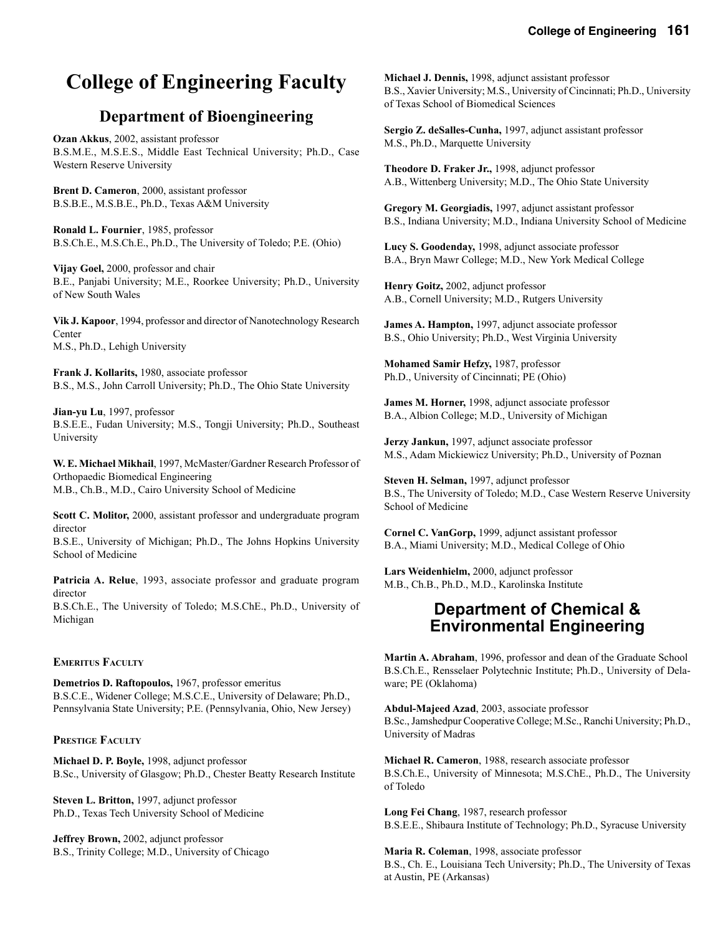#### **College of Engineering 161**

# **College of Engineering Faculty**

### **Department of Bioengineering**

**Ozan Akkus**, 2002, assistant professor B.S.M.E., M.S.E.S., Middle East Technical University; Ph.D., Case Western Reserve University

**Brent D. Cameron**, 2000, assistant professor B.S.B.E., M.S.B.E., Ph.D., Texas A&M University

**Ronald L. Fournier**, 1985, professor B.S.Ch.E., M.S.Ch.E., Ph.D., The University of Toledo; P.E. (Ohio)

**Vijay Goel,** 2000, professor and chair B.E., Panjabi University; M.E., Roorkee University; Ph.D., University of New South Wales

**Vik J. Kapoor**, 1994, professor and director of Nanotechnology Research Center M.S., Ph.D., Lehigh University

**Frank J. Kollarits,** 1980, associate professor B.S., M.S., John Carroll University; Ph.D., The Ohio State University

**Jian-yu Lu**, 1997, professor B.S.E.E., Fudan University; M.S., Tongji University; Ph.D., Southeast University

**W. E. Michael Mikhail**, 1997, McMaster/Gardner Research Professor of Orthopaedic Biomedical Engineering M.B., Ch.B., M.D., Cairo University School of Medicine

**Scott C. Molitor,** 2000, assistant professor and undergraduate program director

B.S.E., University of Michigan; Ph.D., The Johns Hopkins University School of Medicine

**Patricia A. Relue**, 1993, associate professor and graduate program director

B.S.Ch.E., The University of Toledo; M.S.ChE., Ph.D., University of Michigan

#### **EMERITUS FACULTY**

**Demetrios D. Raftopoulos,** 1967, professor emeritus B.S.C.E., Widener College; M.S.C.E., University of Delaware; Ph.D., Pennsylvania State University; P.E. (Pennsylvania, Ohio, New Jersey)

#### **PRESTIGE FACULTY**

**Michael D. P. Boyle,** 1998, adjunct professor B.Sc., University of Glasgow; Ph.D., Chester Beatty Research Institute

**Steven L. Britton,** 1997, adjunct professor Ph.D., Texas Tech University School of Medicine

**Jeffrey Brown,** 2002, adjunct professor B.S., Trinity College; M.D., University of Chicago

**Michael J. Dennis,** 1998, adjunct assistant professor B.S., Xavier University; M.S., University of Cincinnati; Ph.D., University of Texas School of Biomedical Sciences

**Sergio Z. deSalles-Cunha,** 1997, adjunct assistant professor M.S., Ph.D., Marquette University

**Theodore D. Fraker Jr.,** 1998, adjunct professor A.B., Wittenberg University; M.D., The Ohio State University

**Gregory M. Georgiadis,** 1997, adjunct assistant professor B.S., Indiana University; M.D., Indiana University School of Medicine

**Lucy S. Goodenday,** 1998, adjunct associate professor B.A., Bryn Mawr College; M.D., New York Medical College

**Henry Goitz,** 2002, adjunct professor A.B., Cornell University; M.D., Rutgers University

**James A. Hampton,** 1997, adjunct associate professor B.S., Ohio University; Ph.D., West Virginia University

**Mohamed Samir Hefzy,** 1987, professor Ph.D., University of Cincinnati; PE (Ohio)

**James M. Horner,** 1998, adjunct associate professor B.A., Albion College; M.D., University of Michigan

**Jerzy Jankun,** 1997, adjunct associate professor M.S., Adam Mickiewicz University; Ph.D., University of Poznan

**Steven H. Selman,** 1997, adjunct professor B.S., The University of Toledo; M.D., Case Western Reserve University School of Medicine

**Cornel C. VanGorp,** 1999, adjunct assistant professor B.A., Miami University; M.D., Medical College of Ohio

**Lars Weidenhielm,** 2000, adjunct professor M.B., Ch.B., Ph.D., M.D., Karolinska Institute

#### **Department of Chemical & Environmental Engineering**

**Martin A. Abraham**, 1996, professor and dean of the Graduate School B.S.Ch.E., Rensselaer Polytechnic Institute; Ph.D., University of Delaware; PE (Oklahoma)

**Abdul-Majeed Azad**, 2003, associate professor B.Sc., Jamshedpur Cooperative College; M.Sc., Ranchi University; Ph.D., University of Madras

**Michael R. Cameron**, 1988, research associate professor B.S.Ch.E., University of Minnesota; M.S.ChE., Ph.D., The University of Toledo

**Long Fei Chang**, 1987, research professor B.S.E.E., Shibaura Institute of Technology; Ph.D., Syracuse University

**Maria R. Coleman**, 1998, associate professor B.S., Ch. E., Louisiana Tech University; Ph.D., The University of Texas at Austin, PE (Arkansas)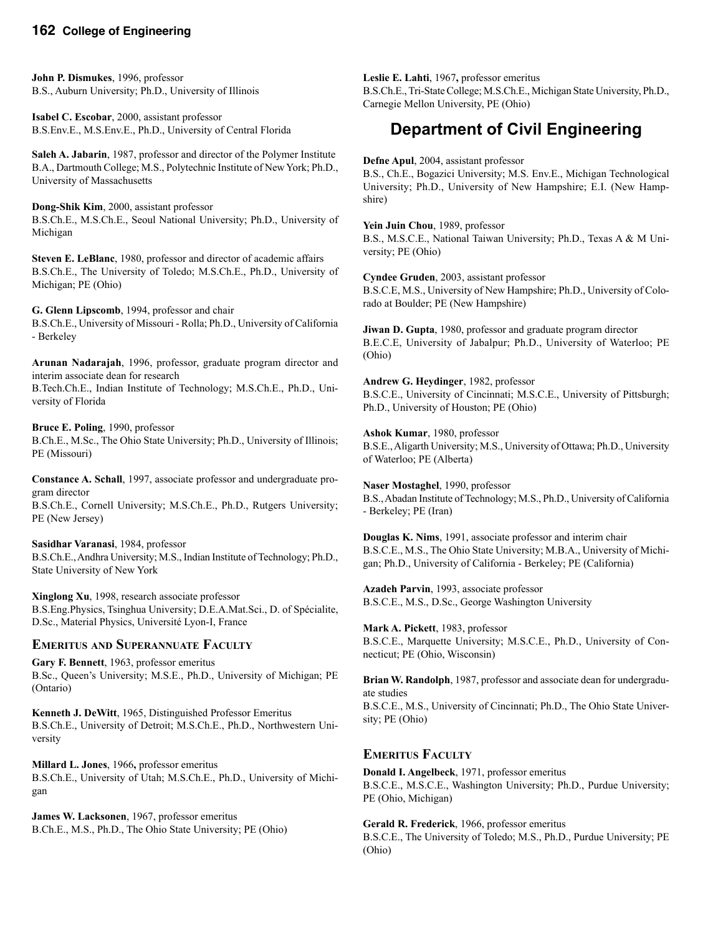#### **162 College of Engineering**

**John P. Dismukes**, 1996, professor B.S., Auburn University; Ph.D., University of Illinois

**Isabel C. Escobar**, 2000, assistant professor B.S.Env.E., M.S.Env.E., Ph.D., University of Central Florida

**Saleh A. Jabarin**, 1987, professor and director of the Polymer Institute B.A., Dartmouth College; M.S., Polytechnic Institute of New York; Ph.D., University of Massachusetts

**Dong-Shik Kim**, 2000, assistant professor B.S.Ch.E., M.S.Ch.E., Seoul National University; Ph.D., University of Michigan

**Steven E. LeBlanc**, 1980, professor and director of academic affairs B.S.Ch.E., The University of Toledo; M.S.Ch.E., Ph.D., University of Michigan; PE (Ohio)

**G. Glenn Lipscomb**, 1994, professor and chair B.S.Ch.E., University of Missouri - Rolla; Ph.D., University of California - Berkeley

**Arunan Nadarajah**, 1996, professor, graduate program director and interim associate dean for research

B.Tech.Ch.E., Indian Institute of Technology; M.S.Ch.E., Ph.D., University of Florida

**Bruce E. Poling**, 1990, professor B.Ch.E., M.Sc., The Ohio State University; Ph.D., University of Illinois; PE (Missouri)

**Constance A. Schall**, 1997, associate professor and undergraduate program director B.S.Ch.E., Cornell University; M.S.Ch.E., Ph.D., Rutgers University; PE (New Jersey)

**Sasidhar Varanasi**, 1984, professor B.S.Ch.E., Andhra University; M.S., Indian Institute of Technology; Ph.D.,

**Xinglong Xu**, 1998, research associate professor B.S.Eng.Physics, Tsinghua University; D.E.A.Mat.Sci., D. of Spécialite, D.Sc., Material Physics, Université Lyon-I, France

#### **EMERITUS AND SUPERANNUATE FACULTY**

State University of New York

**Gary F. Bennett**, 1963, professor emeritus B.Sc., Queen's University; M.S.E., Ph.D., University of Michigan; PE (Ontario)

**Kenneth J. DeWitt**, 1965, Distinguished Professor Emeritus B.S.Ch.E., University of Detroit; M.S.Ch.E., Ph.D., Northwestern University

**Millard L. Jones**, 1966**,** professor emeritus B.S.Ch.E., University of Utah; M.S.Ch.E., Ph.D., University of Michigan

**James W. Lacksonen**, 1967, professor emeritus B.Ch.E., M.S., Ph.D., The Ohio State University; PE (Ohio)

**Leslie E. Lahti**, 1967**,** professor emeritus B.S.Ch.E., Tri-State College; M.S.Ch.E., Michigan State University, Ph.D., Carnegie Mellon University, PE (Ohio)

# **Department of Civil Engineering**

**Defne Apul**, 2004, assistant professor

B.S., Ch.E., Bogazici University; M.S. Env.E., Michigan Technological University; Ph.D., University of New Hampshire; E.I. (New Hampshire)

**Yein Juin Chou**, 1989, professor B.S., M.S.C.E., National Taiwan University; Ph.D., Texas A & M University; PE (Ohio)

**Cyndee Gruden**, 2003, assistant professor B.S.C.E, M.S., University of New Hampshire; Ph.D., University of Colorado at Boulder; PE (New Hampshire)

**Jiwan D. Gupta**, 1980, professor and graduate program director B.E.C.E, University of Jabalpur; Ph.D., University of Waterloo; PE (Ohio)

**Andrew G. Heydinger**, 1982, professor B.S.C.E., University of Cincinnati; M.S.C.E., University of Pittsburgh; Ph.D., University of Houston; PE (Ohio)

**Ashok Kumar**, 1980, professor B.S.E., Aligarth University; M.S., University of Ottawa; Ph.D., University of Waterloo; PE (Alberta)

**Naser Mostaghel**, 1990, professor B.S., Abadan Institute of Technology; M.S., Ph.D., University of California - Berkeley; PE (Iran)

**Douglas K. Nims**, 1991, associate professor and interim chair B.S.C.E., M.S., The Ohio State University; M.B.A., University of Michigan; Ph.D., University of California - Berkeley; PE (California)

**Azadeh Parvin**, 1993, associate professor B.S.C.E., M.S., D.Sc., George Washington University

**Mark A. Pickett**, 1983, professor B.S.C.E., Marquette University; M.S.C.E., Ph.D., University of Connecticut; PE (Ohio, Wisconsin)

**Brian W. Randolph**, 1987, professor and associate dean for undergraduate studies B.S.C.E., M.S., University of Cincinnati; Ph.D., The Ohio State University; PE (Ohio)

#### **EMERITUS FACULTY**

**Donald I. Angelbeck**, 1971, professor emeritus B.S.C.E., M.S.C.E., Washington University; Ph.D., Purdue University; PE (Ohio, Michigan)

**Gerald R. Frederick**, 1966, professor emeritus B.S.C.E., The University of Toledo; M.S., Ph.D., Purdue University; PE (Ohio)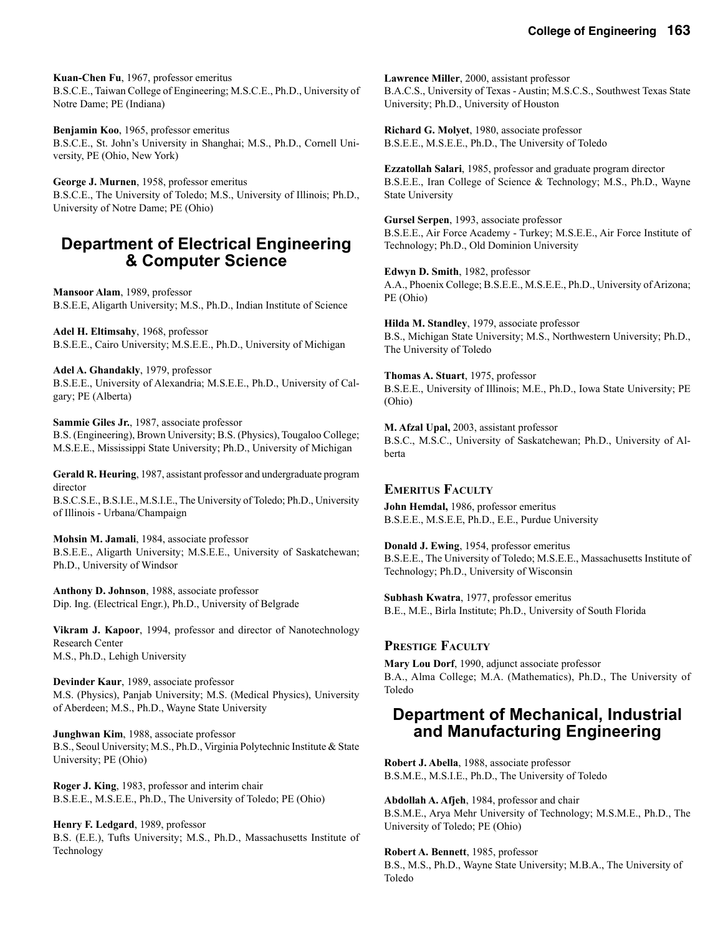**Kuan-Chen Fu**, 1967, professor emeritus B.S.C.E., Taiwan College of Engineering; M.S.C.E., Ph.D., University of Notre Dame; PE (Indiana)

**Benjamin Koo**, 1965, professor emeritus B.S.C.E., St. John's University in Shanghai; M.S., Ph.D., Cornell University, PE (Ohio, New York)

**George J. Murnen**, 1958, professor emeritus B.S.C.E., The University of Toledo; M.S., University of Illinois; Ph.D., University of Notre Dame; PE (Ohio)

### **Department of Electrical Engineering & Computer Science**

**Mansoor Alam**, 1989, professor B.S.E.E, Aligarth University; M.S., Ph.D., Indian Institute of Science

**Adel H. Eltimsahy**, 1968, professor B.S.E.E., Cairo University; M.S.E.E., Ph.D., University of Michigan

**Adel A. Ghandakly**, 1979, professor B.S.E.E., University of Alexandria; M.S.E.E., Ph.D., University of Calgary; PE (Alberta)

**Sammie Giles Jr.**, 1987, associate professor B.S. (Engineering), Brown University; B.S. (Physics), Tougaloo College; M.S.E.E., Mississippi State University; Ph.D., University of Michigan

**Gerald R. Heuring**, 1987, assistant professor and undergraduate program director

B.S.C.S.E., B.S.I.E., M.S.I.E., The University of Toledo; Ph.D., University of Illinois - Urbana/Champaign

**Mohsin M. Jamali**, 1984, associate professor B.S.E.E., Aligarth University; M.S.E.E., University of Saskatchewan; Ph.D., University of Windsor

**Anthony D. Johnson**, 1988, associate professor Dip. Ing. (Electrical Engr.), Ph.D., University of Belgrade

**Vikram J. Kapoor**, 1994, professor and director of Nanotechnology Research Center M.S., Ph.D., Lehigh University

**Devinder Kaur**, 1989, associate professor M.S. (Physics), Panjab University; M.S. (Medical Physics), University of Aberdeen; M.S., Ph.D., Wayne State University

**Junghwan Kim**, 1988, associate professor B.S., Seoul University; M.S., Ph.D., Virginia Polytechnic Institute & State University; PE (Ohio)

**Roger J. King**, 1983, professor and interim chair B.S.E.E., M.S.E.E., Ph.D., The University of Toledo; PE (Ohio)

**Henry F. Ledgard**, 1989, professor B.S. (E.E.), Tufts University; M.S., Ph.D., Massachusetts Institute of Technology

**Lawrence Miller**, 2000, assistant professor B.A.C.S., University of Texas - Austin; M.S.C.S., Southwest Texas State University; Ph.D., University of Houston

**Richard G. Molyet**, 1980, associate professor B.S.E.E., M.S.E.E., Ph.D., The University of Toledo

**Ezzatollah Salari**, 1985, professor and graduate program director B.S.E.E., Iran College of Science & Technology; M.S., Ph.D., Wayne State University

**Gursel Serpen**, 1993, associate professor B.S.E.E., Air Force Academy - Turkey; M.S.E.E., Air Force Institute of Technology; Ph.D., Old Dominion University

**Edwyn D. Smith**, 1982, professor A.A., Phoenix College; B.S.E.E., M.S.E.E., Ph.D., University of Arizona; PE (Ohio)

**Hilda M. Standley**, 1979, associate professor B.S., Michigan State University; M.S., Northwestern University; Ph.D., The University of Toledo

**Thomas A. Stuart**, 1975, professor B.S.E.E., University of Illinois; M.E., Ph.D., Iowa State University; PE (Ohio)

**M. Afzal Upal,** 2003, assistant professor B.S.C., M.S.C., University of Saskatchewan; Ph.D., University of Alberta

**EMERITUS FACULTY John Hemdal,** 1986, professor emeritus B.S.E.E., M.S.E.E, Ph.D., E.E., Purdue University

**Donald J. Ewing**, 1954, professor emeritus B.S.E.E., The University of Toledo; M.S.E.E., Massachusetts Institute of Technology; Ph.D., University of Wisconsin

**Subhash Kwatra**, 1977, professor emeritus B.E., M.E., Birla Institute; Ph.D., University of South Florida

#### **PRESTIGE FACULTY**

**Mary Lou Dorf**, 1990, adjunct associate professor B.A., Alma College; M.A. (Mathematics), Ph.D., The University of Toledo

### **Department of Mechanical, Industrial and Manufacturing Engineering**

**Robert J. Abella**, 1988, associate professor B.S.M.E., M.S.I.E., Ph.D., The University of Toledo

**Abdollah A. Afjeh**, 1984, professor and chair B.S.M.E., Arya Mehr University of Technology; M.S.M.E., Ph.D., The University of Toledo; PE (Ohio)

**Robert A. Bennett**, 1985, professor B.S., M.S., Ph.D., Wayne State University; M.B.A., The University of Toledo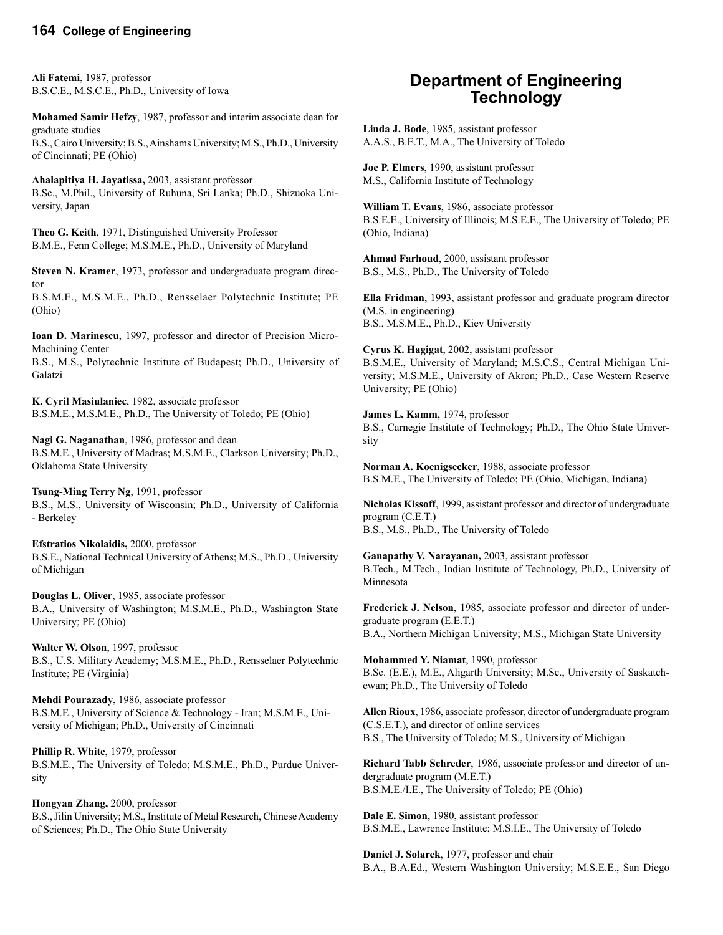#### **164 College of Engineering**

**Ali Fatemi**, 1987, professor B.S.C.E., M.S.C.E., Ph.D., University of Iowa

**Mohamed Samir Hefzy**, 1987, professor and interim associate dean for graduate studies B.S., Cairo University; B.S., Ainshams University; M.S., Ph.D., University of Cincinnati; PE (Ohio)

**Ahalapitiya H. Jayatissa,** 2003, assistant professor B.Sc., M.Phil., University of Ruhuna, Sri Lanka; Ph.D., Shizuoka University, Japan

**Theo G. Keith**, 1971, Distinguished University Professor B.M.E., Fenn College; M.S.M.E., Ph.D., University of Maryland

**Steven N. Kramer**, 1973, professor and undergraduate program director

B.S.M.E., M.S.M.E., Ph.D., Rensselaer Polytechnic Institute; PE (Ohio)

**Ioan D. Marinescu**, 1997, professor and director of Precision Micro-Machining Center

B.S., M.S., Polytechnic Institute of Budapest; Ph.D., University of Galatzi

**K. Cyril Masiulaniec**, 1982, associate professor B.S.M.E., M.S.M.E., Ph.D., The University of Toledo; PE (Ohio)

**Nagi G. Naganathan**, 1986, professor and dean B.S.M.E., University of Madras; M.S.M.E., Clarkson University; Ph.D., Oklahoma State University

**Tsung-Ming Terry Ng**, 1991, professor B.S., M.S., University of Wisconsin; Ph.D., University of California - Berkeley

**Efstratios Nikolaidis,** 2000, professor B.S.E., National Technical University of Athens; M.S., Ph.D., University of Michigan

**Douglas L. Oliver**, 1985, associate professor B.A., University of Washington; M.S.M.E., Ph.D., Washington State University; PE (Ohio)

**Walter W. Olson**, 1997, professor B.S., U.S. Military Academy; M.S.M.E., Ph.D., Rensselaer Polytechnic Institute; PE (Virginia)

**Mehdi Pourazady**, 1986, associate professor B.S.M.E., University of Science & Technology - Iran; M.S.M.E., University of Michigan; Ph.D., University of Cincinnati

**Phillip R. White**, 1979, professor B.S.M.E., The University of Toledo; M.S.M.E., Ph.D., Purdue University

**Hongyan Zhang,** 2000, professor B.S., Jilin University; M.S., Institute of Metal Research, Chinese Academy of Sciences; Ph.D., The Ohio State University

### **Department of Engineering Technology**

**Linda J. Bode**, 1985, assistant professor A.A.S., B.E.T., M.A., The University of Toledo

**Joe P. Elmers**, 1990, assistant professor M.S., California Institute of Technology

**William T. Evans**, 1986, associate professor B.S.E.E., University of Illinois; M.S.E.E., The University of Toledo; PE (Ohio, Indiana)

**Ahmad Farhoud**, 2000, assistant professor B.S., M.S., Ph.D., The University of Toledo

**Ella Fridman**, 1993, assistant professor and graduate program director (M.S. in engineering) B.S., M.S.M.E., Ph.D., Kiev University

**Cyrus K. Hagigat**, 2002, assistant professor B.S.M.E., University of Maryland; M.S.C.S., Central Michigan University; M.S.M.E., University of Akron; Ph.D., Case Western Reserve University; PE (Ohio)

**James L. Kamm**, 1974, professor B.S., Carnegie Institute of Technology; Ph.D., The Ohio State University

**Norman A. Koenigsecker**, 1988, associate professor B.S.M.E., The University of Toledo; PE (Ohio, Michigan, Indiana)

**Nicholas Kissoff**, 1999, assistant professor and director of undergraduate program (C.E.T.) B.S., M.S., Ph.D., The University of Toledo

**Ganapathy V. Narayanan,** 2003, assistant professor B.Tech., M.Tech., Indian Institute of Technology, Ph.D., University of Minnesota

**Frederick J. Nelson**, 1985, associate professor and director of undergraduate program (E.E.T.) B.A., Northern Michigan University; M.S., Michigan State University

**Mohammed Y. Niamat**, 1990, professor B.Sc. (E.E.), M.E., Aligarth University; M.Sc., University of Saskatchewan; Ph.D., The University of Toledo

**Allen Rioux**, 1986, associate professor, director of undergraduate program (C.S.E.T.), and director of online services B.S., The University of Toledo; M.S., University of Michigan

**Richard Tabb Schreder**, 1986, associate professor and director of undergraduate program (M.E.T.) B.S.M.E./I.E., The University of Toledo; PE (Ohio)

**Dale E. Simon**, 1980, assistant professor B.S.M.E., Lawrence Institute; M.S.I.E., The University of Toledo

**Daniel J. Solarek**, 1977, professor and chair B.A., B.A.Ed., Western Washington University; M.S.E.E., San Diego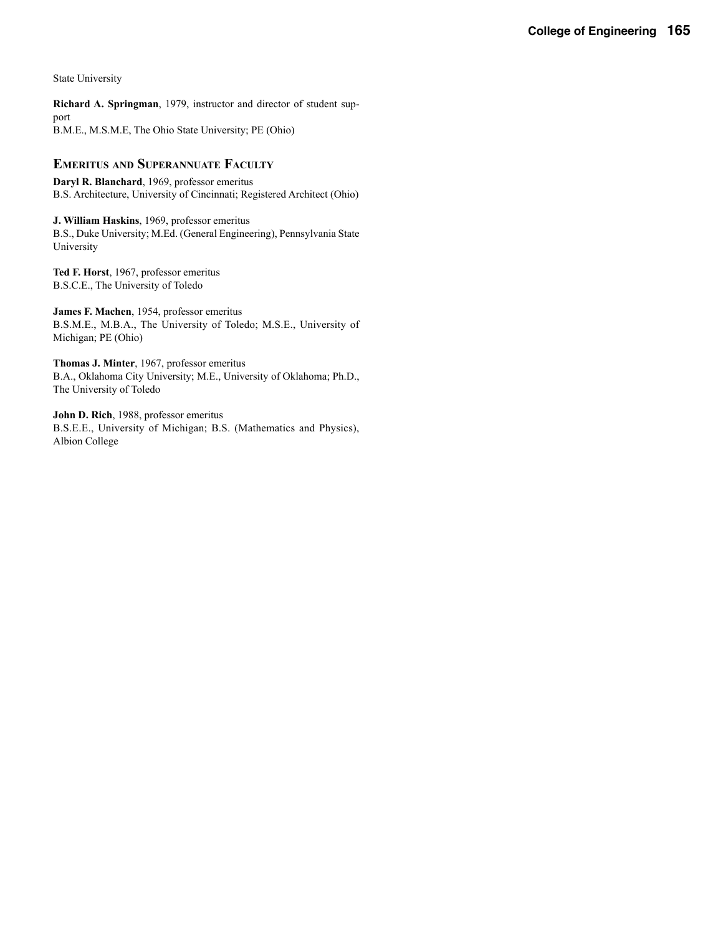State University

**Richard A. Springman**, 1979, instructor and director of student support B.M.E., M.S.M.E, The Ohio State University; PE (Ohio)

#### **EMERITUS AND SUPERANNUATE FACULTY**

**Daryl R. Blanchard**, 1969, professor emeritus B.S. Architecture, University of Cincinnati; Registered Architect (Ohio)

**J. William Haskins**, 1969, professor emeritus B.S., Duke University; M.Ed. (General Engineering), Pennsylvania State University

**Ted F. Horst**, 1967, professor emeritus B.S.C.E., The University of Toledo

**James F. Machen**, 1954, professor emeritus B.S.M.E., M.B.A., The University of Toledo; M.S.E., University of Michigan; PE (Ohio)

**Thomas J. Minter**, 1967, professor emeritus B.A., Oklahoma City University; M.E., University of Oklahoma; Ph.D., The University of Toledo

**John D. Rich**, 1988, professor emeritus B.S.E.E., University of Michigan; B.S. (Mathematics and Physics), Albion College